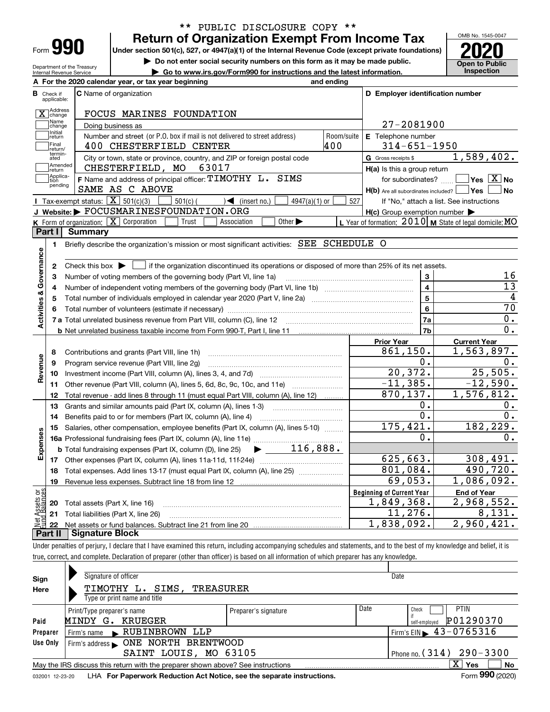| Form |  |
|------|--|

Department of the Treasury Internal Revenue Service

## **Return of Organization Exempt From Income Tax** \*\* PUBLIC DISCLOSURE COPY \*\*

**Under section 501(c), 527, or 4947(a)(1) of the Internal Revenue Code (except private foundations) 2020**

**| Do not enter social security numbers on this form as it may be made public.**

**| Go to www.irs.gov/Form990 for instructions and the latest information. Inspection**



|                         |                         | A For the 2020 calendar year, or tax year beginning                                                                                                 | and ending         |                                                         |                                                                          |
|-------------------------|-------------------------|-----------------------------------------------------------------------------------------------------------------------------------------------------|--------------------|---------------------------------------------------------|--------------------------------------------------------------------------|
| В                       | Check if<br>applicable: | <b>C</b> Name of organization                                                                                                                       |                    | D Employer identification number                        |                                                                          |
|                         | X Address               | FOCUS MARINES FOUNDATION                                                                                                                            |                    |                                                         |                                                                          |
|                         | Name<br>change          | Doing business as                                                                                                                                   |                    | 27-2081900                                              |                                                                          |
|                         | Initial<br>return       | Number and street (or P.O. box if mail is not delivered to street address)<br>Room/suite                                                            | E Telephone number |                                                         |                                                                          |
|                         | Final<br>return/        | 400 CHESTERFIELD CENTER                                                                                                                             | 400                | $314 - 651 - 1950$                                      |                                                                          |
|                         | termin-<br>ated         | City or town, state or province, country, and ZIP or foreign postal code                                                                            |                    | G Gross receipts \$                                     | 1,589,402.                                                               |
|                         | Amended<br>return       | CHESTERFIELD, MO 63017                                                                                                                              |                    | H(a) Is this a group return                             |                                                                          |
|                         | Applica-<br>tion        | F Name and address of principal officer: TIMOTHY L. SIMS                                                                                            |                    | for subordinates?                                       | $\sqrt{}$ Yes $\sqrt{}$ X $\sqrt{}$ No                                   |
|                         | pending                 | SAME AS C ABOVE                                                                                                                                     |                    | $H(b)$ Are all subordinates included? $\Box$ Yes $\Box$ | <b>No</b>                                                                |
|                         |                         | Tax-exempt status: $\boxed{\mathbf{X}}$ 501(c)(3)<br>$\mathcal{A}$ (insert no.)<br>$501(c)$ (<br>$4947(a)(1)$ or                                    | 527                |                                                         | If "No," attach a list. See instructions                                 |
|                         |                         | J Website: FOCUSMARINESFOUNDATION.ORG                                                                                                               |                    | $H(c)$ Group exemption number $\blacktriangleright$     |                                                                          |
|                         |                         | K Form of organization: $\boxed{\mathbf{X}}$ Corporation<br>Trust<br>Other $\blacktriangleright$<br>Association                                     |                    |                                                         | L Year of formation: $2010$ M State of legal domicile: MO                |
|                         | Part I                  | Summary                                                                                                                                             |                    |                                                         |                                                                          |
|                         | 1                       | Briefly describe the organization's mission or most significant activities: SEE SCHEDULE O                                                          |                    |                                                         |                                                                          |
|                         |                         |                                                                                                                                                     |                    |                                                         |                                                                          |
| Activities & Governance | 2                       | Check this box $\blacktriangleright$ $\blacksquare$ if the organization discontinued its operations or disposed of more than 25% of its net assets. |                    |                                                         |                                                                          |
|                         | 3                       | Number of voting members of the governing body (Part VI, line 1a)                                                                                   |                    | 3                                                       | 16                                                                       |
|                         | 4                       |                                                                                                                                                     |                    | $\overline{4}$                                          | $\overline{13}$                                                          |
|                         | 5                       |                                                                                                                                                     |                    | $\overline{5}$                                          | $\overline{4}$                                                           |
|                         | 6                       |                                                                                                                                                     |                    | 6                                                       | $\overline{70}$                                                          |
|                         |                         |                                                                                                                                                     |                    | 7a                                                      | 0.                                                                       |
|                         |                         |                                                                                                                                                     |                    | 7 <sub>b</sub>                                          | $0$ .                                                                    |
|                         |                         |                                                                                                                                                     |                    | <b>Prior Year</b>                                       | <b>Current Year</b>                                                      |
|                         | 8                       | Contributions and grants (Part VIII, line 1h)                                                                                                       |                    | 861,150.                                                | 1,563,897.                                                               |
| Revenue                 | 9                       | Program service revenue (Part VIII, line 2g)                                                                                                        |                    | 0.                                                      | 0.                                                                       |
|                         | 10                      |                                                                                                                                                     |                    | 20, 372.                                                | 25,505.                                                                  |
|                         | 11                      | Other revenue (Part VIII, column (A), lines 5, 6d, 8c, 9c, 10c, and 11e)                                                                            |                    | $-11,385.$                                              | $-12,590.$                                                               |
|                         | 12                      | Total revenue - add lines 8 through 11 (must equal Part VIII, column (A), line 12)                                                                  |                    | 870,137.                                                | 1,576,812.                                                               |
|                         |                         |                                                                                                                                                     |                    |                                                         |                                                                          |
|                         | 13                      | Grants and similar amounts paid (Part IX, column (A), lines 1-3)                                                                                    |                    | О.                                                      |                                                                          |
|                         | 14                      |                                                                                                                                                     |                    | $\overline{0}$ .                                        |                                                                          |
|                         | 15                      | Salaries, other compensation, employee benefits (Part IX, column (A), lines 5-10)                                                                   |                    | 175,421.                                                | $\overline{0}$ .                                                         |
|                         |                         |                                                                                                                                                     |                    | о.                                                      | 0.                                                                       |
|                         |                         | $\blacktriangleright$ 116,888.<br><b>b</b> Total fundraising expenses (Part IX, column (D), line 25)                                                |                    |                                                         |                                                                          |
| Expenses                |                         |                                                                                                                                                     |                    | 625, 663.                                               |                                                                          |
|                         | 18                      | Total expenses. Add lines 13-17 (must equal Part IX, column (A), line 25) <i></i>                                                                   |                    | 801,084.                                                |                                                                          |
|                         | 19                      |                                                                                                                                                     |                    | 69,053.                                                 |                                                                          |
| ăğ                      |                         |                                                                                                                                                     |                    | <b>Beginning of Current Year</b>                        | <b>End of Year</b>                                                       |
|                         |                         | <b>20</b> Total assets (Part X, line 16)                                                                                                            |                    | 1,849,368.                                              | 0.<br>182, 229.                                                          |
| ssets                   |                         | 21 Total liabilities (Part X, line 26)                                                                                                              |                    | 11,276.<br>1,838,092.                                   | 308,491.<br>490,720.<br>1,086,092.<br>2,968,552.<br>8,131.<br>2,960,421. |

Under penalties of perjury, I declare that I have examined this return, including accompanying schedules and statements, and to the best of my knowledge and belief, it is true, correct, and complete. Declaration of preparer (other than officer) is based on all information of which preparer has any knowledge.

| Sign            | Signature of officer                                                            |                              |                                             | Date                             |
|-----------------|---------------------------------------------------------------------------------|------------------------------|---------------------------------------------|----------------------------------|
| Here            | TIMOTHY L. SIMS,<br>TREASURER                                                   |                              |                                             |                                  |
|                 | Type or print name and title                                                    |                              |                                             |                                  |
|                 | Print/Type preparer's name                                                      | Preparer's signature         | Date                                        | PTIN<br>Check                    |
| Paid            | MINDY G.<br>KRUEGER                                                             |                              |                                             | P01290370<br>self-emploved       |
| Preparer        | Firm's name RUBINBROWN LLP                                                      |                              | Firm's EIN $\blacktriangleright$ 43-0765316 |                                  |
| Use Only        |                                                                                 |                              |                                             |                                  |
|                 | SAINT LOUIS, MO 63105                                                           | Phone no. $(314)$ 290 - 3300 |                                             |                                  |
|                 | May the IRS discuss this return with the preparer shown above? See instructions |                              |                                             | $\mathbf{x}$<br><b>No</b><br>Yes |
| 032001 12-23-20 | LHA For Paperwork Reduction Act Notice, see the separate instructions.          |                              | Form 990 (2020)                             |                                  |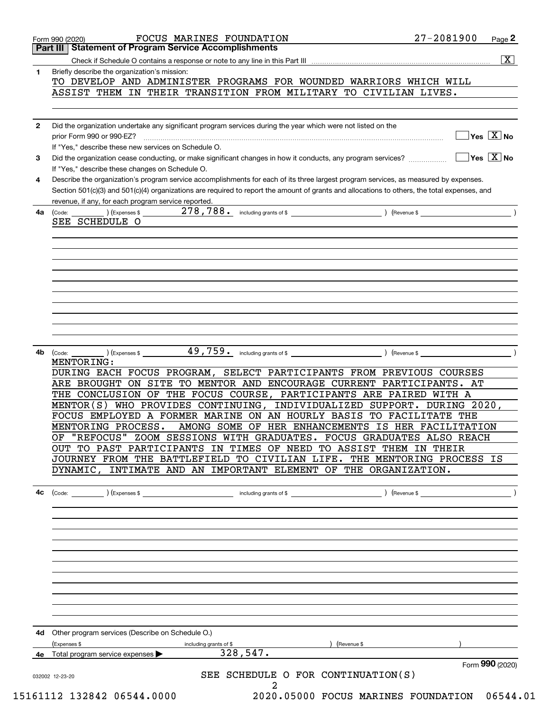| 1.<br>$\mathbf{2}$<br>3<br>4<br>4а<br>(Code:<br>4b<br>(Code: | Part III   Statement of Program Service Accomplishments<br>Briefly describe the organization's mission:<br>prior Form 990 or 990-EZ?<br>If "Yes," describe these new services on Schedule O.<br>If "Yes," describe these changes on Schedule O.<br>revenue, if any, for each program service reported.<br>SEE SCHEDULE O<br>MENTORING:<br>DURING EACH FOCUS PROGRAM, SELECT PARTICIPANTS FROM PREVIOUS COURSES<br>ARE BROUGHT ON SITE TO MENTOR AND ENCOURAGE CURRENT PARTICIPANTS. AT | $\overline{\phantom{a}}$ ) (Expenses \$<br>$\left($ Expenses \$ $\frac{1}{\sqrt{2\pi}}$ |                        |           | Did the organization undertake any significant program services during the year which were not listed on the | TO DEVELOP AND ADMINISTER PROGRAMS FOR WOUNDED WARRIORS WHICH WILL<br>ASSIST THEM IN THEIR TRANSITION FROM MILITARY TO CIVILIAN LIVES.<br>Did the organization cease conducting, or make significant changes in how it conducts, any program services?<br>Describe the organization's program service accomplishments for each of its three largest program services, as measured by expenses.<br>Section 501(c)(3) and 501(c)(4) organizations are required to report the amount of grants and allocations to others, the total expenses, and | $\overline{\mathbf{x}}$                         |
|--------------------------------------------------------------|----------------------------------------------------------------------------------------------------------------------------------------------------------------------------------------------------------------------------------------------------------------------------------------------------------------------------------------------------------------------------------------------------------------------------------------------------------------------------------------|-----------------------------------------------------------------------------------------|------------------------|-----------|--------------------------------------------------------------------------------------------------------------|------------------------------------------------------------------------------------------------------------------------------------------------------------------------------------------------------------------------------------------------------------------------------------------------------------------------------------------------------------------------------------------------------------------------------------------------------------------------------------------------------------------------------------------------|-------------------------------------------------|
|                                                              |                                                                                                                                                                                                                                                                                                                                                                                                                                                                                        |                                                                                         |                        |           |                                                                                                              |                                                                                                                                                                                                                                                                                                                                                                                                                                                                                                                                                |                                                 |
|                                                              |                                                                                                                                                                                                                                                                                                                                                                                                                                                                                        |                                                                                         |                        |           |                                                                                                              |                                                                                                                                                                                                                                                                                                                                                                                                                                                                                                                                                |                                                 |
|                                                              |                                                                                                                                                                                                                                                                                                                                                                                                                                                                                        |                                                                                         |                        |           |                                                                                                              |                                                                                                                                                                                                                                                                                                                                                                                                                                                                                                                                                |                                                 |
|                                                              |                                                                                                                                                                                                                                                                                                                                                                                                                                                                                        |                                                                                         |                        |           |                                                                                                              |                                                                                                                                                                                                                                                                                                                                                                                                                                                                                                                                                | $\exists$ Yes $\boxed{\text{X}}$ No             |
|                                                              |                                                                                                                                                                                                                                                                                                                                                                                                                                                                                        |                                                                                         |                        |           |                                                                                                              |                                                                                                                                                                                                                                                                                                                                                                                                                                                                                                                                                |                                                 |
|                                                              |                                                                                                                                                                                                                                                                                                                                                                                                                                                                                        |                                                                                         |                        |           |                                                                                                              |                                                                                                                                                                                                                                                                                                                                                                                                                                                                                                                                                |                                                 |
|                                                              |                                                                                                                                                                                                                                                                                                                                                                                                                                                                                        |                                                                                         |                        |           |                                                                                                              |                                                                                                                                                                                                                                                                                                                                                                                                                                                                                                                                                |                                                 |
|                                                              |                                                                                                                                                                                                                                                                                                                                                                                                                                                                                        |                                                                                         |                        |           |                                                                                                              |                                                                                                                                                                                                                                                                                                                                                                                                                                                                                                                                                | $\boxed{\phantom{1}}$ Yes $\boxed{\text{X}}$ No |
|                                                              |                                                                                                                                                                                                                                                                                                                                                                                                                                                                                        |                                                                                         |                        |           |                                                                                                              |                                                                                                                                                                                                                                                                                                                                                                                                                                                                                                                                                |                                                 |
|                                                              |                                                                                                                                                                                                                                                                                                                                                                                                                                                                                        |                                                                                         |                        |           |                                                                                                              |                                                                                                                                                                                                                                                                                                                                                                                                                                                                                                                                                |                                                 |
|                                                              |                                                                                                                                                                                                                                                                                                                                                                                                                                                                                        |                                                                                         |                        |           |                                                                                                              |                                                                                                                                                                                                                                                                                                                                                                                                                                                                                                                                                |                                                 |
|                                                              |                                                                                                                                                                                                                                                                                                                                                                                                                                                                                        |                                                                                         |                        |           |                                                                                                              |                                                                                                                                                                                                                                                                                                                                                                                                                                                                                                                                                |                                                 |
|                                                              |                                                                                                                                                                                                                                                                                                                                                                                                                                                                                        |                                                                                         |                        |           |                                                                                                              |                                                                                                                                                                                                                                                                                                                                                                                                                                                                                                                                                |                                                 |
|                                                              |                                                                                                                                                                                                                                                                                                                                                                                                                                                                                        |                                                                                         |                        |           |                                                                                                              |                                                                                                                                                                                                                                                                                                                                                                                                                                                                                                                                                |                                                 |
|                                                              |                                                                                                                                                                                                                                                                                                                                                                                                                                                                                        |                                                                                         |                        |           |                                                                                                              |                                                                                                                                                                                                                                                                                                                                                                                                                                                                                                                                                |                                                 |
|                                                              |                                                                                                                                                                                                                                                                                                                                                                                                                                                                                        |                                                                                         |                        |           |                                                                                                              |                                                                                                                                                                                                                                                                                                                                                                                                                                                                                                                                                |                                                 |
|                                                              |                                                                                                                                                                                                                                                                                                                                                                                                                                                                                        |                                                                                         |                        |           |                                                                                                              |                                                                                                                                                                                                                                                                                                                                                                                                                                                                                                                                                |                                                 |
|                                                              |                                                                                                                                                                                                                                                                                                                                                                                                                                                                                        |                                                                                         |                        |           |                                                                                                              |                                                                                                                                                                                                                                                                                                                                                                                                                                                                                                                                                |                                                 |
|                                                              |                                                                                                                                                                                                                                                                                                                                                                                                                                                                                        |                                                                                         |                        |           |                                                                                                              |                                                                                                                                                                                                                                                                                                                                                                                                                                                                                                                                                |                                                 |
|                                                              |                                                                                                                                                                                                                                                                                                                                                                                                                                                                                        |                                                                                         |                        |           |                                                                                                              |                                                                                                                                                                                                                                                                                                                                                                                                                                                                                                                                                |                                                 |
|                                                              |                                                                                                                                                                                                                                                                                                                                                                                                                                                                                        |                                                                                         |                        |           |                                                                                                              |                                                                                                                                                                                                                                                                                                                                                                                                                                                                                                                                                |                                                 |
|                                                              |                                                                                                                                                                                                                                                                                                                                                                                                                                                                                        |                                                                                         |                        |           |                                                                                                              |                                                                                                                                                                                                                                                                                                                                                                                                                                                                                                                                                |                                                 |
|                                                              |                                                                                                                                                                                                                                                                                                                                                                                                                                                                                        |                                                                                         |                        |           |                                                                                                              |                                                                                                                                                                                                                                                                                                                                                                                                                                                                                                                                                |                                                 |
|                                                              |                                                                                                                                                                                                                                                                                                                                                                                                                                                                                        |                                                                                         |                        |           |                                                                                                              |                                                                                                                                                                                                                                                                                                                                                                                                                                                                                                                                                |                                                 |
|                                                              |                                                                                                                                                                                                                                                                                                                                                                                                                                                                                        |                                                                                         |                        |           |                                                                                                              |                                                                                                                                                                                                                                                                                                                                                                                                                                                                                                                                                |                                                 |
|                                                              |                                                                                                                                                                                                                                                                                                                                                                                                                                                                                        |                                                                                         |                        |           |                                                                                                              |                                                                                                                                                                                                                                                                                                                                                                                                                                                                                                                                                |                                                 |
|                                                              |                                                                                                                                                                                                                                                                                                                                                                                                                                                                                        |                                                                                         |                        |           |                                                                                                              |                                                                                                                                                                                                                                                                                                                                                                                                                                                                                                                                                |                                                 |
|                                                              |                                                                                                                                                                                                                                                                                                                                                                                                                                                                                        |                                                                                         |                        |           |                                                                                                              |                                                                                                                                                                                                                                                                                                                                                                                                                                                                                                                                                |                                                 |
|                                                              |                                                                                                                                                                                                                                                                                                                                                                                                                                                                                        |                                                                                         |                        |           |                                                                                                              | THE CONCLUSION OF THE FOCUS COURSE, PARTICIPANTS ARE PAIRED WITH A                                                                                                                                                                                                                                                                                                                                                                                                                                                                             |                                                 |
|                                                              |                                                                                                                                                                                                                                                                                                                                                                                                                                                                                        |                                                                                         |                        |           |                                                                                                              | MENTOR(S) WHO PROVIDES CONTINUING, INDIVIDUALIZED SUPPORT. DURING 2020,                                                                                                                                                                                                                                                                                                                                                                                                                                                                        |                                                 |
|                                                              |                                                                                                                                                                                                                                                                                                                                                                                                                                                                                        |                                                                                         |                        |           |                                                                                                              | FOCUS EMPLOYED A FORMER MARINE ON AN HOURLY BASIS TO FACILITATE THE                                                                                                                                                                                                                                                                                                                                                                                                                                                                            |                                                 |
|                                                              | MENTORING PROCESS.                                                                                                                                                                                                                                                                                                                                                                                                                                                                     |                                                                                         |                        |           |                                                                                                              | AMONG SOME OF HER ENHANCEMENTS IS HER FACILITATION                                                                                                                                                                                                                                                                                                                                                                                                                                                                                             |                                                 |
|                                                              |                                                                                                                                                                                                                                                                                                                                                                                                                                                                                        |                                                                                         |                        |           |                                                                                                              | OF "REFOCUS" ZOOM SESSIONS WITH GRADUATES. FOCUS GRADUATES ALSO REACH                                                                                                                                                                                                                                                                                                                                                                                                                                                                          |                                                 |
|                                                              |                                                                                                                                                                                                                                                                                                                                                                                                                                                                                        |                                                                                         |                        |           |                                                                                                              | OUT TO PAST PARTICIPANTS IN TIMES OF NEED TO ASSIST THEM IN THEIR                                                                                                                                                                                                                                                                                                                                                                                                                                                                              |                                                 |
|                                                              |                                                                                                                                                                                                                                                                                                                                                                                                                                                                                        |                                                                                         |                        |           |                                                                                                              | JOURNEY FROM THE BATTLEFIELD TO CIVILIAN LIFE. THE MENTORING PROCESS IS                                                                                                                                                                                                                                                                                                                                                                                                                                                                        |                                                 |
|                                                              |                                                                                                                                                                                                                                                                                                                                                                                                                                                                                        |                                                                                         |                        |           |                                                                                                              | DYNAMIC, INTIMATE AND AN IMPORTANT ELEMENT OF THE ORGANIZATION.                                                                                                                                                                                                                                                                                                                                                                                                                                                                                |                                                 |
|                                                              |                                                                                                                                                                                                                                                                                                                                                                                                                                                                                        |                                                                                         |                        |           |                                                                                                              |                                                                                                                                                                                                                                                                                                                                                                                                                                                                                                                                                |                                                 |
| 4c                                                           |                                                                                                                                                                                                                                                                                                                                                                                                                                                                                        |                                                                                         |                        |           |                                                                                                              |                                                                                                                                                                                                                                                                                                                                                                                                                                                                                                                                                |                                                 |
|                                                              |                                                                                                                                                                                                                                                                                                                                                                                                                                                                                        |                                                                                         |                        |           |                                                                                                              |                                                                                                                                                                                                                                                                                                                                                                                                                                                                                                                                                |                                                 |
|                                                              |                                                                                                                                                                                                                                                                                                                                                                                                                                                                                        |                                                                                         |                        |           |                                                                                                              |                                                                                                                                                                                                                                                                                                                                                                                                                                                                                                                                                |                                                 |
|                                                              |                                                                                                                                                                                                                                                                                                                                                                                                                                                                                        |                                                                                         |                        |           |                                                                                                              |                                                                                                                                                                                                                                                                                                                                                                                                                                                                                                                                                |                                                 |
|                                                              |                                                                                                                                                                                                                                                                                                                                                                                                                                                                                        |                                                                                         |                        |           |                                                                                                              |                                                                                                                                                                                                                                                                                                                                                                                                                                                                                                                                                |                                                 |
|                                                              |                                                                                                                                                                                                                                                                                                                                                                                                                                                                                        |                                                                                         |                        |           |                                                                                                              |                                                                                                                                                                                                                                                                                                                                                                                                                                                                                                                                                |                                                 |
|                                                              |                                                                                                                                                                                                                                                                                                                                                                                                                                                                                        |                                                                                         |                        |           |                                                                                                              |                                                                                                                                                                                                                                                                                                                                                                                                                                                                                                                                                |                                                 |
|                                                              |                                                                                                                                                                                                                                                                                                                                                                                                                                                                                        |                                                                                         |                        |           |                                                                                                              |                                                                                                                                                                                                                                                                                                                                                                                                                                                                                                                                                |                                                 |
|                                                              |                                                                                                                                                                                                                                                                                                                                                                                                                                                                                        |                                                                                         |                        |           |                                                                                                              |                                                                                                                                                                                                                                                                                                                                                                                                                                                                                                                                                |                                                 |
|                                                              |                                                                                                                                                                                                                                                                                                                                                                                                                                                                                        |                                                                                         |                        |           |                                                                                                              |                                                                                                                                                                                                                                                                                                                                                                                                                                                                                                                                                |                                                 |
|                                                              |                                                                                                                                                                                                                                                                                                                                                                                                                                                                                        |                                                                                         |                        |           |                                                                                                              |                                                                                                                                                                                                                                                                                                                                                                                                                                                                                                                                                |                                                 |
|                                                              |                                                                                                                                                                                                                                                                                                                                                                                                                                                                                        |                                                                                         |                        |           |                                                                                                              |                                                                                                                                                                                                                                                                                                                                                                                                                                                                                                                                                |                                                 |
|                                                              | 4d Other program services (Describe on Schedule O.)                                                                                                                                                                                                                                                                                                                                                                                                                                    |                                                                                         |                        |           |                                                                                                              |                                                                                                                                                                                                                                                                                                                                                                                                                                                                                                                                                |                                                 |
|                                                              | (Expenses \$                                                                                                                                                                                                                                                                                                                                                                                                                                                                           |                                                                                         | including grants of \$ |           | ) (Revenue \$                                                                                                |                                                                                                                                                                                                                                                                                                                                                                                                                                                                                                                                                |                                                 |
| 4e                                                           |                                                                                                                                                                                                                                                                                                                                                                                                                                                                                        |                                                                                         |                        | 328, 547. |                                                                                                              |                                                                                                                                                                                                                                                                                                                                                                                                                                                                                                                                                |                                                 |
|                                                              |                                                                                                                                                                                                                                                                                                                                                                                                                                                                                        | Total program service expenses                                                          |                        |           |                                                                                                              |                                                                                                                                                                                                                                                                                                                                                                                                                                                                                                                                                | Form 990 (2020)                                 |
| 032002 12-23-20                                              |                                                                                                                                                                                                                                                                                                                                                                                                                                                                                        |                                                                                         |                        |           |                                                                                                              | SEE SCHEDULE O FOR CONTINUATION(S)                                                                                                                                                                                                                                                                                                                                                                                                                                                                                                             |                                                 |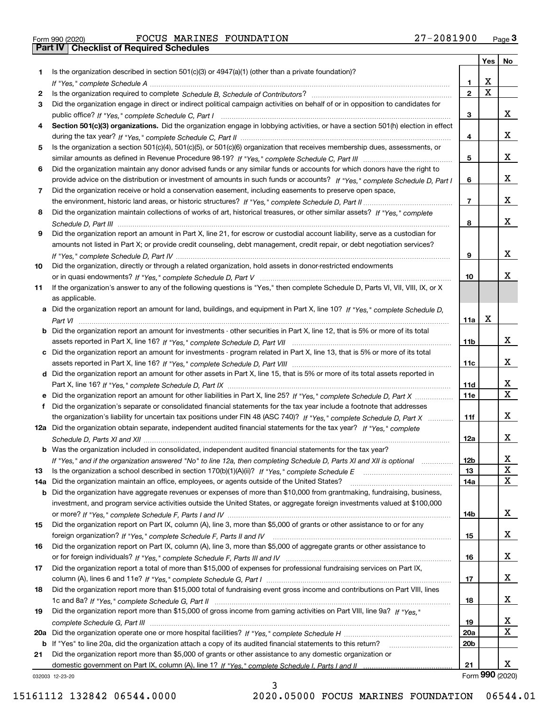|  | Form 990 (2020) |
|--|-----------------|

|     |                                                                                                                                       |                 |             | Yes   No        |
|-----|---------------------------------------------------------------------------------------------------------------------------------------|-----------------|-------------|-----------------|
| 1.  | Is the organization described in section $501(c)(3)$ or $4947(a)(1)$ (other than a private foundation)?                               |                 |             |                 |
|     |                                                                                                                                       | 1.              | X           |                 |
| 2   |                                                                                                                                       | $\overline{2}$  | $\mathbf X$ |                 |
| 3   | Did the organization engage in direct or indirect political campaign activities on behalf of or in opposition to candidates for       |                 |             |                 |
|     |                                                                                                                                       | 3               |             | x               |
| 4   | Section 501(c)(3) organizations. Did the organization engage in lobbying activities, or have a section 501(h) election in effect      |                 |             |                 |
|     |                                                                                                                                       | 4               |             | x               |
| 5   | Is the organization a section 501(c)(4), 501(c)(5), or 501(c)(6) organization that receives membership dues, assessments, or          |                 |             |                 |
|     |                                                                                                                                       | 5               |             | x               |
| 6   | Did the organization maintain any donor advised funds or any similar funds or accounts for which donors have the right to             |                 |             |                 |
|     | provide advice on the distribution or investment of amounts in such funds or accounts? If "Yes," complete Schedule D, Part I          | 6               |             | x               |
| 7   | Did the organization receive or hold a conservation easement, including easements to preserve open space,                             |                 |             |                 |
|     |                                                                                                                                       | $\overline{7}$  |             | x               |
| 8   | Did the organization maintain collections of works of art, historical treasures, or other similar assets? If "Yes," complete          |                 |             |                 |
|     |                                                                                                                                       | 8               |             | x               |
| 9   | Did the organization report an amount in Part X, line 21, for escrow or custodial account liability, serve as a custodian for         |                 |             |                 |
|     | amounts not listed in Part X; or provide credit counseling, debt management, credit repair, or debt negotiation services?             |                 |             |                 |
|     |                                                                                                                                       | 9               |             | x               |
| 10  | Did the organization, directly or through a related organization, hold assets in donor-restricted endowments                          |                 |             |                 |
|     |                                                                                                                                       | 10              |             | x               |
| 11  | If the organization's answer to any of the following questions is "Yes," then complete Schedule D, Parts VI, VII, VIII, IX, or X      |                 |             |                 |
|     | as applicable.                                                                                                                        |                 |             |                 |
|     | a Did the organization report an amount for land, buildings, and equipment in Part X, line 10? If "Yes," complete Schedule D,         |                 | X           |                 |
|     |                                                                                                                                       | 11a             |             |                 |
|     | <b>b</b> Did the organization report an amount for investments - other securities in Part X, line 12, that is 5% or more of its total | 11 <sub>b</sub> |             | x               |
|     | c Did the organization report an amount for investments - program related in Part X, line 13, that is 5% or more of its total         |                 |             |                 |
|     |                                                                                                                                       | 11c             |             | x               |
|     | d Did the organization report an amount for other assets in Part X, line 15, that is 5% or more of its total assets reported in       |                 |             |                 |
|     |                                                                                                                                       | <b>11d</b>      |             | x               |
|     | e Did the organization report an amount for other liabilities in Part X, line 25? If "Yes," complete Schedule D, Part X               | <b>11e</b>      |             | $\mathbf{x}$    |
| f   | Did the organization's separate or consolidated financial statements for the tax year include a footnote that addresses               |                 |             |                 |
|     | the organization's liability for uncertain tax positions under FIN 48 (ASC 740)? If "Yes," complete Schedule D, Part X                | 11f             |             | x               |
|     | 12a Did the organization obtain separate, independent audited financial statements for the tax year? If "Yes," complete               |                 |             |                 |
|     |                                                                                                                                       | 12a             |             | x               |
|     | <b>b</b> Was the organization included in consolidated, independent audited financial statements for the tax year?                    |                 |             |                 |
|     | If "Yes," and if the organization answered "No" to line 12a, then completing Schedule D, Parts XI and XII is optional                 | סצר             |             | Χ               |
| 13  |                                                                                                                                       | 13              |             | X               |
| 14a | Did the organization maintain an office, employees, or agents outside of the United States?                                           | 14a             |             | X               |
|     | <b>b</b> Did the organization have aggregate revenues or expenses of more than \$10,000 from grantmaking, fundraising, business,      |                 |             |                 |
|     | investment, and program service activities outside the United States, or aggregate foreign investments valued at \$100,000            |                 |             |                 |
|     |                                                                                                                                       | 14b             |             | x               |
| 15  | Did the organization report on Part IX, column (A), line 3, more than \$5,000 of grants or other assistance to or for any             |                 |             |                 |
|     |                                                                                                                                       | 15              |             | x               |
| 16  | Did the organization report on Part IX, column (A), line 3, more than \$5,000 of aggregate grants or other assistance to              |                 |             |                 |
|     |                                                                                                                                       | 16              |             | x               |
| 17  | Did the organization report a total of more than \$15,000 of expenses for professional fundraising services on Part IX,               |                 |             |                 |
|     |                                                                                                                                       | 17              |             | x               |
| 18  | Did the organization report more than \$15,000 total of fundraising event gross income and contributions on Part VIII, lines          |                 |             |                 |
|     |                                                                                                                                       | 18              |             | x               |
| 19  | Did the organization report more than \$15,000 of gross income from gaming activities on Part VIII, line 9a? If "Yes."                |                 |             |                 |
|     |                                                                                                                                       | 19              |             | x               |
|     |                                                                                                                                       | 20a             |             | X               |
|     | b If "Yes" to line 20a, did the organization attach a copy of its audited financial statements to this return?                        | 20 <sub>b</sub> |             |                 |
| 21  | Did the organization report more than \$5,000 of grants or other assistance to any domestic organization or                           |                 |             | x               |
|     |                                                                                                                                       | 21              |             | Form 990 (2020) |
|     | 032003 12-23-20                                                                                                                       |                 |             |                 |

032003 12-23-20

3 15161112 132842 06544.0000 2020.05000 FOCUS MARINES FOUNDATION 06544.01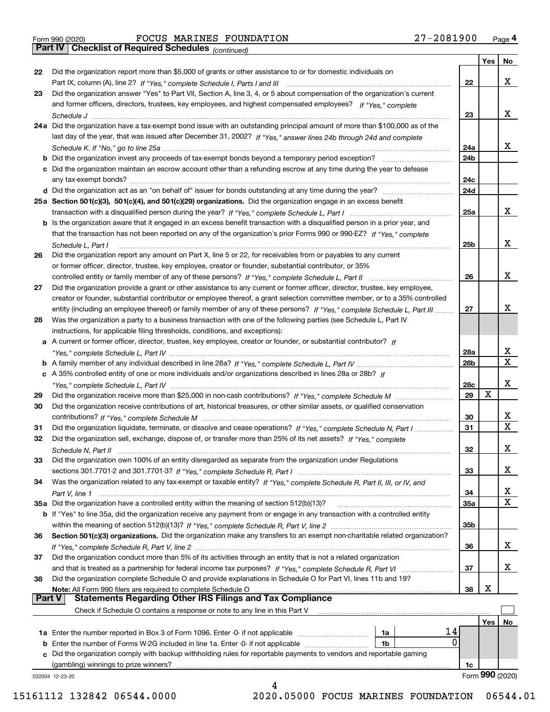|  | Form 990 (2020) |
|--|-----------------|
|  |                 |

*(continued)*

|               |                                                                                                                              |                 | Yes | No.              |
|---------------|------------------------------------------------------------------------------------------------------------------------------|-----------------|-----|------------------|
| 22            | Did the organization report more than \$5,000 of grants or other assistance to or for domestic individuals on                |                 |     |                  |
|               |                                                                                                                              | 22              |     | х                |
| 23            | Did the organization answer "Yes" to Part VII, Section A, line 3, 4, or 5 about compensation of the organization's current   |                 |     |                  |
|               | and former officers, directors, trustees, key employees, and highest compensated employees? If "Yes," complete               |                 |     |                  |
|               |                                                                                                                              | 23              |     | х                |
|               | 24a Did the organization have a tax-exempt bond issue with an outstanding principal amount of more than \$100,000 as of the  |                 |     |                  |
|               | last day of the year, that was issued after December 31, 2002? If "Yes," answer lines 24b through 24d and complete           |                 |     |                  |
|               |                                                                                                                              | 24a             |     | x                |
|               | b Did the organization invest any proceeds of tax-exempt bonds beyond a temporary period exception?                          | 24b             |     |                  |
|               | c Did the organization maintain an escrow account other than a refunding escrow at any time during the year to defease       |                 |     |                  |
|               |                                                                                                                              | 24c             |     |                  |
|               |                                                                                                                              | 24d             |     |                  |
|               | 25a Section 501(c)(3), 501(c)(4), and 501(c)(29) organizations. Did the organization engage in an excess benefit             |                 |     |                  |
|               |                                                                                                                              | 25a             |     | х                |
|               | b Is the organization aware that it engaged in an excess benefit transaction with a disqualified person in a prior year, and |                 |     |                  |
|               | that the transaction has not been reported on any of the organization's prior Forms 990 or 990-EZ? If "Yes," complete        |                 |     |                  |
|               | Schedule L, Part I                                                                                                           | 25 <sub>b</sub> |     | х                |
| 26            | Did the organization report any amount on Part X, line 5 or 22, for receivables from or payables to any current              |                 |     |                  |
|               | or former officer, director, trustee, key employee, creator or founder, substantial contributor, or 35%                      |                 |     |                  |
|               |                                                                                                                              | 26              |     | х                |
| 27            | Did the organization provide a grant or other assistance to any current or former officer, director, trustee, key employee,  |                 |     |                  |
|               |                                                                                                                              |                 |     |                  |
|               | creator or founder, substantial contributor or employee thereof, a grant selection committee member, or to a 35% controlled  | 27              |     | х                |
|               | entity (including an employee thereof) or family member of any of these persons? If "Yes," complete Schedule L, Part III     |                 |     |                  |
| 28            | Was the organization a party to a business transaction with one of the following parties (see Schedule L, Part IV            |                 |     |                  |
|               | instructions, for applicable filing thresholds, conditions, and exceptions):                                                 |                 |     |                  |
|               | a A current or former officer, director, trustee, key employee, creator or founder, or substantial contributor? If           |                 |     |                  |
|               |                                                                                                                              | 28a             |     | X<br>$\mathbf X$ |
|               |                                                                                                                              | 28b             |     |                  |
|               | c A 35% controlled entity of one or more individuals and/or organizations described in lines 28a or 28b? If                  |                 |     |                  |
|               |                                                                                                                              | 28c             |     | х                |
| 29            |                                                                                                                              | 29              | x   |                  |
| 30            | Did the organization receive contributions of art, historical treasures, or other similar assets, or qualified conservation  |                 |     |                  |
|               |                                                                                                                              | 30              |     | X                |
| 31            | Did the organization liquidate, terminate, or dissolve and cease operations? If "Yes," complete Schedule N, Part I           | 31              |     | $\mathbf x$      |
| 32            | Did the organization sell, exchange, dispose of, or transfer more than 25% of its net assets? If "Yes," complete             |                 |     |                  |
|               | Schedule N, Part II                                                                                                          | 32              |     | х                |
| 33            | Did the organization own 100% of an entity disregarded as separate from the organization under Regulations                   |                 |     |                  |
|               |                                                                                                                              | 33              |     | х                |
| 34            | Was the organization related to any tax-exempt or taxable entity? If "Yes," complete Schedule R, Part II, III, or IV, and    |                 |     |                  |
|               |                                                                                                                              | 34              |     | x                |
|               | 35a Did the organization have a controlled entity within the meaning of section 512(b)(13)?                                  | 35a             |     | X                |
|               | b If "Yes" to line 35a, did the organization receive any payment from or engage in any transaction with a controlled entity  |                 |     |                  |
|               |                                                                                                                              | 35 <sub>b</sub> |     |                  |
| 36            | Section 501(c)(3) organizations. Did the organization make any transfers to an exempt non-charitable related organization?   |                 |     |                  |
|               |                                                                                                                              | 36              |     | X                |
| 37            | Did the organization conduct more than 5% of its activities through an entity that is not a related organization             |                 |     |                  |
|               | and that is treated as a partnership for federal income tax purposes? If "Yes," complete Schedule R, Part VI                 | 37              |     | x                |
| 38            | Did the organization complete Schedule O and provide explanations in Schedule O for Part VI, lines 11b and 19?               |                 |     |                  |
|               | Note: All Form 990 filers are required to complete Schedule O                                                                | 38              | х   |                  |
| <b>Part V</b> | <b>Statements Regarding Other IRS Filings and Tax Compliance</b>                                                             |                 |     |                  |
|               | Check if Schedule O contains a response or note to any line in this Part V                                                   |                 |     |                  |
|               |                                                                                                                              |                 | Yes | No               |
|               | 14<br><b>1a</b> Enter the number reported in Box 3 of Form 1096. Enter -0- if not applicable <i>manumumumum</i><br>1a        |                 |     |                  |
|               | 0<br>1b                                                                                                                      |                 |     |                  |
|               | c Did the organization comply with backup withholding rules for reportable payments to vendors and reportable gaming         |                 |     |                  |
|               | (gambling) winnings to prize winners?                                                                                        | 1c              |     |                  |
|               | 032004 12-23-20                                                                                                              |                 |     | Form 990 (2020)  |
|               | 4                                                                                                                            |                 |     |                  |

15161112 132842 06544.0000 2020.05000 FOCUS MARINES FOUNDATION 06544.01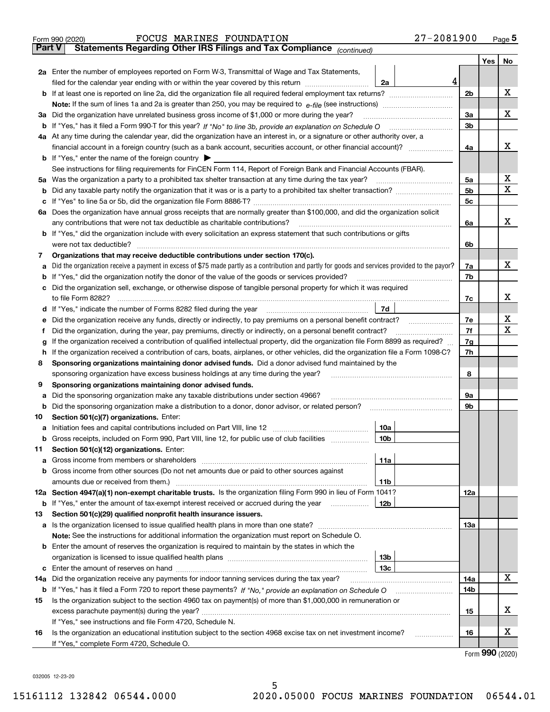| Part V | 27-2081900<br>FOCUS MARINES FOUNDATION<br>Form 990 (2020)<br>Statements Regarding Other IRS Filings and Tax Compliance (continued)                                                           |                |            | Page $5$      |  |  |  |  |
|--------|----------------------------------------------------------------------------------------------------------------------------------------------------------------------------------------------|----------------|------------|---------------|--|--|--|--|
|        |                                                                                                                                                                                              |                | <b>Yes</b> | No            |  |  |  |  |
|        | 2a Enter the number of employees reported on Form W-3, Transmittal of Wage and Tax Statements,                                                                                               |                |            |               |  |  |  |  |
|        | 4<br>filed for the calendar year ending with or within the year covered by this return <i>manumumumum</i><br>2a                                                                              |                |            |               |  |  |  |  |
|        |                                                                                                                                                                                              | 2 <sub>b</sub> |            | х             |  |  |  |  |
|        | Note: If the sum of lines 1a and 2a is greater than 250, you may be required to $e$ -file (see instructions) <i>marrouum</i> manu-                                                           |                |            |               |  |  |  |  |
|        | 3a Did the organization have unrelated business gross income of \$1,000 or more during the year?                                                                                             | 3a             |            | х             |  |  |  |  |
|        | b If "Yes," has it filed a Form 990-T for this year? If "No" to line 3b, provide an explanation on Schedule O                                                                                | 3b             |            |               |  |  |  |  |
|        | 4a At any time during the calendar year, did the organization have an interest in, or a signature or other authority over, a                                                                 |                |            |               |  |  |  |  |
|        |                                                                                                                                                                                              | 4a             |            | х             |  |  |  |  |
|        | <b>b</b> If "Yes," enter the name of the foreign country $\blacktriangleright$                                                                                                               |                |            |               |  |  |  |  |
|        | See instructions for filing requirements for FinCEN Form 114, Report of Foreign Bank and Financial Accounts (FBAR).                                                                          |                |            |               |  |  |  |  |
|        | 5a Was the organization a party to a prohibited tax shelter transaction at any time during the tax year?                                                                                     | 5a             |            | х             |  |  |  |  |
| b      |                                                                                                                                                                                              | 5 <sub>b</sub> |            | X             |  |  |  |  |
| с      |                                                                                                                                                                                              | 5c             |            |               |  |  |  |  |
|        | 6a Does the organization have annual gross receipts that are normally greater than \$100,000, and did the organization solicit                                                               |                |            |               |  |  |  |  |
|        | any contributions that were not tax deductible as charitable contributions?                                                                                                                  | 6a             |            | x             |  |  |  |  |
|        | b If "Yes," did the organization include with every solicitation an express statement that such contributions or gifts                                                                       |                |            |               |  |  |  |  |
|        | were not tax deductible?                                                                                                                                                                     | 6b             |            |               |  |  |  |  |
| 7      | Organizations that may receive deductible contributions under section 170(c).                                                                                                                |                |            |               |  |  |  |  |
| а      | Did the organization receive a payment in excess of \$75 made partly as a contribution and partly for goods and services provided to the payor?                                              | 7a             |            | х             |  |  |  |  |
| b      | If "Yes," did the organization notify the donor of the value of the goods or services provided?                                                                                              | 7b             |            |               |  |  |  |  |
| с      | Did the organization sell, exchange, or otherwise dispose of tangible personal property for which it was required                                                                            |                |            |               |  |  |  |  |
|        | to file Form 8282?                                                                                                                                                                           | 7c             |            | х             |  |  |  |  |
| d      | 7d<br>If "Yes," indicate the number of Forms 8282 filed during the year                                                                                                                      | 7e             |            | x             |  |  |  |  |
| е      | Did the organization receive any funds, directly or indirectly, to pay premiums on a personal benefit contract?                                                                              |                |            |               |  |  |  |  |
|        | Did the organization, during the year, pay premiums, directly or indirectly, on a personal benefit contract?<br>f                                                                            |                |            |               |  |  |  |  |
| g      | If the organization received a contribution of qualified intellectual property, did the organization file Form 8899 as required?                                                             |                |            |               |  |  |  |  |
|        | If the organization received a contribution of cars, boats, airplanes, or other vehicles, did the organization file a Form 1098-C?<br>h                                                      |                |            |               |  |  |  |  |
| 8      | Sponsoring organizations maintaining donor advised funds. Did a donor advised fund maintained by the                                                                                         |                |            |               |  |  |  |  |
|        | sponsoring organization have excess business holdings at any time during the year?                                                                                                           | 8              |            |               |  |  |  |  |
| 9      | Sponsoring organizations maintaining donor advised funds.                                                                                                                                    | 9а             |            |               |  |  |  |  |
| b      | Did the sponsoring organization make any taxable distributions under section 4966?<br>а<br>Did the sponsoring organization make a distribution to a donor, donor advisor, or related person? |                |            |               |  |  |  |  |
| 10     | Section 501(c)(7) organizations. Enter:                                                                                                                                                      | 9b             |            |               |  |  |  |  |
|        | a Initiation fees and capital contributions included on Part VIII, line 12<br>10a                                                                                                            |                |            |               |  |  |  |  |
|        | <b>b</b> Gross receipts, included on Form 990, Part VIII, line 12, for public use of club facilities<br>10 <sub>b</sub>                                                                      |                |            |               |  |  |  |  |
| 11     | Section 501(c)(12) organizations. Enter:                                                                                                                                                     |                |            |               |  |  |  |  |
| а      | 11a                                                                                                                                                                                          |                |            |               |  |  |  |  |
| b      | Gross income from other sources (Do not net amounts due or paid to other sources against                                                                                                     |                |            |               |  |  |  |  |
|        | 11b                                                                                                                                                                                          |                |            |               |  |  |  |  |
|        | 12a Section 4947(a)(1) non-exempt charitable trusts. Is the organization filing Form 990 in lieu of Form 1041?                                                                               | 12a            |            |               |  |  |  |  |
| b      | If "Yes," enter the amount of tax-exempt interest received or accrued during the year<br>12 <sub>b</sub>                                                                                     |                |            |               |  |  |  |  |
| 13     | Section 501(c)(29) qualified nonprofit health insurance issuers.                                                                                                                             |                |            |               |  |  |  |  |
| а      |                                                                                                                                                                                              | 13a            |            |               |  |  |  |  |
|        | Note: See the instructions for additional information the organization must report on Schedule O.                                                                                            |                |            |               |  |  |  |  |
| b      | Enter the amount of reserves the organization is required to maintain by the states in which the                                                                                             |                |            |               |  |  |  |  |
|        | 13 <sub>b</sub>                                                                                                                                                                              |                |            |               |  |  |  |  |
| c      | 13 <sub>c</sub>                                                                                                                                                                              |                |            |               |  |  |  |  |
| 14a    | Did the organization receive any payments for indoor tanning services during the tax year?                                                                                                   | 14a            |            | х             |  |  |  |  |
| b      |                                                                                                                                                                                              | 14b            |            |               |  |  |  |  |
| 15     | Is the organization subject to the section 4960 tax on payment(s) of more than \$1,000,000 in remuneration or                                                                                |                |            |               |  |  |  |  |
|        |                                                                                                                                                                                              | 15             |            | х             |  |  |  |  |
|        | If "Yes," see instructions and file Form 4720, Schedule N.                                                                                                                                   |                |            |               |  |  |  |  |
| 16     | Is the organization an educational institution subject to the section 4968 excise tax on net investment income?<br>.                                                                         | 16             |            | х             |  |  |  |  |
|        | If "Yes," complete Form 4720, Schedule O.                                                                                                                                                    |                |            | $\mathbf{QQ}$ |  |  |  |  |

5

Form (2020) **990**

032005 12-23-20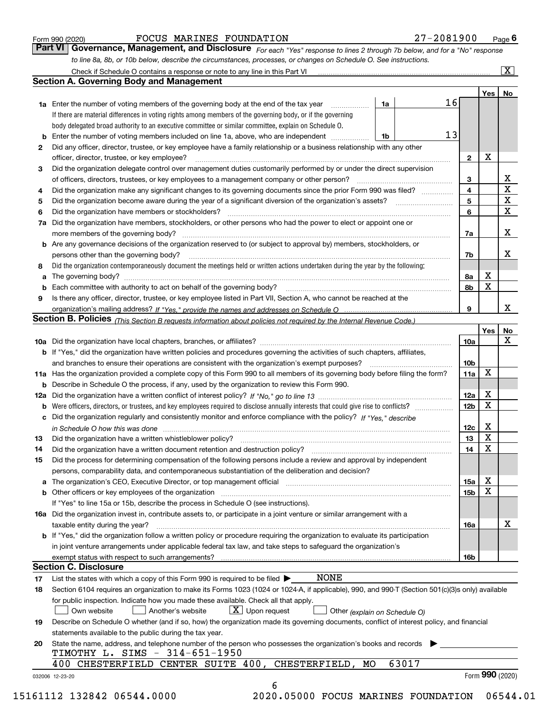|  | Form 990 (2020) |
|--|-----------------|
|  |                 |

### FOCUS MARINES FOUNDATION 27-2081900

*For each "Yes" response to lines 2 through 7b below, and for a "No" response to line 8a, 8b, or 10b below, describe the circumstances, processes, or changes on Schedule O. See instructions.* Form 990 (2020) **FOCUS MARINES FOUNDATION** 27 – 2081900 Page 6<br>**Part VI Governance, Management, and Disclosure** For each "Yes" response to lines 2 through 7b below, and for a "No" response Check if Schedule O contains a response or note to any line in this Part VI

|                 |                                                                                                                                                                               |    |       |    |                 | Yes             | No                      |  |  |
|-----------------|-------------------------------------------------------------------------------------------------------------------------------------------------------------------------------|----|-------|----|-----------------|-----------------|-------------------------|--|--|
|                 | <b>1a</b> Enter the number of voting members of the governing body at the end of the tax year                                                                                 | 1a |       | 16 |                 |                 |                         |  |  |
|                 | If there are material differences in voting rights among members of the governing body, or if the governing                                                                   |    |       |    |                 |                 |                         |  |  |
|                 | body delegated broad authority to an executive committee or similar committee, explain on Schedule O.                                                                         |    |       |    |                 |                 |                         |  |  |
|                 |                                                                                                                                                                               | 1b |       | 13 |                 |                 |                         |  |  |
| $\mathbf{2}$    | Did any officer, director, trustee, or key employee have a family relationship or a business relationship with any other                                                      |    |       |    |                 |                 |                         |  |  |
|                 | officer, director, trustee, or key employee?                                                                                                                                  |    |       |    | $\mathbf{2}$    | X               |                         |  |  |
| 3               | Did the organization delegate control over management duties customarily performed by or under the direct supervision                                                         |    |       |    |                 |                 |                         |  |  |
|                 |                                                                                                                                                                               |    |       |    | 3               |                 | X                       |  |  |
| 4               | Did the organization make any significant changes to its governing documents since the prior Form 990 was filed?                                                              |    |       |    | 4               |                 | $\overline{\mathbf{x}}$ |  |  |
| 5               |                                                                                                                                                                               |    |       |    | 5               |                 | $\mathbf X$             |  |  |
| 6               | Did the organization have members or stockholders?                                                                                                                            |    |       |    | 6               |                 | $\mathbf x$             |  |  |
|                 | 7a Did the organization have members, stockholders, or other persons who had the power to elect or appoint one or                                                             |    |       |    |                 |                 |                         |  |  |
|                 |                                                                                                                                                                               |    |       |    | 7a              |                 | x                       |  |  |
|                 | <b>b</b> Are any governance decisions of the organization reserved to (or subject to approval by) members, stockholders, or                                                   |    |       |    |                 |                 |                         |  |  |
|                 | persons other than the governing body?                                                                                                                                        |    |       |    | 7b              |                 | х                       |  |  |
| 8               | Did the organization contemporaneously document the meetings held or written actions undertaken during the year by the following:                                             |    |       |    |                 |                 |                         |  |  |
| a               |                                                                                                                                                                               |    |       |    | 8a              | X               |                         |  |  |
|                 |                                                                                                                                                                               |    |       |    | 8b              | X               |                         |  |  |
| 9               | Is there any officer, director, trustee, or key employee listed in Part VII, Section A, who cannot be reached at the                                                          |    |       |    |                 |                 |                         |  |  |
|                 |                                                                                                                                                                               |    |       |    | 9               |                 | х                       |  |  |
|                 | Section B. Policies (This Section B requests information about policies not required by the Internal Revenue Code.)                                                           |    |       |    |                 |                 |                         |  |  |
|                 |                                                                                                                                                                               |    |       |    |                 | Yes             | No                      |  |  |
|                 |                                                                                                                                                                               |    |       |    | 10a             |                 | X                       |  |  |
|                 | <b>b</b> If "Yes," did the organization have written policies and procedures governing the activities of such chapters, affiliates,                                           |    |       |    |                 |                 |                         |  |  |
|                 |                                                                                                                                                                               |    |       |    | 10 <sub>b</sub> |                 |                         |  |  |
|                 | 11a Has the organization provided a complete copy of this Form 990 to all members of its governing body before filing the form?                                               |    |       |    | 11a             | X               |                         |  |  |
|                 | <b>b</b> Describe in Schedule O the process, if any, used by the organization to review this Form 990.                                                                        |    |       |    |                 |                 |                         |  |  |
|                 |                                                                                                                                                                               |    |       |    | 12a             | X               |                         |  |  |
| b               |                                                                                                                                                                               |    |       |    | 12b             | X               |                         |  |  |
|                 | c Did the organization regularly and consistently monitor and enforce compliance with the policy? If "Yes," describe                                                          |    |       |    |                 |                 |                         |  |  |
|                 |                                                                                                                                                                               |    |       |    |                 | х               |                         |  |  |
|                 | in Schedule O how this was done manufactured and continuum control of the Schedule O how this was done manufactured and continuum control of the Schedule O how this was done |    |       |    | 12c<br>13       | X               |                         |  |  |
| 13              |                                                                                                                                                                               |    |       |    | 14              | X               |                         |  |  |
| 14              | Did the organization have a written document retention and destruction policy? manufactured and the organization have a written document retention and destruction policy?    |    |       |    |                 |                 |                         |  |  |
| 15              | Did the process for determining compensation of the following persons include a review and approval by independent                                                            |    |       |    |                 |                 |                         |  |  |
|                 | persons, comparability data, and contemporaneous substantiation of the deliberation and decision?                                                                             |    |       |    |                 | X               |                         |  |  |
|                 | a The organization's CEO, Executive Director, or top management official manufactured content of the organization's CEO, Executive Director, or top management official       |    |       |    | 15a             |                 |                         |  |  |
|                 |                                                                                                                                                                               |    |       |    | 15b             | X               |                         |  |  |
|                 | If "Yes" to line 15a or 15b, describe the process in Schedule O (see instructions).                                                                                           |    |       |    |                 |                 |                         |  |  |
|                 | 16a Did the organization invest in, contribute assets to, or participate in a joint venture or similar arrangement with a                                                     |    |       |    |                 |                 |                         |  |  |
|                 | taxable entity during the year?                                                                                                                                               |    |       |    | 16a             |                 | X                       |  |  |
|                 | b If "Yes," did the organization follow a written policy or procedure requiring the organization to evaluate its participation                                                |    |       |    |                 |                 |                         |  |  |
|                 | in joint venture arrangements under applicable federal tax law, and take steps to safeguard the organization's                                                                |    |       |    |                 |                 |                         |  |  |
|                 | exempt status with respect to such arrangements?                                                                                                                              |    |       |    | 16b             |                 |                         |  |  |
|                 | <b>Section C. Disclosure</b>                                                                                                                                                  |    |       |    |                 |                 |                         |  |  |
| 17              | <b>NONE</b><br>List the states with which a copy of this Form 990 is required to be filed $\blacktriangleright$                                                               |    |       |    |                 |                 |                         |  |  |
| 18              | Section 6104 requires an organization to make its Forms 1023 (1024 or 1024-A, if applicable), 990, and 990-T (Section 501(c)(3)s only) available                              |    |       |    |                 |                 |                         |  |  |
|                 | for public inspection. Indicate how you made these available. Check all that apply.                                                                                           |    |       |    |                 |                 |                         |  |  |
|                 | $X$ Upon request<br>Own website<br>Another's website<br>Other (explain on Schedule O)                                                                                         |    |       |    |                 |                 |                         |  |  |
| 19              | Describe on Schedule O whether (and if so, how) the organization made its governing documents, conflict of interest policy, and financial                                     |    |       |    |                 |                 |                         |  |  |
|                 | statements available to the public during the tax year.                                                                                                                       |    |       |    |                 |                 |                         |  |  |
| 20              | State the name, address, and telephone number of the person who possesses the organization's books and records                                                                |    |       |    |                 |                 |                         |  |  |
|                 | TIMOTHY L. SIMS - 314-651-1950                                                                                                                                                |    |       |    |                 |                 |                         |  |  |
|                 | 400 CHESTERFIELD CENTER SUITE 400, CHESTERFIELD,<br>MО                                                                                                                        |    | 63017 |    |                 |                 |                         |  |  |
| 032006 12-23-20 |                                                                                                                                                                               |    |       |    |                 | Form 990 (2020) |                         |  |  |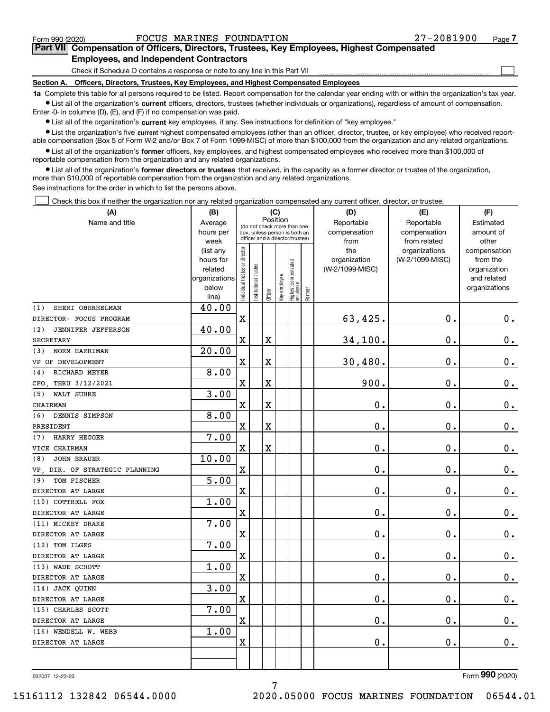$\mathcal{L}^{\text{max}}$ 

# **7Part VII Compensation of Officers, Directors, Trustees, Key Employees, Highest Compensated Employees, and Independent Contractors**

Check if Schedule O contains a response or note to any line in this Part VII

**Section A. Officers, Directors, Trustees, Key Employees, and Highest Compensated Employees**

**1a**  Complete this table for all persons required to be listed. Report compensation for the calendar year ending with or within the organization's tax year. **•** List all of the organization's current officers, directors, trustees (whether individuals or organizations), regardless of amount of compensation.

Enter -0- in columns (D), (E), and (F) if no compensation was paid.

 $\bullet$  List all of the organization's  $\,$ current key employees, if any. See instructions for definition of "key employee."

**•** List the organization's five current highest compensated employees (other than an officer, director, trustee, or key employee) who received reportable compensation (Box 5 of Form W-2 and/or Box 7 of Form 1099-MISC) of more than \$100,000 from the organization and any related organizations.

**•** List all of the organization's former officers, key employees, and highest compensated employees who received more than \$100,000 of reportable compensation from the organization and any related organizations.

**former directors or trustees**  ¥ List all of the organization's that received, in the capacity as a former director or trustee of the organization, more than \$10,000 of reportable compensation from the organization and any related organizations.

See instructions for the order in which to list the persons above.

Check this box if neither the organization nor any related organization compensated any current officer, director, or trustee.  $\mathcal{L}^{\text{max}}$ 

| (A)                              | (B)               | (C)                            |                                                                  |                         |              |                                   |        | (D)                  | (E)                          | (F)                    |
|----------------------------------|-------------------|--------------------------------|------------------------------------------------------------------|-------------------------|--------------|-----------------------------------|--------|----------------------|------------------------------|------------------------|
| Name and title                   | Average           |                                | (do not check more than one                                      | Position                |              |                                   |        | Reportable           | Reportable                   | Estimated<br>amount of |
|                                  | hours per<br>week |                                | box, unless person is both an<br>officer and a director/trustee) |                         |              |                                   |        | compensation<br>from | compensation<br>from related | other                  |
|                                  | (list any         |                                |                                                                  |                         |              |                                   |        | the                  | organizations                | compensation           |
|                                  | hours for         |                                |                                                                  |                         |              |                                   |        | organization         | (W-2/1099-MISC)              | from the               |
|                                  | related           |                                |                                                                  |                         |              |                                   |        | (W-2/1099-MISC)      |                              | organization           |
|                                  | organizations     |                                |                                                                  |                         |              |                                   |        |                      |                              | and related            |
|                                  | below             | Individual trustee or director | Institutional trustee                                            | Officer                 | Key employee | Highest compensated<br>  employee | Former |                      |                              | organizations          |
| (1)<br>SHERI OBERHELMAN          | line)<br>40.00    |                                |                                                                  |                         |              |                                   |        |                      |                              |                        |
| DIRECTOR- FOCUS PROGRAM          |                   | $\mathbf X$                    |                                                                  |                         |              |                                   |        | 63,425.              | 0.                           | 0.                     |
| (2)<br><b>JENNIFER JEFFERSON</b> | 40.00             |                                |                                                                  |                         |              |                                   |        |                      |                              |                        |
| <b>SECRETARY</b>                 |                   | $\mathbf x$                    |                                                                  | X                       |              |                                   |        | 34,100.              | $\mathbf 0$ .                | $\mathbf 0$ .          |
| NORM HARRIMAN<br>(3)             | 20.00             |                                |                                                                  |                         |              |                                   |        |                      |                              |                        |
| VP OF DEVELOPMENT                |                   | $\mathbf X$                    |                                                                  | $\overline{\mathbf{X}}$ |              |                                   |        | 30,480.              | $\mathbf 0$ .                | $\mathbf 0$ .          |
| RICHARD MEYER<br>(4)             | 8.00              |                                |                                                                  |                         |              |                                   |        |                      |                              |                        |
| THRU 3/12/2021<br>CFO.           |                   | $\rm X$                        |                                                                  | $\overline{\mathbf{X}}$ |              |                                   |        | 900.                 | $\mathbf 0$ .                | $\mathbf 0$ .          |
| WALT SUHRE<br>(5)                | 3.00              |                                |                                                                  |                         |              |                                   |        |                      |                              |                        |
| CHAIRMAN                         |                   | $\mathbf x$                    |                                                                  | $\overline{\textbf{X}}$ |              |                                   |        | 0.                   | $\mathbf 0$ .                | $\mathbf 0$ .          |
| (6)<br>DENNIS SIMPSON            | 8.00              |                                |                                                                  |                         |              |                                   |        |                      |                              |                        |
| PRESIDENT                        |                   | X                              |                                                                  | $\overline{\textbf{X}}$ |              |                                   |        | 0.                   | $\mathbf 0$ .                | $\mathbf 0$ .          |
| HARRY HEGGER<br>(7)              | 7.00              |                                |                                                                  |                         |              |                                   |        |                      |                              |                        |
| VICE CHAIRMAN                    |                   | $\rm X$                        |                                                                  | $\overline{\textbf{X}}$ |              |                                   |        | 0.                   | $\mathbf 0$ .                | $\mathbf 0$ .          |
| <b>JOHN BRAUER</b><br>(8)        | 10.00             |                                |                                                                  |                         |              |                                   |        |                      |                              |                        |
| VP, DIR. OF STRATEGIC PLANNING   |                   | X                              |                                                                  |                         |              |                                   |        | 0.                   | $\mathbf 0$ .                | $\mathbf 0$ .          |
| TOM FISCHER<br>(9)               | 5.00              |                                |                                                                  |                         |              |                                   |        |                      |                              |                        |
| DIRECTOR AT LARGE                |                   | $\mathbf X$                    |                                                                  |                         |              |                                   |        | 0.                   | $\mathbf 0$ .                | $0_{.}$                |
| (10) COTTRELL FOX                | 1.00              |                                |                                                                  |                         |              |                                   |        |                      |                              |                        |
| DIRECTOR AT LARGE                |                   | $\mathbf X$                    |                                                                  |                         |              |                                   |        | 0.                   | $\mathbf 0$ .                | $\mathbf 0$ .          |
| (11) MICKEY DRAKE                | 7.00              |                                |                                                                  |                         |              |                                   |        |                      |                              |                        |
| DIRECTOR AT LARGE                |                   | $\rm X$                        |                                                                  |                         |              |                                   |        | $\mathbf{0}$ .       | $\mathbf 0$ .                | $0$ .                  |
| (12) TOM ILGES                   | 7.00              |                                |                                                                  |                         |              |                                   |        |                      |                              |                        |
| DIRECTOR AT LARGE                |                   | X                              |                                                                  |                         |              |                                   |        | 0.                   | $\mathbf 0$ .                | $0_{.}$                |
| (13) WADE SCHOTT                 | 1.00              |                                |                                                                  |                         |              |                                   |        |                      |                              |                        |
| DIRECTOR AT LARGE                |                   | $\mathbf x$                    |                                                                  |                         |              |                                   |        | 0.                   | $\mathbf 0$ .                | $\mathbf 0$ .          |
| (14) JACK QUINN                  | 3.00              |                                |                                                                  |                         |              |                                   |        |                      |                              |                        |
| DIRECTOR AT LARGE                |                   | $\mathbf X$                    |                                                                  |                         |              |                                   |        | 0.                   | 0.                           | 0.                     |
| (15) CHARLES SCOTT               | 7.00              |                                |                                                                  |                         |              |                                   |        |                      |                              |                        |
| DIRECTOR AT LARGE                |                   | $\mathbf x$                    |                                                                  |                         |              |                                   |        | 0.                   | $\mathbf 0$ .                | 0.                     |
| (16) WENDELL W. WEBB             | 1.00              |                                |                                                                  |                         |              |                                   |        |                      |                              |                        |
| DIRECTOR AT LARGE                |                   | X                              |                                                                  |                         |              |                                   |        | 0.                   | $\mathbf 0$ .                | 0.                     |
|                                  |                   |                                |                                                                  |                         |              |                                   |        |                      |                              |                        |
|                                  |                   |                                |                                                                  |                         |              |                                   |        |                      |                              |                        |

7

032007 12-23-20

Form (2020) **990**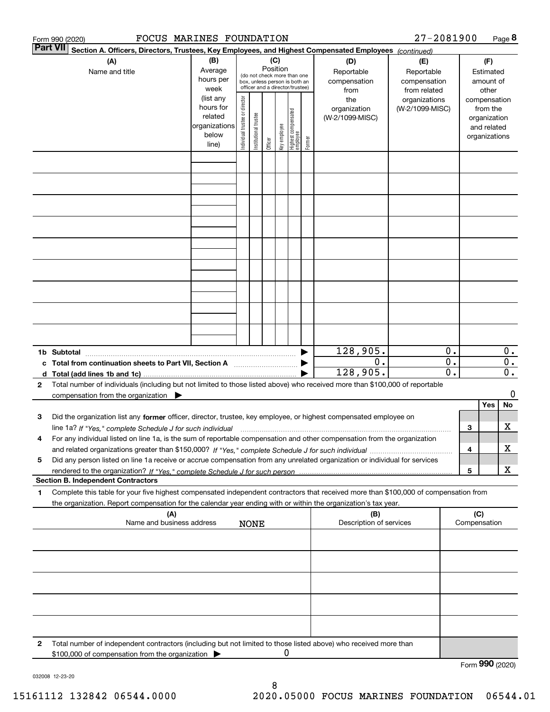| 27-2081900<br>FOCUS MARINES FOUNDATION<br>Form 990 (2020)                                                                 |                                                                                                                                                                                                                                                                     |                                                                      |                                |                       |                 |              |                                                                                                 |        | Page 8                                    |                                                   |                                                          |   |                                                                          |                                               |
|---------------------------------------------------------------------------------------------------------------------------|---------------------------------------------------------------------------------------------------------------------------------------------------------------------------------------------------------------------------------------------------------------------|----------------------------------------------------------------------|--------------------------------|-----------------------|-----------------|--------------|-------------------------------------------------------------------------------------------------|--------|-------------------------------------------|---------------------------------------------------|----------------------------------------------------------|---|--------------------------------------------------------------------------|-----------------------------------------------|
| <b>Part VII</b><br>Section A. Officers, Directors, Trustees, Key Employees, and Highest Compensated Employees (continued) |                                                                                                                                                                                                                                                                     |                                                                      |                                |                       |                 |              |                                                                                                 |        |                                           |                                                   |                                                          |   |                                                                          |                                               |
| (B)<br>(A)<br>Average<br>Name and title<br>hours per<br>week                                                              |                                                                                                                                                                                                                                                                     |                                                                      |                                |                       | (C)<br>Position |              | (do not check more than one<br>box, unless person is both an<br>officer and a director/trustee) |        | (D)<br>Reportable<br>compensation<br>from | (E)<br>Reportable<br>compensation<br>from related |                                                          |   | (F)<br>Estimated<br>amount of<br>other                                   |                                               |
|                                                                                                                           |                                                                                                                                                                                                                                                                     | (list any<br>hours for<br>related<br>organizations<br>below<br>line) | Individual trustee or director | Institutional trustee | Officer         | key employee | Highest compensated<br>  employee                                                               | Former | the<br>organization<br>(W-2/1099-MISC)    | organizations<br>(W-2/1099-MISC)                  |                                                          |   | compensation<br>from the<br>organization<br>and related<br>organizations |                                               |
|                                                                                                                           |                                                                                                                                                                                                                                                                     |                                                                      |                                |                       |                 |              |                                                                                                 |        |                                           |                                                   |                                                          |   |                                                                          |                                               |
|                                                                                                                           |                                                                                                                                                                                                                                                                     |                                                                      |                                |                       |                 |              |                                                                                                 |        |                                           |                                                   |                                                          |   |                                                                          |                                               |
|                                                                                                                           |                                                                                                                                                                                                                                                                     |                                                                      |                                |                       |                 |              |                                                                                                 |        |                                           |                                                   |                                                          |   |                                                                          |                                               |
|                                                                                                                           |                                                                                                                                                                                                                                                                     |                                                                      |                                |                       |                 |              |                                                                                                 |        |                                           |                                                   |                                                          |   |                                                                          |                                               |
|                                                                                                                           |                                                                                                                                                                                                                                                                     |                                                                      |                                |                       |                 |              |                                                                                                 |        |                                           |                                                   |                                                          |   |                                                                          |                                               |
|                                                                                                                           |                                                                                                                                                                                                                                                                     |                                                                      |                                |                       |                 |              |                                                                                                 |        |                                           |                                                   |                                                          |   |                                                                          |                                               |
|                                                                                                                           |                                                                                                                                                                                                                                                                     |                                                                      |                                |                       |                 |              |                                                                                                 |        |                                           |                                                   |                                                          |   |                                                                          |                                               |
|                                                                                                                           |                                                                                                                                                                                                                                                                     |                                                                      |                                |                       |                 |              |                                                                                                 |        |                                           |                                                   |                                                          |   |                                                                          |                                               |
|                                                                                                                           | 1b Subtotal                                                                                                                                                                                                                                                         |                                                                      |                                |                       |                 |              |                                                                                                 |        | 128,905.                                  |                                                   | 0.                                                       |   |                                                                          | $0$ .                                         |
|                                                                                                                           | c Total from continuation sheets to Part VII, Section A                                                                                                                                                                                                             |                                                                      |                                |                       |                 |              |                                                                                                 |        | 0.<br>128,905.                            |                                                   | $\overline{\mathbf{0}}$ .<br>$\overline{\mathfrak{o}}$ . |   |                                                                          | $\overline{0}$ .<br>$\overline{\mathbf{0}}$ . |
| $\mathbf{2}$                                                                                                              | Total number of individuals (including but not limited to those listed above) who received more than \$100,000 of reportable<br>compensation from the organization $\blacktriangleright$                                                                            |                                                                      |                                |                       |                 |              |                                                                                                 |        |                                           |                                                   |                                                          |   |                                                                          | 0                                             |
|                                                                                                                           |                                                                                                                                                                                                                                                                     |                                                                      |                                |                       |                 |              |                                                                                                 |        |                                           |                                                   |                                                          |   | Yes                                                                      | No                                            |
| з                                                                                                                         | Did the organization list any former officer, director, trustee, key employee, or highest compensated employee on                                                                                                                                                   |                                                                      |                                |                       |                 |              |                                                                                                 |        |                                           |                                                   |                                                          |   |                                                                          | х                                             |
| 4                                                                                                                         | line 1a? If "Yes," complete Schedule J for such individual manufactured contained and the Yes," complete Schedule J for such individual<br>For any individual listed on line 1a, is the sum of reportable compensation and other compensation from the organization |                                                                      |                                |                       |                 |              |                                                                                                 |        |                                           |                                                   |                                                          | 3 |                                                                          |                                               |
| 5                                                                                                                         | Did any person listed on line 1a receive or accrue compensation from any unrelated organization or individual for services                                                                                                                                          |                                                                      |                                |                       |                 |              |                                                                                                 |        |                                           |                                                   |                                                          | 4 |                                                                          | х                                             |
|                                                                                                                           | <b>Section B. Independent Contractors</b>                                                                                                                                                                                                                           |                                                                      |                                |                       |                 |              |                                                                                                 |        |                                           |                                                   |                                                          | 5 |                                                                          | X                                             |
| 1                                                                                                                         | Complete this table for your five highest compensated independent contractors that received more than \$100,000 of compensation from                                                                                                                                |                                                                      |                                |                       |                 |              |                                                                                                 |        |                                           |                                                   |                                                          |   |                                                                          |                                               |
|                                                                                                                           | the organization. Report compensation for the calendar year ending with or within the organization's tax year.<br>(A)<br>(B)<br>Name and business address<br>Description of services<br><b>NONE</b>                                                                 |                                                                      |                                |                       |                 |              |                                                                                                 |        | (C)                                       | Compensation                                      |                                                          |   |                                                                          |                                               |
|                                                                                                                           |                                                                                                                                                                                                                                                                     |                                                                      |                                |                       |                 |              |                                                                                                 |        |                                           |                                                   |                                                          |   |                                                                          |                                               |
|                                                                                                                           |                                                                                                                                                                                                                                                                     |                                                                      |                                |                       |                 |              |                                                                                                 |        |                                           |                                                   |                                                          |   |                                                                          |                                               |
|                                                                                                                           |                                                                                                                                                                                                                                                                     |                                                                      |                                |                       |                 |              |                                                                                                 |        |                                           |                                                   |                                                          |   |                                                                          |                                               |
|                                                                                                                           |                                                                                                                                                                                                                                                                     |                                                                      |                                |                       |                 |              |                                                                                                 |        |                                           |                                                   |                                                          |   |                                                                          |                                               |
|                                                                                                                           |                                                                                                                                                                                                                                                                     |                                                                      |                                |                       |                 |              |                                                                                                 |        |                                           |                                                   |                                                          |   |                                                                          |                                               |
| 2                                                                                                                         | Total number of independent contractors (including but not limited to those listed above) who received more than<br>\$100,000 of compensation from the organization                                                                                                 |                                                                      |                                |                       |                 | 0            |                                                                                                 |        |                                           |                                                   |                                                          |   |                                                                          |                                               |
|                                                                                                                           |                                                                                                                                                                                                                                                                     |                                                                      |                                |                       |                 |              |                                                                                                 |        |                                           |                                                   |                                                          |   | Form 990 (2020)                                                          |                                               |

032008 12-23-20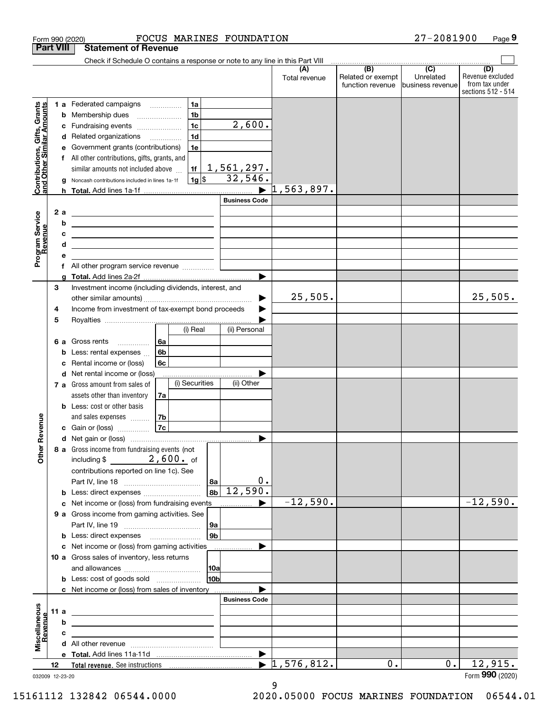| Form 990 (2020)                                           |     |        | FOCUS MARINES FOUNDATION                                                                                              |                      |                                  |                                              | 27-2081900                                        | Page 9                                                          |
|-----------------------------------------------------------|-----|--------|-----------------------------------------------------------------------------------------------------------------------|----------------------|----------------------------------|----------------------------------------------|---------------------------------------------------|-----------------------------------------------------------------|
| <b>Part VIII</b>                                          |     |        | <b>Statement of Revenue</b>                                                                                           |                      |                                  |                                              |                                                   |                                                                 |
|                                                           |     |        | Check if Schedule O contains a response or note to any line in this Part VIII                                         |                      |                                  |                                              |                                                   |                                                                 |
|                                                           |     |        |                                                                                                                       |                      | (A)<br>Total revenue             | (B)<br>Related or exempt<br>function revenue | $\overline{(C)}$<br>Unrelated<br>business revenue | (D)<br>Revenue excluded<br>from tax under<br>sections 512 - 514 |
|                                                           |     |        | 1a<br>1 a Federated campaigns                                                                                         |                      |                                  |                                              |                                                   |                                                                 |
| Contributions, Gifts, Grants<br>and Other Similar Amounts |     |        | 1 <sub>b</sub><br><b>b</b> Membership dues <i></i>                                                                    |                      |                                  |                                              |                                                   |                                                                 |
|                                                           |     |        | 1 <sub>c</sub><br>c Fundraising events                                                                                | 2,600.               |                                  |                                              |                                                   |                                                                 |
|                                                           |     |        | 1 <sub>d</sub><br>d Related organizations                                                                             |                      |                                  |                                              |                                                   |                                                                 |
|                                                           |     |        | Government grants (contributions)<br>1e                                                                               |                      |                                  |                                              |                                                   |                                                                 |
|                                                           |     |        | f All other contributions, gifts, grants, and                                                                         |                      |                                  |                                              |                                                   |                                                                 |
|                                                           |     |        | similar amounts not included above<br>1f                                                                              | 1,561,297.           |                                  |                                              |                                                   |                                                                 |
|                                                           |     | g      | $ 1g $ \$<br>Noncash contributions included in lines 1a-1f                                                            | 32,546.              |                                  |                                              |                                                   |                                                                 |
|                                                           |     |        |                                                                                                                       |                      | $\blacktriangleright$ 1,563,897. |                                              |                                                   |                                                                 |
|                                                           |     |        |                                                                                                                       | <b>Business Code</b> |                                  |                                              |                                                   |                                                                 |
| Program Service<br>Revenue                                | 2 a |        | <u> 1980 - Jan Sterling, mars and de la provincia de la provincia de la provincia de la provincia de la provincia</u> |                      |                                  |                                              |                                                   |                                                                 |
|                                                           |     | b      | <u> 1989 - Johann Stein, marwolaethau a bhann an t-Amhainn an t-Amhainn an t-Amhainn an t-Amhainn an t-Amhainn an</u> |                      |                                  |                                              |                                                   |                                                                 |
| evenue                                                    |     | c<br>d | <u> 1989 - Johann Stein, mars an deutscher Stein († 1989)</u>                                                         |                      |                                  |                                              |                                                   |                                                                 |
|                                                           |     | е      | the contract of the contract of the contract of the contract of the contract of                                       |                      |                                  |                                              |                                                   |                                                                 |
|                                                           |     |        |                                                                                                                       |                      |                                  |                                              |                                                   |                                                                 |
|                                                           |     | a      |                                                                                                                       |                      |                                  |                                              |                                                   |                                                                 |
|                                                           | 3   |        | Investment income (including dividends, interest, and                                                                 |                      |                                  |                                              |                                                   |                                                                 |
|                                                           |     |        |                                                                                                                       | ▶                    | 25,505.                          |                                              |                                                   | 25,505.                                                         |
|                                                           | 4   |        | Income from investment of tax-exempt bond proceeds                                                                    |                      |                                  |                                              |                                                   |                                                                 |
|                                                           | 5   |        |                                                                                                                       |                      |                                  |                                              |                                                   |                                                                 |
|                                                           |     |        | (i) Real                                                                                                              | (ii) Personal        |                                  |                                              |                                                   |                                                                 |
|                                                           | 6а  |        | 6а<br>Gross rents                                                                                                     |                      |                                  |                                              |                                                   |                                                                 |
|                                                           |     | b      | 6b<br>Less: rental expenses                                                                                           |                      |                                  |                                              |                                                   |                                                                 |
|                                                           |     | с      | 6c<br>Rental income or (loss)                                                                                         |                      |                                  |                                              |                                                   |                                                                 |
|                                                           |     |        | d Net rental income or (loss)<br>(i) Securities                                                                       | (ii) Other           |                                  |                                              |                                                   |                                                                 |
|                                                           |     |        | 7 a Gross amount from sales of<br>assets other than inventory<br>7a                                                   |                      |                                  |                                              |                                                   |                                                                 |
|                                                           |     |        | <b>b</b> Less: cost or other basis                                                                                    |                      |                                  |                                              |                                                   |                                                                 |
|                                                           |     |        | and sales expenses<br>7b                                                                                              |                      |                                  |                                              |                                                   |                                                                 |
| wenue                                                     |     |        | 7c<br><b>c</b> Gain or (loss) $\ldots$                                                                                |                      |                                  |                                              |                                                   |                                                                 |
|                                                           |     |        |                                                                                                                       |                      |                                  |                                              |                                                   |                                                                 |
| Other R                                                   |     |        | 8 a Gross income from fundraising events (not                                                                         |                      |                                  |                                              |                                                   |                                                                 |
|                                                           |     |        | including \$ $2,600$ of                                                                                               |                      |                                  |                                              |                                                   |                                                                 |
|                                                           |     |        | contributions reported on line 1c). See                                                                               |                      |                                  |                                              |                                                   |                                                                 |
|                                                           |     |        | l 8a l                                                                                                                | 0.                   |                                  |                                              |                                                   |                                                                 |
|                                                           |     |        | 8b <br><b>b</b> Less: direct expenses <b>constants</b> b                                                              | 12,590.              |                                  |                                              |                                                   |                                                                 |
|                                                           |     |        | c Net income or (loss) from fundraising events                                                                        |                      | $-12,590.$                       |                                              |                                                   | $-12,590.$                                                      |
|                                                           |     |        | 9 a Gross income from gaming activities. See                                                                          |                      |                                  |                                              |                                                   |                                                                 |
|                                                           |     |        | 9a                                                                                                                    |                      |                                  |                                              |                                                   |                                                                 |
|                                                           |     |        | 9b <br>c Net income or (loss) from gaming activities                                                                  |                      |                                  |                                              |                                                   |                                                                 |
|                                                           |     |        | 10 a Gross sales of inventory, less returns                                                                           |                      |                                  |                                              |                                                   |                                                                 |
|                                                           |     |        | 10a                                                                                                                   |                      |                                  |                                              |                                                   |                                                                 |
|                                                           |     |        | 10 <sub>b</sub><br><b>b</b> Less: cost of goods sold                                                                  |                      |                                  |                                              |                                                   |                                                                 |
|                                                           |     |        | <b>c</b> Net income or (loss) from sales of inventory                                                                 |                      |                                  |                                              |                                                   |                                                                 |
|                                                           |     |        |                                                                                                                       | <b>Business Code</b> |                                  |                                              |                                                   |                                                                 |
|                                                           | 11a |        |                                                                                                                       |                      |                                  |                                              |                                                   |                                                                 |
|                                                           |     | b      |                                                                                                                       |                      |                                  |                                              |                                                   |                                                                 |
|                                                           |     | c      |                                                                                                                       |                      |                                  |                                              |                                                   |                                                                 |
| Miscellaneous<br>Revenue                                  |     |        |                                                                                                                       |                      |                                  |                                              |                                                   |                                                                 |
|                                                           |     |        |                                                                                                                       | ▶                    |                                  |                                              |                                                   |                                                                 |
|                                                           | 12  |        |                                                                                                                       |                      | $\blacktriangleright$ 1,576,812. | 0.                                           | 0.                                                | 12,915.<br>Form 990 (2020)                                      |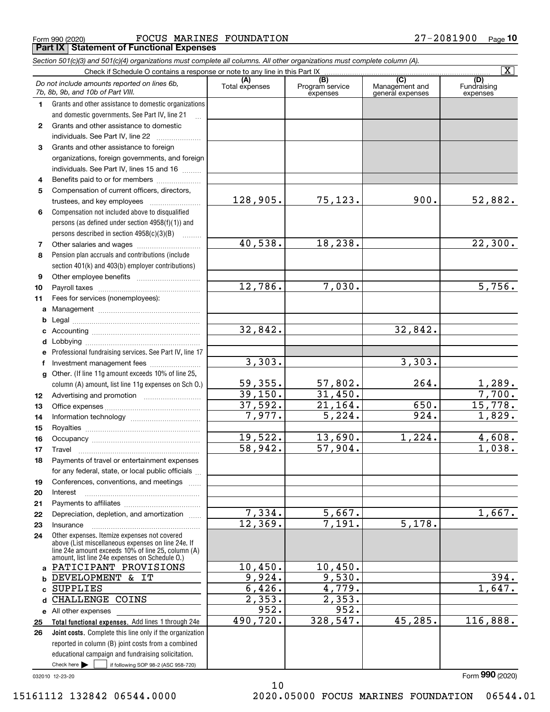Form 990 (2020) FOCUS MARINES FOUNDATION 27-2081900 Page **Part IX Statement of Functional Expenses**

|              | Section 501(c)(3) and 501(c)(4) organizations must complete all columns. All other organizations must complete column (A). |                       |                                    |                                                      |                                |
|--------------|----------------------------------------------------------------------------------------------------------------------------|-----------------------|------------------------------------|------------------------------------------------------|--------------------------------|
|              | Check if Schedule O contains a response or note to any line in this Part IX                                                |                       |                                    |                                                      | $\overline{\mathbf{X}}$        |
|              | Do not include amounts reported on lines 6b,<br>7b, 8b, 9b, and 10b of Part VIII.                                          | (A)<br>Total expenses | (B)<br>Program service<br>expenses | $\overline{C}$<br>Management and<br>general expenses | (D)<br>Fundraising<br>expenses |
| 1.           | Grants and other assistance to domestic organizations                                                                      |                       |                                    |                                                      |                                |
|              | and domestic governments. See Part IV, line 21                                                                             |                       |                                    |                                                      |                                |
| $\mathbf{2}$ | Grants and other assistance to domestic                                                                                    |                       |                                    |                                                      |                                |
|              | individuals. See Part IV, line 22<br>.                                                                                     |                       |                                    |                                                      |                                |
| 3            | Grants and other assistance to foreign                                                                                     |                       |                                    |                                                      |                                |
|              | organizations, foreign governments, and foreign                                                                            |                       |                                    |                                                      |                                |
|              | individuals. See Part IV, lines 15 and 16                                                                                  |                       |                                    |                                                      |                                |
| 4            | Benefits paid to or for members                                                                                            |                       |                                    |                                                      |                                |
| 5            | Compensation of current officers, directors,                                                                               |                       |                                    |                                                      |                                |
|              | trustees, and key employees                                                                                                | 128,905.              | 75,123.                            | 900.                                                 | 52,882.                        |
| 6            | Compensation not included above to disqualified                                                                            |                       |                                    |                                                      |                                |
|              | persons (as defined under section 4958(f)(1)) and                                                                          |                       |                                    |                                                      |                                |
|              | persons described in section 4958(c)(3)(B)                                                                                 |                       |                                    |                                                      |                                |
| 7            |                                                                                                                            | 40,538.               | 18,238.                            |                                                      | 22,300.                        |
| 8            | Pension plan accruals and contributions (include                                                                           |                       |                                    |                                                      |                                |
|              | section 401(k) and 403(b) employer contributions)                                                                          |                       |                                    |                                                      |                                |
| 9            |                                                                                                                            |                       |                                    |                                                      |                                |
| 10           |                                                                                                                            | 12,786.               | 7,030.                             |                                                      | 5,756.                         |
| 11           | Fees for services (nonemployees):                                                                                          |                       |                                    |                                                      |                                |
| a            |                                                                                                                            |                       |                                    |                                                      |                                |
| b            |                                                                                                                            |                       |                                    |                                                      |                                |
| c            |                                                                                                                            | 32,842.               |                                    | 32,842.                                              |                                |
| d            |                                                                                                                            |                       |                                    |                                                      |                                |
| е            | Professional fundraising services. See Part IV, line 17                                                                    |                       |                                    |                                                      |                                |
| f            | Investment management fees                                                                                                 | 3,303.                |                                    | 3,303.                                               |                                |
|              | g Other. (If line 11g amount exceeds 10% of line 25,                                                                       |                       |                                    |                                                      |                                |
|              | column (A) amount, list line 11g expenses on Sch 0.)                                                                       | 59,355.<br>39,150.    | 57,802.<br>31,450.                 | 264.                                                 | $\frac{1,289.}{7,700.}$        |
| 12           |                                                                                                                            | 37,592.               | 21, 164.                           | 650.                                                 | 15,778.                        |
| 13           |                                                                                                                            | 7,977.                | 5,224.                             | 924.                                                 | 1,829.                         |
| 14           |                                                                                                                            |                       |                                    |                                                      |                                |
| 15           |                                                                                                                            | 19,522.               | 13,690.                            | 1,224.                                               | 4,608.                         |
| 16           |                                                                                                                            | 58,942.               | 57,904.                            |                                                      | 1,038.                         |
| 17           | Payments of travel or entertainment expenses                                                                               |                       |                                    |                                                      |                                |
| 18           |                                                                                                                            |                       |                                    |                                                      |                                |
|              | for any federal, state, or local public officials                                                                          |                       |                                    |                                                      |                                |
| 19           | Conferences, conventions, and meetings<br>Interest                                                                         |                       |                                    |                                                      |                                |
| 20<br>21     |                                                                                                                            |                       |                                    |                                                      |                                |
| 22           | Depreciation, depletion, and amortization                                                                                  | 7,334.                | 5,667.                             |                                                      | 1,667.                         |
| 23           | Insurance                                                                                                                  | 12,369.               | 7,191.                             | $\overline{5,178.}$                                  |                                |
| 24           | Other expenses. Itemize expenses not covered                                                                               |                       |                                    |                                                      |                                |
|              | above (List miscellaneous expenses on line 24e. If                                                                         |                       |                                    |                                                      |                                |
|              | line 24e amount exceeds 10% of line 25, column (A)<br>amount, list line 24e expenses on Schedule O.)                       |                       |                                    |                                                      |                                |
|              | a PATICIPANT PROVISIONS                                                                                                    | 10,450.               | 10,450.                            |                                                      |                                |
| b            | DEVELOPMENT & IT                                                                                                           | 9,924.                | 9,530.                             |                                                      | 394.                           |
| C.           | <b>SUPPLIES</b>                                                                                                            | 6,426.                | 4,779.                             |                                                      | 1,647.                         |
| d            | CHALLENGE<br>COINS                                                                                                         | 2,353.                | 2,353.                             |                                                      |                                |
|              | e All other expenses                                                                                                       | 952.                  | 952.                               |                                                      |                                |
| 25           | Total functional expenses. Add lines 1 through 24e                                                                         | 490,720.              | 328,547.                           | 45,285.                                              | 116,888.                       |
| 26           | <b>Joint costs.</b> Complete this line only if the organization                                                            |                       |                                    |                                                      |                                |
|              | reported in column (B) joint costs from a combined                                                                         |                       |                                    |                                                      |                                |
|              | educational campaign and fundraising solicitation.                                                                         |                       |                                    |                                                      |                                |
|              | Check here $\blacktriangleright$<br>if following SOP 98-2 (ASC 958-720)                                                    |                       |                                    |                                                      |                                |

10

032010 12-23-20

15161112 132842 06544.0000 2020.05000 FOCUS MARINES FOUNDATION 06544.01

Form (2020) **990**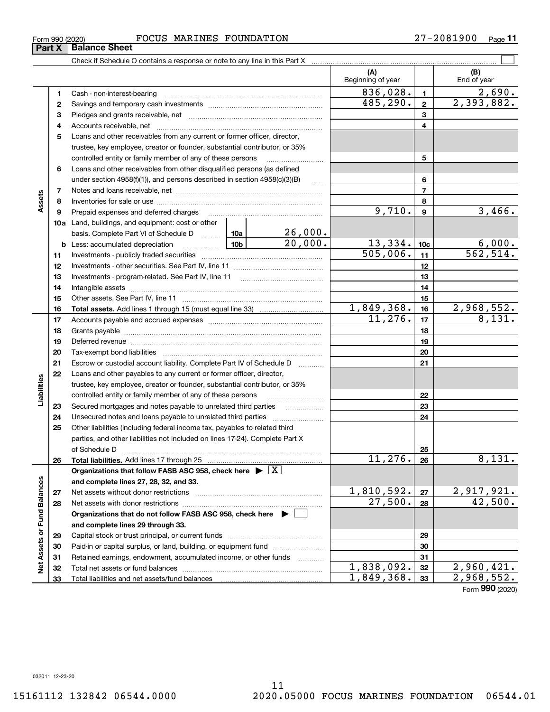Form (2020) **990**

#### Form 990 (2020) FOCUS MARINES FOUNDATION 27-2081900 Page **Part X Balance Sheet**

Check if Schedule O contains a response or note to any line in this Part X

|                             |          |                                                                                                                                                                                                                                |                        |                   | (A)<br>Beginning of year |                  | (B)<br>End of year          |
|-----------------------------|----------|--------------------------------------------------------------------------------------------------------------------------------------------------------------------------------------------------------------------------------|------------------------|-------------------|--------------------------|------------------|-----------------------------|
|                             | 1        |                                                                                                                                                                                                                                |                        |                   | 836,028.                 | $\mathbf{1}$     | 2,690.                      |
|                             | 2        |                                                                                                                                                                                                                                |                        |                   | 485,290.                 | $\mathbf{2}$     | 2,393,882.                  |
|                             | 3        |                                                                                                                                                                                                                                |                        | 3                 |                          |                  |                             |
|                             | 4        |                                                                                                                                                                                                                                |                        | 4                 |                          |                  |                             |
|                             | 5        | Loans and other receivables from any current or former officer, director,                                                                                                                                                      |                        |                   |                          |                  |                             |
|                             |          | trustee, key employee, creator or founder, substantial contributor, or 35%                                                                                                                                                     |                        |                   |                          |                  |                             |
|                             |          | controlled entity or family member of any of these persons                                                                                                                                                                     |                        |                   | 5                        |                  |                             |
|                             | 6        | Loans and other receivables from other disqualified persons (as defined                                                                                                                                                        |                        |                   |                          |                  |                             |
|                             |          | under section $4958(f)(1)$ , and persons described in section $4958(c)(3)(B)$                                                                                                                                                  |                        | 6                 |                          |                  |                             |
|                             | 7        |                                                                                                                                                                                                                                |                        |                   |                          | $\overline{7}$   |                             |
| Assets                      | 8        |                                                                                                                                                                                                                                |                        |                   |                          | 8                |                             |
|                             | 9        | Prepaid expenses and deferred charges                                                                                                                                                                                          |                        |                   | 9,710.                   | $\boldsymbol{9}$ | 3,466.                      |
|                             |          | 10a Land, buildings, and equipment: cost or other                                                                                                                                                                              |                        |                   |                          |                  |                             |
|                             |          | basis. Complete Part VI of Schedule D  10a                                                                                                                                                                                     |                        | 26,000.           |                          |                  |                             |
|                             |          | <u> 10b</u><br><b>b</b> Less: accumulated depreciation                                                                                                                                                                         |                        | 20,000.           | 13,334.                  | 10 <sub>c</sub>  | $\frac{6,000}{562,514}$ .   |
|                             | 11       |                                                                                                                                                                                                                                | $\overline{505,006}$ . | 11                |                          |                  |                             |
|                             | 12       |                                                                                                                                                                                                                                |                        | 12                |                          |                  |                             |
|                             | 13       |                                                                                                                                                                                                                                |                        | 13                |                          |                  |                             |
|                             | 14       |                                                                                                                                                                                                                                |                        | 14                |                          |                  |                             |
|                             | 15       |                                                                                                                                                                                                                                |                        |                   |                          | 15               |                             |
|                             | 16       |                                                                                                                                                                                                                                |                        |                   | 1,849,368.               | 16               | $\frac{2,968,552.}{8,131.}$ |
|                             | 17       |                                                                                                                                                                                                                                |                        |                   | 11,276.                  | 17               |                             |
|                             | 18       |                                                                                                                                                                                                                                |                        | 18                |                          |                  |                             |
|                             | 19       | Deferred revenue manual contracts and contracts are all the contracts and contracts are contracted and contracts are contracted and contract are contracted and contract are contracted and contract are contracted and contra |                        | 19                |                          |                  |                             |
|                             | 20       |                                                                                                                                                                                                                                |                        |                   |                          | 20<br>21         |                             |
|                             | 21<br>22 | Escrow or custodial account liability. Complete Part IV of Schedule D<br>Loans and other payables to any current or former officer, director,                                                                                  |                        | 1.1.1.1.1.1.1.1.1 |                          |                  |                             |
| Liabilities                 |          | trustee, key employee, creator or founder, substantial contributor, or 35%                                                                                                                                                     |                        |                   |                          |                  |                             |
|                             |          | controlled entity or family member of any of these persons                                                                                                                                                                     |                        |                   |                          | 22               |                             |
|                             | 23       | Secured mortgages and notes payable to unrelated third parties                                                                                                                                                                 |                        |                   |                          | 23               |                             |
|                             | 24       |                                                                                                                                                                                                                                |                        |                   |                          | 24               |                             |
|                             | 25       | Other liabilities (including federal income tax, payables to related third                                                                                                                                                     |                        |                   |                          |                  |                             |
|                             |          | parties, and other liabilities not included on lines 17-24). Complete Part X                                                                                                                                                   |                        |                   |                          |                  |                             |
|                             |          | of Schedule D                                                                                                                                                                                                                  |                        |                   |                          | 25               |                             |
|                             | 26       |                                                                                                                                                                                                                                |                        |                   | 11,276.                  | 26               | 8,131.                      |
|                             |          | Organizations that follow FASB ASC 958, check here $\blacktriangleright \boxed{\text{X}}$                                                                                                                                      |                        |                   |                          |                  |                             |
|                             |          | and complete lines 27, 28, 32, and 33.                                                                                                                                                                                         |                        |                   |                          |                  |                             |
|                             | 27       | Net assets without donor restrictions                                                                                                                                                                                          |                        |                   | 1,810,592.               | 27               | 2,917,921.                  |
|                             | 28       |                                                                                                                                                                                                                                |                        |                   | 27,500.                  | 28               | 42,500.                     |
|                             |          | Organizations that do not follow FASB ASC 958, check here ▶ □                                                                                                                                                                  |                        |                   |                          |                  |                             |
| Net Assets or Fund Balances |          | and complete lines 29 through 33.                                                                                                                                                                                              |                        |                   |                          |                  |                             |
|                             | 29       |                                                                                                                                                                                                                                |                        | 29                |                          |                  |                             |
|                             | 30       | Paid-in or capital surplus, or land, building, or equipment fund                                                                                                                                                               |                        | 30                |                          |                  |                             |
|                             | 31       | Retained earnings, endowment, accumulated income, or other funds                                                                                                                                                               |                        | .                 |                          | 31               |                             |
|                             | 32       |                                                                                                                                                                                                                                |                        |                   | 1,838,092.               | 32               | 2,960,421.                  |
|                             | 33       |                                                                                                                                                                                                                                |                        |                   | 1,849,368.               | 33               | 2,968,552.                  |

**11**

 $\mathcal{L}^{\text{max}}$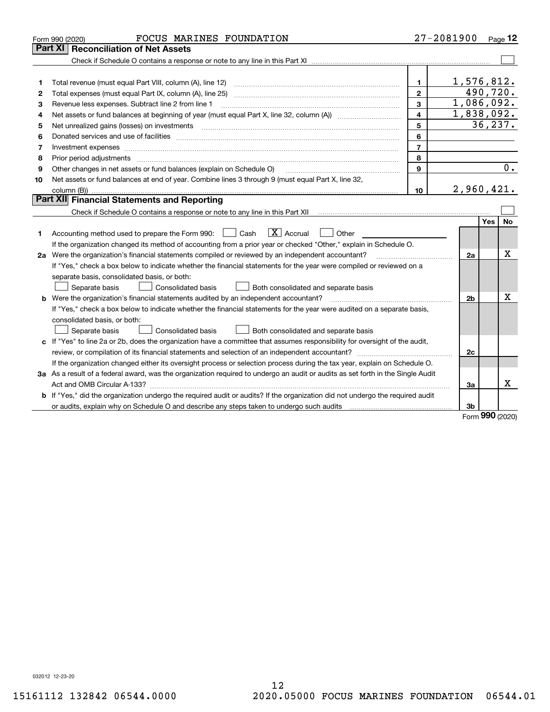| Part XI<br><b>Reconciliation of Net Assets</b><br>1,576,812.<br>$\mathbf{1}$<br>1<br>490,720.<br>$\overline{2}$<br>Total expenses (must equal Part IX, column (A), line 25)<br>2<br>1,086,092.<br>3<br>Revenue less expenses. Subtract line 2 from line 1<br>3<br>1,838,092.<br>$\overline{\mathbf{4}}$<br>4<br>36, 237.<br>5<br>Net unrealized gains (losses) on investments<br>5<br>6<br>6<br>$\overline{7}$<br>Investment expenses<br>7<br>8<br>Prior period adjustments<br>8<br>$\mathbf{9}$<br>Other changes in net assets or fund balances (explain on Schedule O)<br>9<br>Net assets or fund balances at end of year. Combine lines 3 through 9 (must equal Part X, line 32,<br>10<br>2,960,421.<br>10<br>Part XII Financial Statements and Reporting<br>Check if Schedule O contains a response or note to any line in this Part XII munder contains a response or note to any line in this Part XII<br>Yes<br>$\boxed{\mathbf{X}}$ Accrual<br>Accounting method used to prepare the Form 990: <u>June</u> Cash<br>Other<br>1<br>If the organization changed its method of accounting from a prior year or checked "Other," explain in Schedule O.<br>2a Were the organization's financial statements compiled or reviewed by an independent accountant?<br>2a<br>If "Yes," check a box below to indicate whether the financial statements for the year were compiled or reviewed on a | Page 12 |
|------------------------------------------------------------------------------------------------------------------------------------------------------------------------------------------------------------------------------------------------------------------------------------------------------------------------------------------------------------------------------------------------------------------------------------------------------------------------------------------------------------------------------------------------------------------------------------------------------------------------------------------------------------------------------------------------------------------------------------------------------------------------------------------------------------------------------------------------------------------------------------------------------------------------------------------------------------------------------------------------------------------------------------------------------------------------------------------------------------------------------------------------------------------------------------------------------------------------------------------------------------------------------------------------------------------------------------------------------------------------------------------------|---------|
|                                                                                                                                                                                                                                                                                                                                                                                                                                                                                                                                                                                                                                                                                                                                                                                                                                                                                                                                                                                                                                                                                                                                                                                                                                                                                                                                                                                                |         |
|                                                                                                                                                                                                                                                                                                                                                                                                                                                                                                                                                                                                                                                                                                                                                                                                                                                                                                                                                                                                                                                                                                                                                                                                                                                                                                                                                                                                |         |
|                                                                                                                                                                                                                                                                                                                                                                                                                                                                                                                                                                                                                                                                                                                                                                                                                                                                                                                                                                                                                                                                                                                                                                                                                                                                                                                                                                                                |         |
|                                                                                                                                                                                                                                                                                                                                                                                                                                                                                                                                                                                                                                                                                                                                                                                                                                                                                                                                                                                                                                                                                                                                                                                                                                                                                                                                                                                                |         |
|                                                                                                                                                                                                                                                                                                                                                                                                                                                                                                                                                                                                                                                                                                                                                                                                                                                                                                                                                                                                                                                                                                                                                                                                                                                                                                                                                                                                |         |
|                                                                                                                                                                                                                                                                                                                                                                                                                                                                                                                                                                                                                                                                                                                                                                                                                                                                                                                                                                                                                                                                                                                                                                                                                                                                                                                                                                                                |         |
|                                                                                                                                                                                                                                                                                                                                                                                                                                                                                                                                                                                                                                                                                                                                                                                                                                                                                                                                                                                                                                                                                                                                                                                                                                                                                                                                                                                                |         |
|                                                                                                                                                                                                                                                                                                                                                                                                                                                                                                                                                                                                                                                                                                                                                                                                                                                                                                                                                                                                                                                                                                                                                                                                                                                                                                                                                                                                |         |
|                                                                                                                                                                                                                                                                                                                                                                                                                                                                                                                                                                                                                                                                                                                                                                                                                                                                                                                                                                                                                                                                                                                                                                                                                                                                                                                                                                                                |         |
|                                                                                                                                                                                                                                                                                                                                                                                                                                                                                                                                                                                                                                                                                                                                                                                                                                                                                                                                                                                                                                                                                                                                                                                                                                                                                                                                                                                                |         |
|                                                                                                                                                                                                                                                                                                                                                                                                                                                                                                                                                                                                                                                                                                                                                                                                                                                                                                                                                                                                                                                                                                                                                                                                                                                                                                                                                                                                |         |
|                                                                                                                                                                                                                                                                                                                                                                                                                                                                                                                                                                                                                                                                                                                                                                                                                                                                                                                                                                                                                                                                                                                                                                                                                                                                                                                                                                                                | 0.      |
|                                                                                                                                                                                                                                                                                                                                                                                                                                                                                                                                                                                                                                                                                                                                                                                                                                                                                                                                                                                                                                                                                                                                                                                                                                                                                                                                                                                                |         |
|                                                                                                                                                                                                                                                                                                                                                                                                                                                                                                                                                                                                                                                                                                                                                                                                                                                                                                                                                                                                                                                                                                                                                                                                                                                                                                                                                                                                |         |
|                                                                                                                                                                                                                                                                                                                                                                                                                                                                                                                                                                                                                                                                                                                                                                                                                                                                                                                                                                                                                                                                                                                                                                                                                                                                                                                                                                                                |         |
|                                                                                                                                                                                                                                                                                                                                                                                                                                                                                                                                                                                                                                                                                                                                                                                                                                                                                                                                                                                                                                                                                                                                                                                                                                                                                                                                                                                                |         |
|                                                                                                                                                                                                                                                                                                                                                                                                                                                                                                                                                                                                                                                                                                                                                                                                                                                                                                                                                                                                                                                                                                                                                                                                                                                                                                                                                                                                | No      |
|                                                                                                                                                                                                                                                                                                                                                                                                                                                                                                                                                                                                                                                                                                                                                                                                                                                                                                                                                                                                                                                                                                                                                                                                                                                                                                                                                                                                |         |
|                                                                                                                                                                                                                                                                                                                                                                                                                                                                                                                                                                                                                                                                                                                                                                                                                                                                                                                                                                                                                                                                                                                                                                                                                                                                                                                                                                                                |         |
|                                                                                                                                                                                                                                                                                                                                                                                                                                                                                                                                                                                                                                                                                                                                                                                                                                                                                                                                                                                                                                                                                                                                                                                                                                                                                                                                                                                                | Χ       |
|                                                                                                                                                                                                                                                                                                                                                                                                                                                                                                                                                                                                                                                                                                                                                                                                                                                                                                                                                                                                                                                                                                                                                                                                                                                                                                                                                                                                |         |
| separate basis, consolidated basis, or both:                                                                                                                                                                                                                                                                                                                                                                                                                                                                                                                                                                                                                                                                                                                                                                                                                                                                                                                                                                                                                                                                                                                                                                                                                                                                                                                                                   |         |
| Separate basis<br>Both consolidated and separate basis<br>Consolidated basis                                                                                                                                                                                                                                                                                                                                                                                                                                                                                                                                                                                                                                                                                                                                                                                                                                                                                                                                                                                                                                                                                                                                                                                                                                                                                                                   |         |
| <b>b</b> Were the organization's financial statements audited by an independent accountant?<br>2b                                                                                                                                                                                                                                                                                                                                                                                                                                                                                                                                                                                                                                                                                                                                                                                                                                                                                                                                                                                                                                                                                                                                                                                                                                                                                              | Χ       |
| If "Yes," check a box below to indicate whether the financial statements for the year were audited on a separate basis,                                                                                                                                                                                                                                                                                                                                                                                                                                                                                                                                                                                                                                                                                                                                                                                                                                                                                                                                                                                                                                                                                                                                                                                                                                                                        |         |
| consolidated basis, or both:                                                                                                                                                                                                                                                                                                                                                                                                                                                                                                                                                                                                                                                                                                                                                                                                                                                                                                                                                                                                                                                                                                                                                                                                                                                                                                                                                                   |         |
| Separate basis<br>Consolidated basis<br>Both consolidated and separate basis                                                                                                                                                                                                                                                                                                                                                                                                                                                                                                                                                                                                                                                                                                                                                                                                                                                                                                                                                                                                                                                                                                                                                                                                                                                                                                                   |         |
| c If "Yes" to line 2a or 2b, does the organization have a committee that assumes responsibility for oversight of the audit,                                                                                                                                                                                                                                                                                                                                                                                                                                                                                                                                                                                                                                                                                                                                                                                                                                                                                                                                                                                                                                                                                                                                                                                                                                                                    |         |
| 2c                                                                                                                                                                                                                                                                                                                                                                                                                                                                                                                                                                                                                                                                                                                                                                                                                                                                                                                                                                                                                                                                                                                                                                                                                                                                                                                                                                                             |         |
| If the organization changed either its oversight process or selection process during the tax year, explain on Schedule O.                                                                                                                                                                                                                                                                                                                                                                                                                                                                                                                                                                                                                                                                                                                                                                                                                                                                                                                                                                                                                                                                                                                                                                                                                                                                      |         |
| 3a As a result of a federal award, was the organization required to undergo an audit or audits as set forth in the Single Audit                                                                                                                                                                                                                                                                                                                                                                                                                                                                                                                                                                                                                                                                                                                                                                                                                                                                                                                                                                                                                                                                                                                                                                                                                                                                |         |
| Act and OMB Circular A-133?<br>За                                                                                                                                                                                                                                                                                                                                                                                                                                                                                                                                                                                                                                                                                                                                                                                                                                                                                                                                                                                                                                                                                                                                                                                                                                                                                                                                                              | x       |
| b If "Yes," did the organization undergo the required audit or audits? If the organization did not undergo the required audit                                                                                                                                                                                                                                                                                                                                                                                                                                                                                                                                                                                                                                                                                                                                                                                                                                                                                                                                                                                                                                                                                                                                                                                                                                                                  |         |
| 3b<br><b>nnn</b>                                                                                                                                                                                                                                                                                                                                                                                                                                                                                                                                                                                                                                                                                                                                                                                                                                                                                                                                                                                                                                                                                                                                                                                                                                                                                                                                                                               |         |

Form (2020) **990**

032012 12-23-20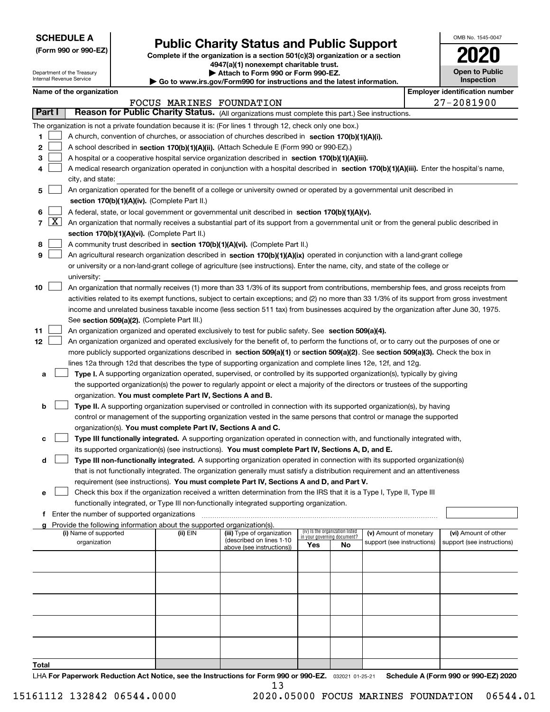| <b>SCHEDULE A</b> |
|-------------------|
|-------------------|

**(Form 990 or 990-EZ)**

## **Public Charity Status and Public Support**

**Complete if the organization is a section 501(c)(3) organization or a section 4947(a)(1) nonexempt charitable trust.**

**| Attach to Form 990 or Form 990-EZ.** 

| OMB No 1545-0047      |
|-----------------------|
| 2020                  |
| <b>Open to Public</b> |

|                                            | Department of the Treasury<br>▶ Attach to Form 990 or Form 990-EZ.<br><b>Open to Public</b><br>Internal Revenue Service<br><b>Inspection</b><br>Go to www.irs.gov/Form990 for instructions and the latest information.                                                                                                                                                                                                                                                                                                                                          |                                             |  |                                                                                    |                                                                                                                                                                                                                                                    |     |                                   |                            |  |                                       |
|--------------------------------------------|-----------------------------------------------------------------------------------------------------------------------------------------------------------------------------------------------------------------------------------------------------------------------------------------------------------------------------------------------------------------------------------------------------------------------------------------------------------------------------------------------------------------------------------------------------------------|---------------------------------------------|--|------------------------------------------------------------------------------------|----------------------------------------------------------------------------------------------------------------------------------------------------------------------------------------------------------------------------------------------------|-----|-----------------------------------|----------------------------|--|---------------------------------------|
|                                            |                                                                                                                                                                                                                                                                                                                                                                                                                                                                                                                                                                 | Name of the organization                    |  |                                                                                    |                                                                                                                                                                                                                                                    |     |                                   |                            |  | <b>Employer identification number</b> |
| $27 - 2081900$<br>FOCUS MARINES FOUNDATION |                                                                                                                                                                                                                                                                                                                                                                                                                                                                                                                                                                 |                                             |  |                                                                                    |                                                                                                                                                                                                                                                    |     |                                   |                            |  |                                       |
|                                            | Part I                                                                                                                                                                                                                                                                                                                                                                                                                                                                                                                                                          |                                             |  |                                                                                    | Reason for Public Charity Status. (All organizations must complete this part.) See instructions.                                                                                                                                                   |     |                                   |                            |  |                                       |
| 1<br>2<br>3<br>4                           | The organization is not a private foundation because it is: (For lines 1 through 12, check only one box.)<br>A church, convention of churches, or association of churches described in section 170(b)(1)(A)(i).<br>A school described in section 170(b)(1)(A)(ii). (Attach Schedule E (Form 990 or 990-EZ).)<br>A hospital or a cooperative hospital service organization described in section 170(b)(1)(A)(iii).<br>A medical research organization operated in conjunction with a hospital described in section 170(b)(1)(A)(iii). Enter the hospital's name, |                                             |  |                                                                                    |                                                                                                                                                                                                                                                    |     |                                   |                            |  |                                       |
|                                            |                                                                                                                                                                                                                                                                                                                                                                                                                                                                                                                                                                 | city, and state:                            |  |                                                                                    |                                                                                                                                                                                                                                                    |     |                                   |                            |  |                                       |
| 5                                          |                                                                                                                                                                                                                                                                                                                                                                                                                                                                                                                                                                 |                                             |  |                                                                                    | An organization operated for the benefit of a college or university owned or operated by a governmental unit described in                                                                                                                          |     |                                   |                            |  |                                       |
| 6                                          |                                                                                                                                                                                                                                                                                                                                                                                                                                                                                                                                                                 |                                             |  | section 170(b)(1)(A)(iv). (Complete Part II.)                                      |                                                                                                                                                                                                                                                    |     |                                   |                            |  |                                       |
| 7                                          | $\lfloor x \rfloor$                                                                                                                                                                                                                                                                                                                                                                                                                                                                                                                                             |                                             |  |                                                                                    | A federal, state, or local government or governmental unit described in section 170(b)(1)(A)(v).<br>An organization that normally receives a substantial part of its support from a governmental unit or from the general public described in      |     |                                   |                            |  |                                       |
|                                            |                                                                                                                                                                                                                                                                                                                                                                                                                                                                                                                                                                 |                                             |  | section 170(b)(1)(A)(vi). (Complete Part II.)                                      |                                                                                                                                                                                                                                                    |     |                                   |                            |  |                                       |
| 8                                          |                                                                                                                                                                                                                                                                                                                                                                                                                                                                                                                                                                 |                                             |  |                                                                                    | A community trust described in section 170(b)(1)(A)(vi). (Complete Part II.)                                                                                                                                                                       |     |                                   |                            |  |                                       |
| 9                                          |                                                                                                                                                                                                                                                                                                                                                                                                                                                                                                                                                                 |                                             |  |                                                                                    | An agricultural research organization described in section 170(b)(1)(A)(ix) operated in conjunction with a land-grant college                                                                                                                      |     |                                   |                            |  |                                       |
|                                            |                                                                                                                                                                                                                                                                                                                                                                                                                                                                                                                                                                 |                                             |  |                                                                                    | or university or a non-land-grant college of agriculture (see instructions). Enter the name, city, and state of the college or                                                                                                                     |     |                                   |                            |  |                                       |
|                                            |                                                                                                                                                                                                                                                                                                                                                                                                                                                                                                                                                                 | university:                                 |  |                                                                                    |                                                                                                                                                                                                                                                    |     |                                   |                            |  |                                       |
| 10<br>11                                   | An organization that normally receives (1) more than 33 1/3% of its support from contributions, membership fees, and gross receipts from<br>activities related to its exempt functions, subject to certain exceptions; and (2) no more than 33 1/3% of its support from gross investment<br>income and unrelated business taxable income (less section 511 tax) from businesses acquired by the organization after June 30, 1975.<br>See section 509(a)(2). (Complete Part III.)                                                                                |                                             |  |                                                                                    |                                                                                                                                                                                                                                                    |     |                                   |                            |  |                                       |
| 12                                         |                                                                                                                                                                                                                                                                                                                                                                                                                                                                                                                                                                 |                                             |  |                                                                                    | An organization organized and operated exclusively to test for public safety. See section 509(a)(4).<br>An organization organized and operated exclusively for the benefit of, to perform the functions of, or to carry out the purposes of one or |     |                                   |                            |  |                                       |
|                                            |                                                                                                                                                                                                                                                                                                                                                                                                                                                                                                                                                                 |                                             |  |                                                                                    | more publicly supported organizations described in section 509(a)(1) or section 509(a)(2). See section 509(a)(3). Check the box in                                                                                                                 |     |                                   |                            |  |                                       |
|                                            |                                                                                                                                                                                                                                                                                                                                                                                                                                                                                                                                                                 |                                             |  |                                                                                    | lines 12a through 12d that describes the type of supporting organization and complete lines 12e, 12f, and 12g.                                                                                                                                     |     |                                   |                            |  |                                       |
| а                                          |                                                                                                                                                                                                                                                                                                                                                                                                                                                                                                                                                                 |                                             |  |                                                                                    | Type I. A supporting organization operated, supervised, or controlled by its supported organization(s), typically by giving                                                                                                                        |     |                                   |                            |  |                                       |
|                                            |                                                                                                                                                                                                                                                                                                                                                                                                                                                                                                                                                                 |                                             |  |                                                                                    | the supported organization(s) the power to regularly appoint or elect a majority of the directors or trustees of the supporting                                                                                                                    |     |                                   |                            |  |                                       |
|                                            |                                                                                                                                                                                                                                                                                                                                                                                                                                                                                                                                                                 |                                             |  | organization. You must complete Part IV, Sections A and B.                         |                                                                                                                                                                                                                                                    |     |                                   |                            |  |                                       |
| b                                          |                                                                                                                                                                                                                                                                                                                                                                                                                                                                                                                                                                 |                                             |  |                                                                                    | Type II. A supporting organization supervised or controlled in connection with its supported organization(s), by having                                                                                                                            |     |                                   |                            |  |                                       |
|                                            |                                                                                                                                                                                                                                                                                                                                                                                                                                                                                                                                                                 |                                             |  |                                                                                    | control or management of the supporting organization vested in the same persons that control or manage the supported                                                                                                                               |     |                                   |                            |  |                                       |
|                                            |                                                                                                                                                                                                                                                                                                                                                                                                                                                                                                                                                                 |                                             |  | organization(s). You must complete Part IV, Sections A and C.                      |                                                                                                                                                                                                                                                    |     |                                   |                            |  |                                       |
| с                                          |                                                                                                                                                                                                                                                                                                                                                                                                                                                                                                                                                                 |                                             |  |                                                                                    | Type III functionally integrated. A supporting organization operated in connection with, and functionally integrated with,                                                                                                                         |     |                                   |                            |  |                                       |
|                                            |                                                                                                                                                                                                                                                                                                                                                                                                                                                                                                                                                                 |                                             |  |                                                                                    | its supported organization(s) (see instructions). You must complete Part IV, Sections A, D, and E.                                                                                                                                                 |     |                                   |                            |  |                                       |
| d                                          |                                                                                                                                                                                                                                                                                                                                                                                                                                                                                                                                                                 |                                             |  |                                                                                    | Type III non-functionally integrated. A supporting organization operated in connection with its supported organization(s)                                                                                                                          |     |                                   |                            |  |                                       |
|                                            |                                                                                                                                                                                                                                                                                                                                                                                                                                                                                                                                                                 |                                             |  |                                                                                    | that is not functionally integrated. The organization generally must satisfy a distribution requirement and an attentiveness                                                                                                                       |     |                                   |                            |  |                                       |
|                                            |                                                                                                                                                                                                                                                                                                                                                                                                                                                                                                                                                                 |                                             |  |                                                                                    | requirement (see instructions). You must complete Part IV, Sections A and D, and Part V.                                                                                                                                                           |     |                                   |                            |  |                                       |
| е                                          |                                                                                                                                                                                                                                                                                                                                                                                                                                                                                                                                                                 |                                             |  |                                                                                    | Check this box if the organization received a written determination from the IRS that it is a Type I, Type II, Type III                                                                                                                            |     |                                   |                            |  |                                       |
|                                            |                                                                                                                                                                                                                                                                                                                                                                                                                                                                                                                                                                 |                                             |  |                                                                                    | functionally integrated, or Type III non-functionally integrated supporting organization.                                                                                                                                                          |     |                                   |                            |  |                                       |
| f                                          |                                                                                                                                                                                                                                                                                                                                                                                                                                                                                                                                                                 | Enter the number of supported organizations |  |                                                                                    |                                                                                                                                                                                                                                                    |     |                                   |                            |  |                                       |
| a                                          |                                                                                                                                                                                                                                                                                                                                                                                                                                                                                                                                                                 | (i) Name of supported                       |  | Provide the following information about the supported organization(s).<br>(ii) EIN | (iii) Type of organization                                                                                                                                                                                                                         |     | (iv) Is the organization listed   | (v) Amount of monetary     |  | (vi) Amount of other                  |
|                                            |                                                                                                                                                                                                                                                                                                                                                                                                                                                                                                                                                                 | organization                                |  |                                                                                    | (described on lines 1-10                                                                                                                                                                                                                           |     | in your governing document?<br>No | support (see instructions) |  | support (see instructions)            |
|                                            |                                                                                                                                                                                                                                                                                                                                                                                                                                                                                                                                                                 |                                             |  |                                                                                    | above (see instructions))                                                                                                                                                                                                                          | Yes |                                   |                            |  |                                       |
|                                            |                                                                                                                                                                                                                                                                                                                                                                                                                                                                                                                                                                 |                                             |  |                                                                                    |                                                                                                                                                                                                                                                    |     |                                   |                            |  |                                       |
|                                            |                                                                                                                                                                                                                                                                                                                                                                                                                                                                                                                                                                 |                                             |  |                                                                                    |                                                                                                                                                                                                                                                    |     |                                   |                            |  |                                       |
|                                            |                                                                                                                                                                                                                                                                                                                                                                                                                                                                                                                                                                 |                                             |  |                                                                                    |                                                                                                                                                                                                                                                    |     |                                   |                            |  |                                       |
|                                            |                                                                                                                                                                                                                                                                                                                                                                                                                                                                                                                                                                 |                                             |  |                                                                                    |                                                                                                                                                                                                                                                    |     |                                   |                            |  |                                       |
|                                            |                                                                                                                                                                                                                                                                                                                                                                                                                                                                                                                                                                 |                                             |  |                                                                                    |                                                                                                                                                                                                                                                    |     |                                   |                            |  |                                       |
|                                            |                                                                                                                                                                                                                                                                                                                                                                                                                                                                                                                                                                 |                                             |  |                                                                                    |                                                                                                                                                                                                                                                    |     |                                   |                            |  |                                       |
|                                            |                                                                                                                                                                                                                                                                                                                                                                                                                                                                                                                                                                 |                                             |  |                                                                                    |                                                                                                                                                                                                                                                    |     |                                   |                            |  |                                       |
|                                            |                                                                                                                                                                                                                                                                                                                                                                                                                                                                                                                                                                 |                                             |  |                                                                                    |                                                                                                                                                                                                                                                    |     |                                   |                            |  |                                       |
|                                            |                                                                                                                                                                                                                                                                                                                                                                                                                                                                                                                                                                 |                                             |  |                                                                                    |                                                                                                                                                                                                                                                    |     |                                   |                            |  |                                       |

**Total**

LHA For Paperwork Reduction Act Notice, see the Instructions for Form 990 or 990-EZ. <sub>032021</sub> o1-25-21 Schedule A (Form 990 or 990-EZ) 2020 13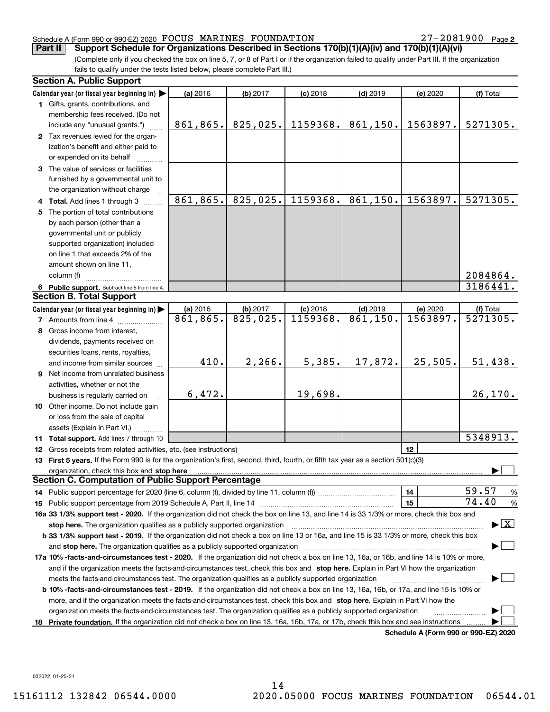**2**

(Complete only if you checked the box on line 5, 7, or 8 of Part I or if the organization failed to qualify under Part III. If the organization fails to qualify under the tests listed below, please complete Part III.) **Part II Support Schedule for Organizations Described in Sections 170(b)(1)(A)(iv) and 170(b)(1)(A)(vi)**

|    | <b>Section A. Public Support</b>                                                                                                               |           |          |            |            |                                      |                                          |  |  |  |  |
|----|------------------------------------------------------------------------------------------------------------------------------------------------|-----------|----------|------------|------------|--------------------------------------|------------------------------------------|--|--|--|--|
|    | Calendar year (or fiscal year beginning in)                                                                                                    | (a) 2016  | (b) 2017 | $(c)$ 2018 | $(d)$ 2019 | (e) 2020                             | (f) Total                                |  |  |  |  |
|    | 1 Gifts, grants, contributions, and                                                                                                            |           |          |            |            |                                      |                                          |  |  |  |  |
|    | membership fees received. (Do not                                                                                                              |           |          |            |            |                                      |                                          |  |  |  |  |
|    | include any "unusual grants.")                                                                                                                 | 861,865.  | 825,025. | 1159368.   | 861, 150.  | 1563897.                             | 5271305.                                 |  |  |  |  |
|    | 2 Tax revenues levied for the organ-                                                                                                           |           |          |            |            |                                      |                                          |  |  |  |  |
|    | ization's benefit and either paid to                                                                                                           |           |          |            |            |                                      |                                          |  |  |  |  |
|    | or expended on its behalf                                                                                                                      |           |          |            |            |                                      |                                          |  |  |  |  |
|    | 3 The value of services or facilities                                                                                                          |           |          |            |            |                                      |                                          |  |  |  |  |
|    | furnished by a governmental unit to                                                                                                            |           |          |            |            |                                      |                                          |  |  |  |  |
|    | the organization without charge                                                                                                                |           |          |            |            |                                      |                                          |  |  |  |  |
|    | 4 Total. Add lines 1 through 3                                                                                                                 | 861,865.  | 825,025. | 1159368.   | 861,150.   | 1563897.                             | 5271305.                                 |  |  |  |  |
| 5. | The portion of total contributions                                                                                                             |           |          |            |            |                                      |                                          |  |  |  |  |
|    | by each person (other than a                                                                                                                   |           |          |            |            |                                      |                                          |  |  |  |  |
|    | governmental unit or publicly                                                                                                                  |           |          |            |            |                                      |                                          |  |  |  |  |
|    | supported organization) included                                                                                                               |           |          |            |            |                                      |                                          |  |  |  |  |
|    | on line 1 that exceeds 2% of the                                                                                                               |           |          |            |            |                                      |                                          |  |  |  |  |
|    | amount shown on line 11,                                                                                                                       |           |          |            |            |                                      |                                          |  |  |  |  |
|    | column (f)                                                                                                                                     |           |          |            |            |                                      | 2084864.                                 |  |  |  |  |
|    | 6 Public support. Subtract line 5 from line 4.                                                                                                 |           |          |            |            |                                      | 3186441.                                 |  |  |  |  |
|    | <b>Section B. Total Support</b>                                                                                                                |           |          |            |            |                                      |                                          |  |  |  |  |
|    | Calendar year (or fiscal year beginning in)                                                                                                    | (a) 2016  | (b) 2017 | $(c)$ 2018 | $(d)$ 2019 | (e) 2020                             | (f) Total                                |  |  |  |  |
|    | <b>7</b> Amounts from line 4                                                                                                                   | 861, 865. | 825,025. | 1159368.   | 861,150.   | 1563897.                             | 5271305.                                 |  |  |  |  |
|    | 8 Gross income from interest,                                                                                                                  |           |          |            |            |                                      |                                          |  |  |  |  |
|    | dividends, payments received on                                                                                                                |           |          |            |            |                                      |                                          |  |  |  |  |
|    | securities loans, rents, royalties,                                                                                                            |           |          |            |            |                                      |                                          |  |  |  |  |
|    | and income from similar sources                                                                                                                | 410.      | 2,266.   | 5,385.     | 17,872.    | 25,505.                              | 51,438.                                  |  |  |  |  |
|    | 9 Net income from unrelated business                                                                                                           |           |          |            |            |                                      |                                          |  |  |  |  |
|    | activities, whether or not the                                                                                                                 |           |          |            |            |                                      |                                          |  |  |  |  |
|    | business is regularly carried on                                                                                                               | 6,472.    |          | 19,698.    |            |                                      | 26,170.                                  |  |  |  |  |
|    | 10 Other income. Do not include gain                                                                                                           |           |          |            |            |                                      |                                          |  |  |  |  |
|    | or loss from the sale of capital                                                                                                               |           |          |            |            |                                      |                                          |  |  |  |  |
|    | assets (Explain in Part VI.)                                                                                                                   |           |          |            |            |                                      |                                          |  |  |  |  |
|    | 11 Total support. Add lines 7 through 10                                                                                                       |           |          |            |            |                                      | 5348913.                                 |  |  |  |  |
|    | 12 Gross receipts from related activities, etc. (see instructions)                                                                             |           |          |            |            | 12                                   |                                          |  |  |  |  |
|    | 13 First 5 years. If the Form 990 is for the organization's first, second, third, fourth, or fifth tax year as a section 501(c)(3)             |           |          |            |            |                                      |                                          |  |  |  |  |
|    | organization, check this box and stop here                                                                                                     |           |          |            |            |                                      |                                          |  |  |  |  |
|    | <b>Section C. Computation of Public Support Percentage</b>                                                                                     |           |          |            |            |                                      |                                          |  |  |  |  |
|    |                                                                                                                                                |           |          |            |            | 14                                   | 59.57<br>%                               |  |  |  |  |
|    |                                                                                                                                                |           |          |            |            | 15                                   | 74.40<br>$\%$                            |  |  |  |  |
|    | 16a 33 1/3% support test - 2020. If the organization did not check the box on line 13, and line 14 is 33 1/3% or more, check this box and      |           |          |            |            |                                      |                                          |  |  |  |  |
|    | stop here. The organization qualifies as a publicly supported organization                                                                     |           |          |            |            |                                      | $\blacktriangleright$ $\boxed{\text{X}}$ |  |  |  |  |
|    | b 33 1/3% support test - 2019. If the organization did not check a box on line 13 or 16a, and line 15 is 33 1/3% or more, check this box       |           |          |            |            |                                      |                                          |  |  |  |  |
|    | and stop here. The organization qualifies as a publicly supported organization                                                                 |           |          |            |            |                                      |                                          |  |  |  |  |
|    | 17a 10% -facts-and-circumstances test - 2020. If the organization did not check a box on line 13, 16a, or 16b, and line 14 is 10% or more,     |           |          |            |            |                                      |                                          |  |  |  |  |
|    | and if the organization meets the facts-and-circumstances test, check this box and stop here. Explain in Part VI how the organization          |           |          |            |            |                                      |                                          |  |  |  |  |
|    | meets the facts-and-circumstances test. The organization qualifies as a publicly supported organization                                        |           |          |            |            |                                      |                                          |  |  |  |  |
|    | <b>b 10% -facts-and-circumstances test - 2019.</b> If the organization did not check a box on line 13, 16a, 16b, or 17a, and line 15 is 10% or |           |          |            |            |                                      |                                          |  |  |  |  |
|    | more, and if the organization meets the facts-and-circumstances test, check this box and stop here. Explain in Part VI how the                 |           |          |            |            |                                      |                                          |  |  |  |  |
|    | organization meets the facts-and-circumstances test. The organization qualifies as a publicly supported organization                           |           |          |            |            |                                      |                                          |  |  |  |  |
| 18 | Private foundation. If the organization did not check a box on line 13, 16a, 16b, 17a, or 17b, check this box and see instructions             |           |          |            |            |                                      |                                          |  |  |  |  |
|    |                                                                                                                                                |           |          |            |            | Schedule A (Form 990 or 990-F7) 2020 |                                          |  |  |  |  |

**Schedule A (Form 990 or 990-EZ) 2020**

032022 01-25-21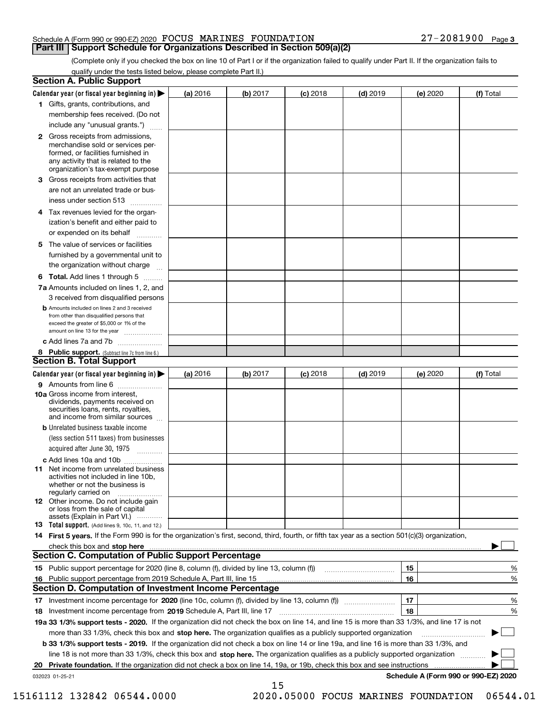(Complete only if you checked the box on line 10 of Part I or if the organization failed to qualify under Part II. If the organization fails to qualify under the tests listed below, please complete Part II.)

| <b>Section A. Public Support</b>                                                                                                                                                                                                     |          |          |            |            |          |                                      |  |  |
|--------------------------------------------------------------------------------------------------------------------------------------------------------------------------------------------------------------------------------------|----------|----------|------------|------------|----------|--------------------------------------|--|--|
| Calendar year (or fiscal year beginning in) $\blacktriangleright$                                                                                                                                                                    | (a) 2016 | (b) 2017 | $(c)$ 2018 | $(d)$ 2019 | (e) 2020 | (f) Total                            |  |  |
| 1 Gifts, grants, contributions, and                                                                                                                                                                                                  |          |          |            |            |          |                                      |  |  |
| membership fees received. (Do not                                                                                                                                                                                                    |          |          |            |            |          |                                      |  |  |
| include any "unusual grants.")                                                                                                                                                                                                       |          |          |            |            |          |                                      |  |  |
| 2 Gross receipts from admissions,<br>merchandise sold or services per-<br>formed, or facilities furnished in<br>any activity that is related to the<br>organization's tax-exempt purpose                                             |          |          |            |            |          |                                      |  |  |
| 3 Gross receipts from activities that<br>are not an unrelated trade or bus-                                                                                                                                                          |          |          |            |            |          |                                      |  |  |
| iness under section 513                                                                                                                                                                                                              |          |          |            |            |          |                                      |  |  |
| 4 Tax revenues levied for the organ-<br>ization's benefit and either paid to<br>or expended on its behalf                                                                                                                            |          |          |            |            |          |                                      |  |  |
| .<br>5 The value of services or facilities<br>furnished by a governmental unit to                                                                                                                                                    |          |          |            |            |          |                                      |  |  |
| the organization without charge                                                                                                                                                                                                      |          |          |            |            |          |                                      |  |  |
| <b>6 Total.</b> Add lines 1 through 5                                                                                                                                                                                                |          |          |            |            |          |                                      |  |  |
| 7a Amounts included on lines 1, 2, and<br>3 received from disqualified persons                                                                                                                                                       |          |          |            |            |          |                                      |  |  |
| <b>b</b> Amounts included on lines 2 and 3 received<br>from other than disqualified persons that<br>exceed the greater of \$5,000 or 1% of the<br>amount on line 13 for the year                                                     |          |          |            |            |          |                                      |  |  |
| c Add lines 7a and 7b                                                                                                                                                                                                                |          |          |            |            |          |                                      |  |  |
| 8 Public support. (Subtract line 7c from line 6.)<br><b>Section B. Total Support</b>                                                                                                                                                 |          |          |            |            |          |                                      |  |  |
| Calendar year (or fiscal year beginning in)                                                                                                                                                                                          | (a) 2016 | (b) 2017 | $(c)$ 2018 | $(d)$ 2019 | (e) 2020 | (f) Total                            |  |  |
| 9 Amounts from line 6                                                                                                                                                                                                                |          |          |            |            |          |                                      |  |  |
| 10a Gross income from interest,<br>dividends, payments received on<br>securities loans, rents, royalties,<br>and income from similar sources                                                                                         |          |          |            |            |          |                                      |  |  |
| <b>b</b> Unrelated business taxable income<br>(less section 511 taxes) from businesses<br>acquired after June 30, 1975                                                                                                               |          |          |            |            |          |                                      |  |  |
| c Add lines 10a and 10b                                                                                                                                                                                                              |          |          |            |            |          |                                      |  |  |
| <b>11</b> Net income from unrelated business<br>activities not included in line 10b,<br>whether or not the business is<br>regularly carried on                                                                                       |          |          |            |            |          |                                      |  |  |
| <b>12</b> Other income. Do not include gain<br>or loss from the sale of capital<br>assets (Explain in Part VI.)                                                                                                                      |          |          |            |            |          |                                      |  |  |
| <b>13 Total support.</b> (Add lines 9, 10c, 11, and 12.)                                                                                                                                                                             |          |          |            |            |          |                                      |  |  |
| 14 First 5 years. If the Form 990 is for the organization's first, second, third, fourth, or fifth tax year as a section 501(c)(3) organization,                                                                                     |          |          |            |            |          |                                      |  |  |
| check this box and stop here <b>contract the contract of the contract of the state of the state of the state of the state of the state of the state of the state of the state of the state of the state of the state of the stat</b> |          |          |            |            |          |                                      |  |  |
| <b>Section C. Computation of Public Support Percentage</b>                                                                                                                                                                           |          |          |            |            |          |                                      |  |  |
|                                                                                                                                                                                                                                      |          |          |            |            | 15       | %                                    |  |  |
| 16 Public support percentage from 2019 Schedule A, Part III, line 15                                                                                                                                                                 |          |          |            |            | 16       | %                                    |  |  |
| <b>Section D. Computation of Investment Income Percentage</b>                                                                                                                                                                        |          |          |            |            |          |                                      |  |  |
| 17 Investment income percentage for 2020 (line 10c, column (f), divided by line 13, column (f))<br>18 Investment income percentage from 2019 Schedule A, Part III, line 17                                                           |          |          |            |            | 17<br>18 | %<br>%                               |  |  |
| 19a 33 1/3% support tests - 2020. If the organization did not check the box on line 14, and line 15 is more than 33 1/3%, and line 17 is not                                                                                         |          |          |            |            |          |                                      |  |  |
| more than 33 1/3%, check this box and stop here. The organization qualifies as a publicly supported organization                                                                                                                     |          |          |            |            |          | ▶                                    |  |  |
| b 33 1/3% support tests - 2019. If the organization did not check a box on line 14 or line 19a, and line 16 is more than 33 1/3%, and                                                                                                |          |          |            |            |          |                                      |  |  |
| line 18 is not more than 33 1/3%, check this box and stop here. The organization qualifies as a publicly supported organization                                                                                                      |          |          |            |            |          |                                      |  |  |
| 20 Private foundation. If the organization did not check a box on line 14, 19a, or 19b, check this box and see instructions                                                                                                          |          |          |            |            |          |                                      |  |  |
| 032023 01-25-21                                                                                                                                                                                                                      |          | 15       |            |            |          | Schedule A (Form 990 or 990-EZ) 2020 |  |  |

15161112 132842 06544.0000 2020.05000 FOCUS MARINES FOUNDATION 06544.01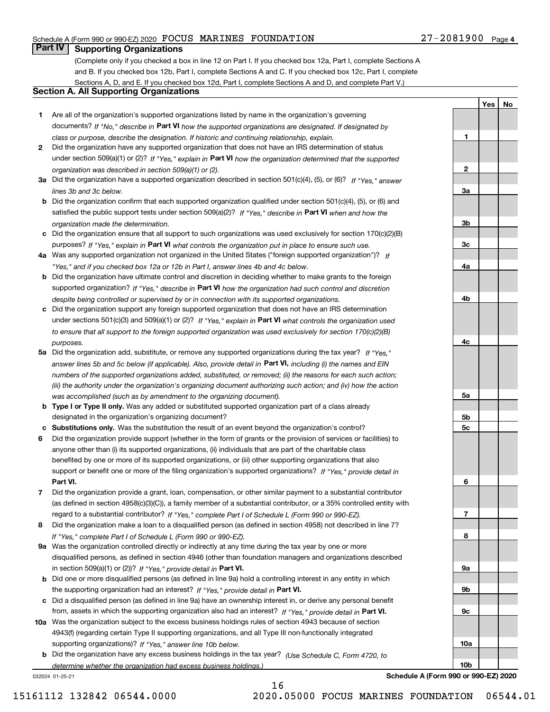## **Part IV Supporting Organizations**

(Complete only if you checked a box in line 12 on Part I. If you checked box 12a, Part I, complete Sections A and B. If you checked box 12b, Part I, complete Sections A and C. If you checked box 12c, Part I, complete Sections A, D, and E. If you checked box 12d, Part I, complete Sections A and D, and complete Part V.)

### **Section A. All Supporting Organizations**

- **1** Are all of the organization's supported organizations listed by name in the organization's governing documents? If "No," describe in **Part VI** how the supported organizations are designated. If designated by *class or purpose, describe the designation. If historic and continuing relationship, explain.*
- **2** Did the organization have any supported organization that does not have an IRS determination of status under section 509(a)(1) or (2)? If "Yes," explain in Part VI how the organization determined that the supported *organization was described in section 509(a)(1) or (2).*
- **3a** Did the organization have a supported organization described in section 501(c)(4), (5), or (6)? If "Yes," answer *lines 3b and 3c below.*
- **b** Did the organization confirm that each supported organization qualified under section 501(c)(4), (5), or (6) and satisfied the public support tests under section 509(a)(2)? If "Yes," describe in **Part VI** when and how the *organization made the determination.*
- **c**Did the organization ensure that all support to such organizations was used exclusively for section 170(c)(2)(B) purposes? If "Yes," explain in **Part VI** what controls the organization put in place to ensure such use.
- **4a** *If* Was any supported organization not organized in the United States ("foreign supported organization")? *"Yes," and if you checked box 12a or 12b in Part I, answer lines 4b and 4c below.*
- **b** Did the organization have ultimate control and discretion in deciding whether to make grants to the foreign supported organization? If "Yes," describe in **Part VI** how the organization had such control and discretion *despite being controlled or supervised by or in connection with its supported organizations.*
- **c** Did the organization support any foreign supported organization that does not have an IRS determination under sections 501(c)(3) and 509(a)(1) or (2)? If "Yes," explain in **Part VI** what controls the organization used *to ensure that all support to the foreign supported organization was used exclusively for section 170(c)(2)(B) purposes.*
- **5a***If "Yes,"* Did the organization add, substitute, or remove any supported organizations during the tax year? answer lines 5b and 5c below (if applicable). Also, provide detail in **Part VI,** including (i) the names and EIN *numbers of the supported organizations added, substituted, or removed; (ii) the reasons for each such action; (iii) the authority under the organization's organizing document authorizing such action; and (iv) how the action was accomplished (such as by amendment to the organizing document).*
- **b** Type I or Type II only. Was any added or substituted supported organization part of a class already designated in the organization's organizing document?
- **cSubstitutions only.**  Was the substitution the result of an event beyond the organization's control?
- **6** Did the organization provide support (whether in the form of grants or the provision of services or facilities) to **Part VI.** *If "Yes," provide detail in* support or benefit one or more of the filing organization's supported organizations? anyone other than (i) its supported organizations, (ii) individuals that are part of the charitable class benefited by one or more of its supported organizations, or (iii) other supporting organizations that also
- **7**Did the organization provide a grant, loan, compensation, or other similar payment to a substantial contributor *If "Yes," complete Part I of Schedule L (Form 990 or 990-EZ).* regard to a substantial contributor? (as defined in section 4958(c)(3)(C)), a family member of a substantial contributor, or a 35% controlled entity with
- **8** Did the organization make a loan to a disqualified person (as defined in section 4958) not described in line 7? *If "Yes," complete Part I of Schedule L (Form 990 or 990-EZ).*
- **9a** Was the organization controlled directly or indirectly at any time during the tax year by one or more in section 509(a)(1) or (2))? If "Yes," *provide detail in* <code>Part VI.</code> disqualified persons, as defined in section 4946 (other than foundation managers and organizations described
- **b**the supporting organization had an interest? If "Yes," provide detail in P**art VI**. Did one or more disqualified persons (as defined in line 9a) hold a controlling interest in any entity in which
- **c**Did a disqualified person (as defined in line 9a) have an ownership interest in, or derive any personal benefit from, assets in which the supporting organization also had an interest? If "Yes," provide detail in P**art VI.**
- **10a** Was the organization subject to the excess business holdings rules of section 4943 because of section supporting organizations)? If "Yes," answer line 10b below. 4943(f) (regarding certain Type II supporting organizations, and all Type III non-functionally integrated
- **b** Did the organization have any excess business holdings in the tax year? (Use Schedule C, Form 4720, to *determine whether the organization had excess business holdings.)*

16

032024 01-25-21

**Schedule A (Form** 

| $27 - 2081900$ Page 4 |  |
|-----------------------|--|
|                       |  |

**Yes**

**No**

| 1                      |  |  |
|------------------------|--|--|
|                        |  |  |
|                        |  |  |
| $\overline{2}$         |  |  |
|                        |  |  |
| <u>3a</u>              |  |  |
|                        |  |  |
| $\frac{3b}{2}$         |  |  |
|                        |  |  |
| $\frac{3c}{2}$         |  |  |
|                        |  |  |
| <u>4a</u>              |  |  |
|                        |  |  |
| 4 <sub>b</sub>         |  |  |
|                        |  |  |
|                        |  |  |
|                        |  |  |
| $rac{4c}{2}$           |  |  |
|                        |  |  |
|                        |  |  |
|                        |  |  |
| <u>5a</u>              |  |  |
|                        |  |  |
| <u>5b</u>              |  |  |
| $\frac{5c}{2}$         |  |  |
|                        |  |  |
|                        |  |  |
|                        |  |  |
| $6 \overline{}$        |  |  |
|                        |  |  |
|                        |  |  |
| $\overline{1}$         |  |  |
|                        |  |  |
| 8                      |  |  |
|                        |  |  |
| <u>9a</u>              |  |  |
|                        |  |  |
| 9b                     |  |  |
|                        |  |  |
| <u>9c</u>              |  |  |
|                        |  |  |
|                        |  |  |
| <u>10a</u>             |  |  |
| 10 <sub>b</sub>        |  |  |
| rm 990 or 990-F7) 2020 |  |  |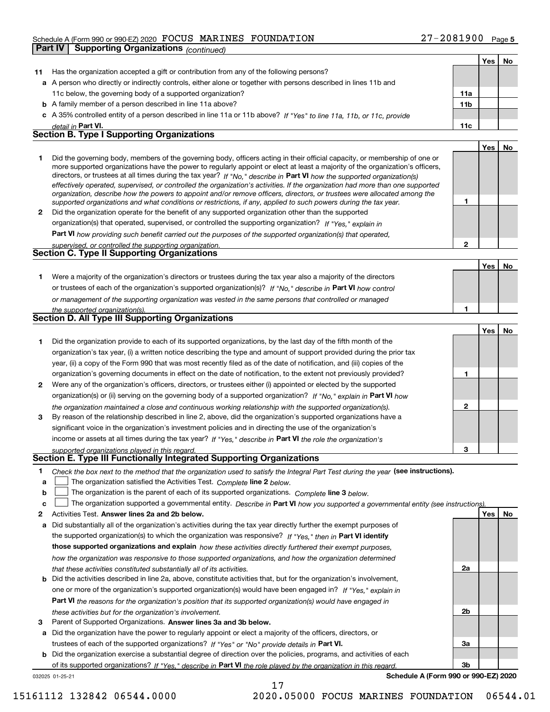|              | <b>Supporting Organizations (continued)</b><br><b>Part IV</b>                                                                                                                                                                                |              |            |     |
|--------------|----------------------------------------------------------------------------------------------------------------------------------------------------------------------------------------------------------------------------------------------|--------------|------------|-----|
|              |                                                                                                                                                                                                                                              |              | Yes        | No  |
| 11           | Has the organization accepted a gift or contribution from any of the following persons?                                                                                                                                                      |              |            |     |
|              | a A person who directly or indirectly controls, either alone or together with persons described in lines 11b and                                                                                                                             |              |            |     |
|              | 11c below, the governing body of a supported organization?                                                                                                                                                                                   | 11a          |            |     |
|              | <b>b</b> A family member of a person described in line 11a above?                                                                                                                                                                            | 11b          |            |     |
|              | c A 35% controlled entity of a person described in line 11a or 11b above? If "Yes" to line 11a, 11b, or 11c, provide                                                                                                                         |              |            |     |
|              | detail in Part VI.                                                                                                                                                                                                                           | 11c          |            |     |
|              | <b>Section B. Type I Supporting Organizations</b>                                                                                                                                                                                            |              |            |     |
|              |                                                                                                                                                                                                                                              |              | Yes        | No  |
| 1            | Did the governing body, members of the governing body, officers acting in their official capacity, or membership of one or                                                                                                                   |              |            |     |
|              | more supported organizations have the power to regularly appoint or elect at least a majority of the organization's officers,                                                                                                                |              |            |     |
|              | directors, or trustees at all times during the tax year? If "No," describe in Part VI how the supported organization(s)                                                                                                                      |              |            |     |
|              | effectively operated, supervised, or controlled the organization's activities. If the organization had more than one supported                                                                                                               |              |            |     |
|              | organization, describe how the powers to appoint and/or remove officers, directors, or trustees were allocated among the<br>supported organizations and what conditions or restrictions, if any, applied to such powers during the tax year. | 1            |            |     |
| $\mathbf{2}$ | Did the organization operate for the benefit of any supported organization other than the supported                                                                                                                                          |              |            |     |
|              | organization(s) that operated, supervised, or controlled the supporting organization? If "Yes," explain in                                                                                                                                   |              |            |     |
|              | Part VI how providing such benefit carried out the purposes of the supported organization(s) that operated,                                                                                                                                  |              |            |     |
|              | supervised, or controlled the supporting organization.                                                                                                                                                                                       | $\mathbf{2}$ |            |     |
|              | <b>Section C. Type II Supporting Organizations</b>                                                                                                                                                                                           |              |            |     |
|              |                                                                                                                                                                                                                                              |              | Yes        | No  |
| 1.           | Were a majority of the organization's directors or trustees during the tax year also a majority of the directors                                                                                                                             |              |            |     |
|              | or trustees of each of the organization's supported organization(s)? If "No," describe in Part VI how control                                                                                                                                |              |            |     |
|              | or management of the supporting organization was vested in the same persons that controlled or managed                                                                                                                                       |              |            |     |
|              | the supported organization(s).                                                                                                                                                                                                               | 1            |            |     |
|              | Section D. All Type III Supporting Organizations                                                                                                                                                                                             |              |            |     |
|              |                                                                                                                                                                                                                                              |              | Yes        | No. |
| 1            | Did the organization provide to each of its supported organizations, by the last day of the fifth month of the                                                                                                                               |              |            |     |
|              | organization's tax year, (i) a written notice describing the type and amount of support provided during the prior tax                                                                                                                        |              |            |     |
|              | year, (ii) a copy of the Form 990 that was most recently filed as of the date of notification, and (iii) copies of the                                                                                                                       |              |            |     |
|              | organization's governing documents in effect on the date of notification, to the extent not previously provided?                                                                                                                             | 1            |            |     |
| 2            | Were any of the organization's officers, directors, or trustees either (i) appointed or elected by the supported                                                                                                                             |              |            |     |
|              | organization(s) or (ii) serving on the governing body of a supported organization? If "No, " explain in Part VI how                                                                                                                          |              |            |     |
|              | the organization maintained a close and continuous working relationship with the supported organization(s).                                                                                                                                  | 2            |            |     |
| 3            | By reason of the relationship described in line 2, above, did the organization's supported organizations have a                                                                                                                              |              |            |     |
|              | significant voice in the organization's investment policies and in directing the use of the organization's                                                                                                                                   |              |            |     |
|              | income or assets at all times during the tax year? If "Yes," describe in Part VI the role the organization's                                                                                                                                 |              |            |     |
|              | supported organizations played in this regard.                                                                                                                                                                                               | З            |            |     |
|              | Section E. Type III Functionally Integrated Supporting Organizations                                                                                                                                                                         |              |            |     |
| 1            | Check the box next to the method that the organization used to satisfy the Integral Part Test during the year (see instructions).                                                                                                            |              |            |     |
| а            | The organization satisfied the Activities Test. Complete line 2 below.                                                                                                                                                                       |              |            |     |
| b            | The organization is the parent of each of its supported organizations. Complete line 3 below.                                                                                                                                                |              |            |     |
| c            | The organization supported a governmental entity. Describe in Part VI how you supported a governmental entity (see instructions)                                                                                                             |              |            |     |
| 2            | Activities Test. Answer lines 2a and 2b below.                                                                                                                                                                                               |              | <b>Yes</b> | No  |
| а            | Did substantially all of the organization's activities during the tax year directly further the exempt purposes of                                                                                                                           |              |            |     |
|              | the supported organization(s) to which the organization was responsive? If "Yes," then in Part VI identify                                                                                                                                   |              |            |     |
|              | those supported organizations and explain how these activities directly furthered their exempt purposes,                                                                                                                                     |              |            |     |

- **b** Did the activities described in line 2a, above, constitute activities that, but for the organization's involvement, **Part VI**  *the reasons for the organization's position that its supported organization(s) would have engaged in how the organization was responsive to those supported organizations, and how the organization determined that these activities constituted substantially all of its activities.* one or more of the organization's supported organization(s) would have been engaged in? If "Yes," e*xplain in these activities but for the organization's involvement.*
- **3** Parent of Supported Organizations. Answer lines 3a and 3b below.

**a** Did the organization have the power to regularly appoint or elect a majority of the officers, directors, or trustees of each of the supported organizations? If "Yes" or "No" provide details in **Part VI.** 

032025 01-25-21 **b** Did the organization exercise a substantial degree of direction over the policies, programs, and activities of each of its supported organizations? If "Yes," describe in Part VI the role played by the organization in this regard.

17

**Schedule A (Form 990 or 990-EZ) 2020**

**2a**

**2b**

**3a**

**3b**

15161112 132842 06544.0000 2020.05000 FOCUS MARINES FOUNDATION 06544.01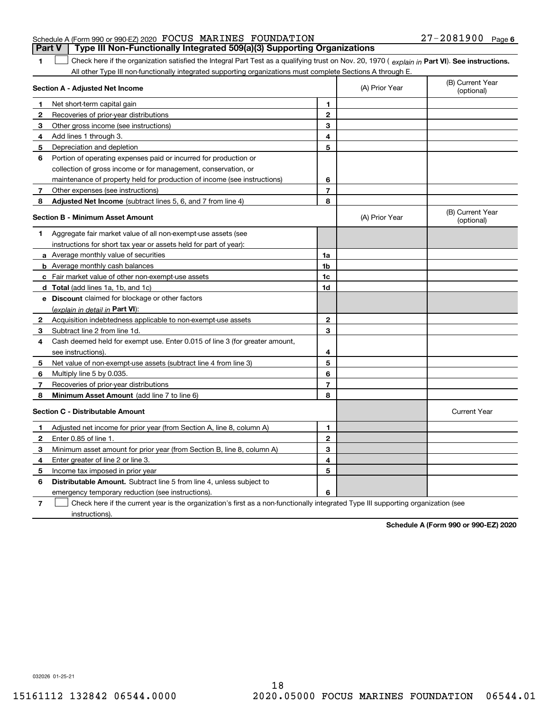| Schedule A (Form 990 or 990-EZ) 2020 FOCUS MARINES FOUNDATION |  |                                                                                  | 27-2081900 Page 6 |  |
|---------------------------------------------------------------|--|----------------------------------------------------------------------------------|-------------------|--|
|                                                               |  | Part V   Type III Non-Functionally Integrated 509(a)(3) Supporting Organizations |                   |  |

**Part VI** Check here if the organization satisfied the Integral Part Test as a qualifying trust on Nov. 20, 1970 ( explain in Part **VI**). See instructions. All other Type III non-functionally integrated supporting organizations must complete Sections A through E.  $\mathcal{L}^{\text{max}}$ 

|              | Section A - Adjusted Net Income                                                                                                   |                | (A) Prior Year | (B) Current Year<br>(optional) |
|--------------|-----------------------------------------------------------------------------------------------------------------------------------|----------------|----------------|--------------------------------|
| 1            | Net short-term capital gain                                                                                                       | 1              |                |                                |
| 2            | Recoveries of prior-year distributions                                                                                            | $\overline{2}$ |                |                                |
| 3            | Other gross income (see instructions)                                                                                             | 3              |                |                                |
| 4            | Add lines 1 through 3.                                                                                                            | 4              |                |                                |
| 5            | Depreciation and depletion                                                                                                        | 5              |                |                                |
| 6            | Portion of operating expenses paid or incurred for production or                                                                  |                |                |                                |
|              | collection of gross income or for management, conservation, or                                                                    |                |                |                                |
|              | maintenance of property held for production of income (see instructions)                                                          | 6              |                |                                |
| 7            | Other expenses (see instructions)                                                                                                 | $\overline{7}$ |                |                                |
| 8            | Adjusted Net Income (subtract lines 5, 6, and 7 from line 4)                                                                      | 8              |                |                                |
|              | <b>Section B - Minimum Asset Amount</b>                                                                                           |                | (A) Prior Year | (B) Current Year<br>(optional) |
| 1            | Aggregate fair market value of all non-exempt-use assets (see                                                                     |                |                |                                |
|              | instructions for short tax year or assets held for part of year):                                                                 |                |                |                                |
|              | <b>a</b> Average monthly value of securities                                                                                      | 1a             |                |                                |
|              | <b>b</b> Average monthly cash balances                                                                                            | 1 <sub>b</sub> |                |                                |
|              | c Fair market value of other non-exempt-use assets                                                                                | 1c             |                |                                |
|              | d Total (add lines 1a, 1b, and 1c)                                                                                                | 1d             |                |                                |
|              | e Discount claimed for blockage or other factors                                                                                  |                |                |                                |
|              | (explain in detail in Part VI):                                                                                                   |                |                |                                |
| $\mathbf{2}$ | Acquisition indebtedness applicable to non-exempt-use assets                                                                      | $\mathbf{2}$   |                |                                |
| 3            | Subtract line 2 from line 1d.                                                                                                     | 3              |                |                                |
| 4            | Cash deemed held for exempt use. Enter 0.015 of line 3 (for greater amount,                                                       |                |                |                                |
|              | see instructions)                                                                                                                 | 4              |                |                                |
| 5            | Net value of non-exempt-use assets (subtract line 4 from line 3)                                                                  | 5              |                |                                |
| 6            | Multiply line 5 by 0.035.                                                                                                         | 6              |                |                                |
| 7            | Recoveries of prior-year distributions                                                                                            | $\overline{7}$ |                |                                |
| 8            | Minimum Asset Amount (add line 7 to line 6)                                                                                       | 8              |                |                                |
|              | <b>Section C - Distributable Amount</b>                                                                                           |                |                | <b>Current Year</b>            |
| 1            | Adjusted net income for prior year (from Section A, line 8, column A)                                                             | 1              |                |                                |
| 2            | Enter 0.85 of line 1.                                                                                                             | $\overline{2}$ |                |                                |
| 3            | Minimum asset amount for prior year (from Section B, line 8, column A)                                                            | 3              |                |                                |
| 4            | Enter greater of line 2 or line 3.                                                                                                | 4              |                |                                |
| 5            | Income tax imposed in prior year                                                                                                  | 5              |                |                                |
| 6            | <b>Distributable Amount.</b> Subtract line 5 from line 4, unless subject to                                                       |                |                |                                |
|              | emergency temporary reduction (see instructions).                                                                                 | 6              |                |                                |
| 7            | Check here if the current year is the organization's first as a non-functionally integrated Type III supporting organization (see |                |                |                                |

instructions).

**1**

**Schedule A (Form 990 or 990-EZ) 2020**

032026 01-25-21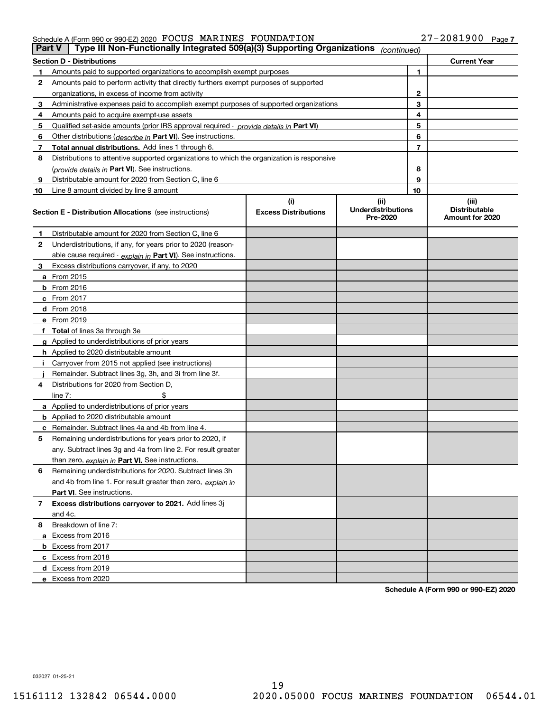|    | Type III Non-Functionally Integrated 509(a)(3) Supporting Organizations<br><b>Part V</b><br>(continued) |                                    |                                               |    |                                                  |  |  |
|----|---------------------------------------------------------------------------------------------------------|------------------------------------|-----------------------------------------------|----|--------------------------------------------------|--|--|
|    | <b>Section D - Distributions</b>                                                                        |                                    |                                               |    | <b>Current Year</b>                              |  |  |
| 1  | Amounts paid to supported organizations to accomplish exempt purposes                                   | 1                                  |                                               |    |                                                  |  |  |
| 2  | Amounts paid to perform activity that directly furthers exempt purposes of supported                    |                                    |                                               |    |                                                  |  |  |
|    | organizations, in excess of income from activity                                                        |                                    | 2                                             |    |                                                  |  |  |
| 3  | Administrative expenses paid to accomplish exempt purposes of supported organizations                   |                                    | 3                                             |    |                                                  |  |  |
| 4  | Amounts paid to acquire exempt-use assets                                                               |                                    |                                               | 4  |                                                  |  |  |
| 5  | Qualified set-aside amounts (prior IRS approval required - provide details in Part VI)                  |                                    |                                               | 5  |                                                  |  |  |
| 6  | Other distributions (describe in Part VI). See instructions.                                            |                                    |                                               | 6  |                                                  |  |  |
| 7  | Total annual distributions. Add lines 1 through 6.                                                      |                                    |                                               | 7  |                                                  |  |  |
| 8  | Distributions to attentive supported organizations to which the organization is responsive              |                                    |                                               |    |                                                  |  |  |
|    | (provide details in Part VI). See instructions.                                                         |                                    |                                               | 8  |                                                  |  |  |
| 9  | Distributable amount for 2020 from Section C, line 6                                                    |                                    |                                               | 9  |                                                  |  |  |
| 10 | Line 8 amount divided by line 9 amount                                                                  |                                    |                                               | 10 |                                                  |  |  |
|    | <b>Section E - Distribution Allocations</b> (see instructions)                                          | (i)<br><b>Excess Distributions</b> | (ii)<br><b>Underdistributions</b><br>Pre-2020 |    | (iii)<br><b>Distributable</b><br>Amount for 2020 |  |  |
| 1  | Distributable amount for 2020 from Section C, line 6                                                    |                                    |                                               |    |                                                  |  |  |
| 2  | Underdistributions, if any, for years prior to 2020 (reason-                                            |                                    |                                               |    |                                                  |  |  |
|    | able cause required - explain in Part VI). See instructions.                                            |                                    |                                               |    |                                                  |  |  |
| 3  | Excess distributions carryover, if any, to 2020                                                         |                                    |                                               |    |                                                  |  |  |
|    | <b>a</b> From 2015                                                                                      |                                    |                                               |    |                                                  |  |  |
|    | <b>b</b> From 2016                                                                                      |                                    |                                               |    |                                                  |  |  |
|    | c From 2017                                                                                             |                                    |                                               |    |                                                  |  |  |
|    | <b>d</b> From 2018                                                                                      |                                    |                                               |    |                                                  |  |  |
|    | e From 2019                                                                                             |                                    |                                               |    |                                                  |  |  |
|    | f Total of lines 3a through 3e                                                                          |                                    |                                               |    |                                                  |  |  |
|    | g Applied to underdistributions of prior years                                                          |                                    |                                               |    |                                                  |  |  |
|    | <b>h</b> Applied to 2020 distributable amount                                                           |                                    |                                               |    |                                                  |  |  |
|    | Carryover from 2015 not applied (see instructions)                                                      |                                    |                                               |    |                                                  |  |  |
|    | Remainder. Subtract lines 3g, 3h, and 3i from line 3f.                                                  |                                    |                                               |    |                                                  |  |  |
| 4  | Distributions for 2020 from Section D,                                                                  |                                    |                                               |    |                                                  |  |  |
|    | line $7:$                                                                                               |                                    |                                               |    |                                                  |  |  |
|    | a Applied to underdistributions of prior years                                                          |                                    |                                               |    |                                                  |  |  |
|    | <b>b</b> Applied to 2020 distributable amount                                                           |                                    |                                               |    |                                                  |  |  |
|    | c Remainder. Subtract lines 4a and 4b from line 4.                                                      |                                    |                                               |    |                                                  |  |  |
| 5  | Remaining underdistributions for years prior to 2020, if                                                |                                    |                                               |    |                                                  |  |  |
|    | any. Subtract lines 3g and 4a from line 2. For result greater                                           |                                    |                                               |    |                                                  |  |  |
|    | than zero, explain in Part VI. See instructions.                                                        |                                    |                                               |    |                                                  |  |  |
| 6  | Remaining underdistributions for 2020. Subtract lines 3h                                                |                                    |                                               |    |                                                  |  |  |
|    | and 4b from line 1. For result greater than zero, explain in                                            |                                    |                                               |    |                                                  |  |  |
|    | Part VI. See instructions.                                                                              |                                    |                                               |    |                                                  |  |  |
| 7  | Excess distributions carryover to 2021. Add lines 3j                                                    |                                    |                                               |    |                                                  |  |  |
|    | and 4c.                                                                                                 |                                    |                                               |    |                                                  |  |  |
| 8  | Breakdown of line 7:                                                                                    |                                    |                                               |    |                                                  |  |  |
|    | a Excess from 2016                                                                                      |                                    |                                               |    |                                                  |  |  |
|    | <b>b</b> Excess from 2017                                                                               |                                    |                                               |    |                                                  |  |  |
|    | c Excess from 2018                                                                                      |                                    |                                               |    |                                                  |  |  |
|    | d Excess from 2019                                                                                      |                                    |                                               |    |                                                  |  |  |
|    | e Excess from 2020                                                                                      |                                    |                                               |    |                                                  |  |  |

**Schedule A (Form 990 or 990-EZ) 2020**

032027 01-25-21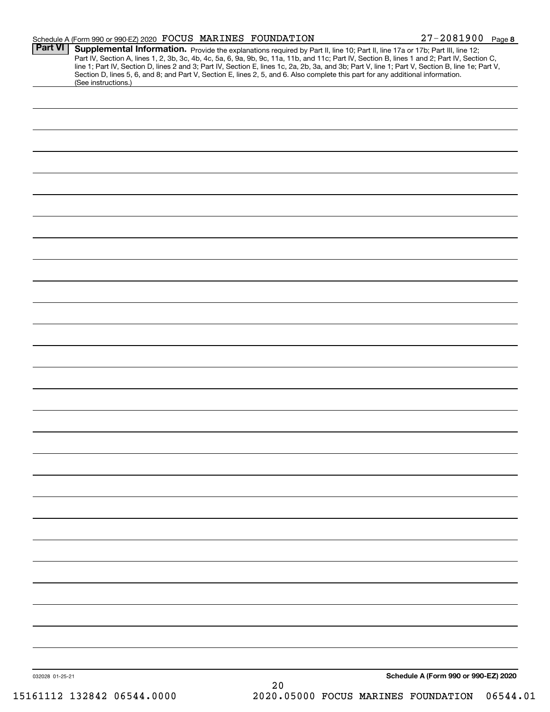|                 | Schedule A (Form 990 or 990-EZ) 2020 FOCUS MARINES FOUNDATION                                                                                          |    | $27 - 2081900$ Page 8                                                                                                                                                                                                                                                                                                                                                                                                             |
|-----------------|--------------------------------------------------------------------------------------------------------------------------------------------------------|----|-----------------------------------------------------------------------------------------------------------------------------------------------------------------------------------------------------------------------------------------------------------------------------------------------------------------------------------------------------------------------------------------------------------------------------------|
| <b>Part VI</b>  | Section D, lines 5, 6, and 8; and Part V, Section E, lines 2, 5, and 6. Also complete this part for any additional information.<br>(See instructions.) |    | Supplemental Information. Provide the explanations required by Part II, line 10; Part II, line 17a or 17b; Part III, line 12;<br>Part IV, Section A, lines 1, 2, 3b, 3c, 4b, 4c, 5a, 6, 9a, 9b, 9c, 11a, 11b, and 11c; Part IV, Section B, lines 1 and 2; Part IV, Section C,<br>line 1; Part IV, Section D, lines 2 and 3; Part IV, Section E, lines 1c, 2a, 2b, 3a, and 3b; Part V, line 1; Part V, Section B, line 1e; Part V, |
|                 |                                                                                                                                                        |    |                                                                                                                                                                                                                                                                                                                                                                                                                                   |
|                 |                                                                                                                                                        |    |                                                                                                                                                                                                                                                                                                                                                                                                                                   |
|                 |                                                                                                                                                        |    |                                                                                                                                                                                                                                                                                                                                                                                                                                   |
|                 |                                                                                                                                                        |    |                                                                                                                                                                                                                                                                                                                                                                                                                                   |
|                 |                                                                                                                                                        |    |                                                                                                                                                                                                                                                                                                                                                                                                                                   |
|                 |                                                                                                                                                        |    |                                                                                                                                                                                                                                                                                                                                                                                                                                   |
|                 |                                                                                                                                                        |    |                                                                                                                                                                                                                                                                                                                                                                                                                                   |
|                 |                                                                                                                                                        |    |                                                                                                                                                                                                                                                                                                                                                                                                                                   |
|                 |                                                                                                                                                        |    |                                                                                                                                                                                                                                                                                                                                                                                                                                   |
|                 |                                                                                                                                                        |    |                                                                                                                                                                                                                                                                                                                                                                                                                                   |
|                 |                                                                                                                                                        |    |                                                                                                                                                                                                                                                                                                                                                                                                                                   |
|                 |                                                                                                                                                        |    |                                                                                                                                                                                                                                                                                                                                                                                                                                   |
|                 |                                                                                                                                                        |    |                                                                                                                                                                                                                                                                                                                                                                                                                                   |
|                 |                                                                                                                                                        |    |                                                                                                                                                                                                                                                                                                                                                                                                                                   |
|                 |                                                                                                                                                        |    |                                                                                                                                                                                                                                                                                                                                                                                                                                   |
|                 |                                                                                                                                                        |    |                                                                                                                                                                                                                                                                                                                                                                                                                                   |
|                 |                                                                                                                                                        |    |                                                                                                                                                                                                                                                                                                                                                                                                                                   |
|                 |                                                                                                                                                        |    |                                                                                                                                                                                                                                                                                                                                                                                                                                   |
|                 |                                                                                                                                                        |    |                                                                                                                                                                                                                                                                                                                                                                                                                                   |
|                 |                                                                                                                                                        |    |                                                                                                                                                                                                                                                                                                                                                                                                                                   |
|                 |                                                                                                                                                        |    |                                                                                                                                                                                                                                                                                                                                                                                                                                   |
|                 |                                                                                                                                                        |    |                                                                                                                                                                                                                                                                                                                                                                                                                                   |
|                 |                                                                                                                                                        |    |                                                                                                                                                                                                                                                                                                                                                                                                                                   |
|                 |                                                                                                                                                        |    |                                                                                                                                                                                                                                                                                                                                                                                                                                   |
|                 |                                                                                                                                                        |    |                                                                                                                                                                                                                                                                                                                                                                                                                                   |
|                 |                                                                                                                                                        |    |                                                                                                                                                                                                                                                                                                                                                                                                                                   |
|                 |                                                                                                                                                        |    |                                                                                                                                                                                                                                                                                                                                                                                                                                   |
| 032028 01-25-21 |                                                                                                                                                        | 20 | Schedule A (Form 990 or 990-EZ) 2020                                                                                                                                                                                                                                                                                                                                                                                              |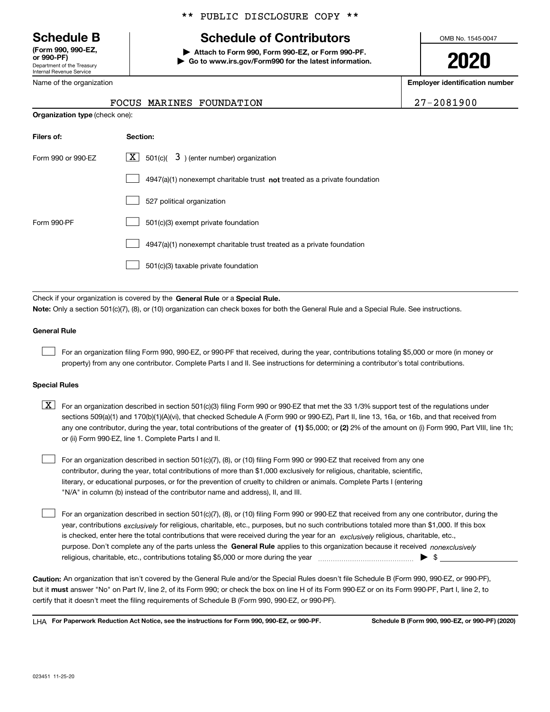Department of the Treasury Internal Revenue Service **(Form 990, 990-EZ, or 990-PF)**

Name of the organization

### \*\* PUBLIC DISCLOSURE COPY \*\*

# **Schedule B Schedule of Contributors**

**| Attach to Form 990, Form 990-EZ, or Form 990-PF. | Go to www.irs.gov/Form990 for the latest information.** OMB No. 1545-0047

**2020**

**Employer identification number**

 $27 - 2081900$ 

|                                       |  | FOCUS MARINES FOUNDATION |  |
|---------------------------------------|--|--------------------------|--|
| <b>Organization type</b> (check one): |  |                          |  |

| Filers of:         | <b>Section:</b>                                                           |
|--------------------|---------------------------------------------------------------------------|
| Form 990 or 990-EZ | $\lfloor \mathbf{X} \rfloor$ 501(c)( 3) (enter number) organization       |
|                    | 4947(a)(1) nonexempt charitable trust not treated as a private foundation |
|                    | 527 political organization                                                |
| Form 990-PF        | 501(c)(3) exempt private foundation                                       |
|                    | 4947(a)(1) nonexempt charitable trust treated as a private foundation     |
|                    | 501(c)(3) taxable private foundation                                      |

Check if your organization is covered by the **General Rule** or a **Special Rule. Note:**  Only a section 501(c)(7), (8), or (10) organization can check boxes for both the General Rule and a Special Rule. See instructions.

#### **General Rule**

 $\mathcal{L}^{\text{max}}$ 

For an organization filing Form 990, 990-EZ, or 990-PF that received, during the year, contributions totaling \$5,000 or more (in money or property) from any one contributor. Complete Parts I and II. See instructions for determining a contributor's total contributions.

#### **Special Rules**

any one contributor, during the year, total contributions of the greater of  $\,$  (1) \$5,000; or **(2)** 2% of the amount on (i) Form 990, Part VIII, line 1h;  $\boxed{\textbf{X}}$  For an organization described in section 501(c)(3) filing Form 990 or 990-EZ that met the 33 1/3% support test of the regulations under sections 509(a)(1) and 170(b)(1)(A)(vi), that checked Schedule A (Form 990 or 990-EZ), Part II, line 13, 16a, or 16b, and that received from or (ii) Form 990-EZ, line 1. Complete Parts I and II.

For an organization described in section 501(c)(7), (8), or (10) filing Form 990 or 990-EZ that received from any one contributor, during the year, total contributions of more than \$1,000 exclusively for religious, charitable, scientific, literary, or educational purposes, or for the prevention of cruelty to children or animals. Complete Parts I (entering "N/A" in column (b) instead of the contributor name and address), II, and III.  $\mathcal{L}^{\text{max}}$ 

purpose. Don't complete any of the parts unless the **General Rule** applies to this organization because it received *nonexclusively* year, contributions <sub>exclusively</sub> for religious, charitable, etc., purposes, but no such contributions totaled more than \$1,000. If this box is checked, enter here the total contributions that were received during the year for an  $\;$ exclusively religious, charitable, etc., For an organization described in section 501(c)(7), (8), or (10) filing Form 990 or 990-EZ that received from any one contributor, during the religious, charitable, etc., contributions totaling \$5,000 or more during the year ~~~~~~~~~~~~~~~ | \$  $\mathcal{L}^{\text{max}}$ 

**Caution:**  An organization that isn't covered by the General Rule and/or the Special Rules doesn't file Schedule B (Form 990, 990-EZ, or 990-PF),  **must** but it answer "No" on Part IV, line 2, of its Form 990; or check the box on line H of its Form 990-EZ or on its Form 990-PF, Part I, line 2, to certify that it doesn't meet the filing requirements of Schedule B (Form 990, 990-EZ, or 990-PF).

**For Paperwork Reduction Act Notice, see the instructions for Form 990, 990-EZ, or 990-PF. Schedule B (Form 990, 990-EZ, or 990-PF) (2020)** LHA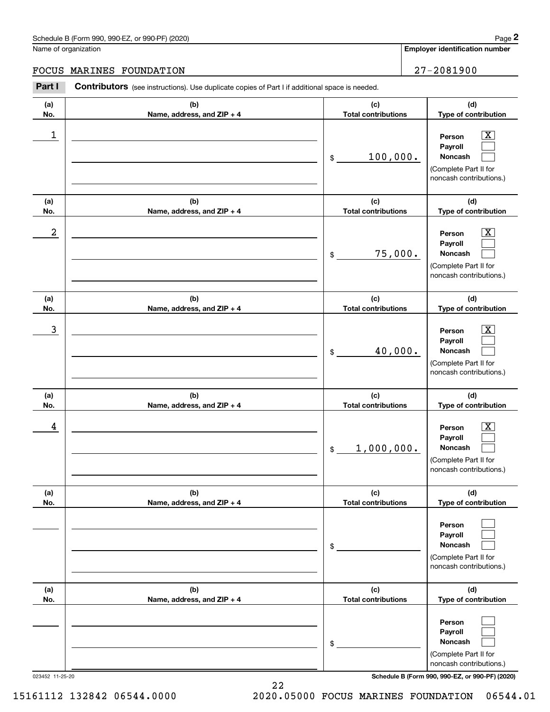## Schedule B (Form 990, 990-EZ, or 990-PF) (2020) Page 2

## FOCUS MARINES FOUNDATION 27-2081900

|                  | Schedule B (Form 990, 990-EZ, or 990-PF) (2020)                                                       |                                   | Page 2                                                                                                             |
|------------------|-------------------------------------------------------------------------------------------------------|-----------------------------------|--------------------------------------------------------------------------------------------------------------------|
|                  | Name of organization                                                                                  |                                   | <b>Employer identification number</b>                                                                              |
| <b>FOCUS</b>     | MARINES FOUNDATION                                                                                    |                                   | 27-2081900                                                                                                         |
| Part I           | <b>Contributors</b> (see instructions). Use duplicate copies of Part I if additional space is needed. |                                   |                                                                                                                    |
| (a)<br>No.       | (b)<br>Name, address, and ZIP + 4                                                                     | (c)<br><b>Total contributions</b> | (d)<br>Type of contribution                                                                                        |
| 1                |                                                                                                       | 100,000.<br>\$                    | $\overline{\mathbf{X}}$<br>Person<br>Payroll<br>Noncash<br>(Complete Part II for<br>noncash contributions.)        |
| (a)<br>No.       | (b)<br>Name, address, and ZIP + 4                                                                     | (c)<br><b>Total contributions</b> | (d)<br>Type of contribution                                                                                        |
| $\boldsymbol{2}$ |                                                                                                       | 75,000.<br>\$                     | $\overline{\mathbf{X}}$<br>Person<br>Payroll<br><b>Noncash</b><br>(Complete Part II for<br>noncash contributions.) |
| (a)<br>No.       | (b)<br>Name, address, and ZIP + 4                                                                     | (c)<br><b>Total contributions</b> | (d)<br>Type of contribution                                                                                        |
| 3                |                                                                                                       | 40,000.<br>\$                     | $\overline{\text{X}}$<br>Person<br>Payroll<br>Noncash<br>(Complete Part II for<br>noncash contributions.)          |
| (a)<br>No.       | (b)<br>Name, address, and ZIP + 4                                                                     | (c)<br><b>Total contributions</b> | (d)<br>Type of contribution                                                                                        |
| 4                |                                                                                                       | 1,000,000.<br>\$                  | $\mathbf{X}$<br>Person<br>Payroll<br>Noncash<br>(Complete Part II for<br>noncash contributions.)                   |
| (a)<br>No.       | (b)<br>Name, address, and ZIP + 4                                                                     | (c)<br><b>Total contributions</b> | (d)<br>Type of contribution                                                                                        |
|                  |                                                                                                       | \$                                | Person<br>Payroll<br>Noncash<br>(Complete Part II for<br>noncash contributions.)                                   |
| (a)<br>No.       | (b)<br>Name, address, and ZIP + 4                                                                     | (c)<br><b>Total contributions</b> | (d)<br>Type of contribution                                                                                        |
|                  |                                                                                                       | \$                                | Person<br>Payroll<br>Noncash<br>(Complete Part II for<br>noncash contributions.)                                   |

023452 11-25-20 **Schedule B (Form 990, 990-EZ, or 990-PF) (2020)**

15161112 132842 06544.0000 2020.05000 FOCUS MARINES FOUNDATION 06544.01

22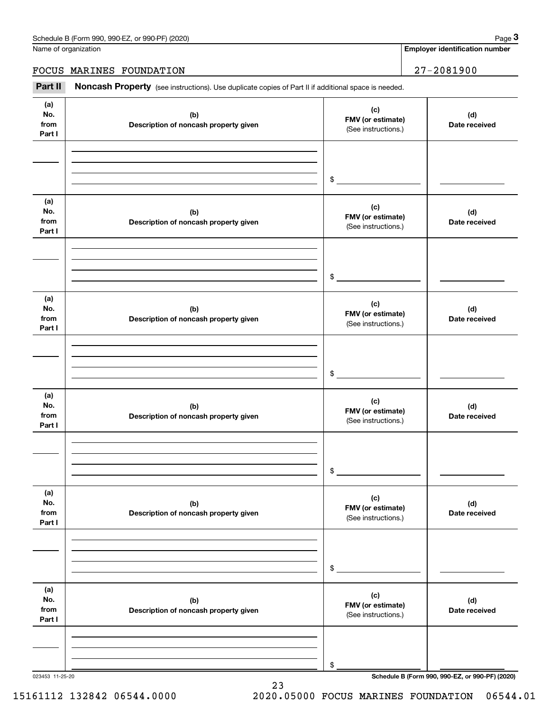Name of organization

**Employer identification number**

FOCUS MARINES FOUNDATION 27-2081900

Chedule B (Form 990, 990-EZ, or 990-PF) (2020)<br>
Iame of organization<br> **3Part II is Additional space is needed.**<br> **Part II Noncash Property** (see instructions). Use duplicate copies of Part II if additional space is needed.

| (a)<br>(c)<br>No.<br>(b)<br>(d)<br>FMV (or estimate)<br>from<br>Description of noncash property given<br>Date received<br>(See instructions.)<br>Part I<br>$\frac{1}{2}$<br>(a)<br>(c)<br>No.<br>(b)<br>(d)<br>FMV (or estimate)<br>from<br>Description of noncash property given<br>Date received<br>(See instructions.)<br>Part I<br>$\frac{1}{2}$<br>(a)<br>(c)<br>No.<br>(b)<br>(d)<br>FMV (or estimate)<br>from<br>Description of noncash property given<br>Date received<br>(See instructions.)<br>Part I<br>$\frac{1}{2}$<br>(a)<br>(c)<br>No.<br>(b)<br>(d)<br>FMV (or estimate)<br>from<br>Description of noncash property given<br>Date received<br>(See instructions.)<br>Part I<br>\$<br>(a)<br>(c)<br>No.<br>(d)<br>(b)<br>FMV (or estimate)<br>from<br>Description of noncash property given<br>Date received<br>(See instructions.)<br>Part I<br>\$<br>(a)<br>(c)<br>No.<br>(b)<br>(d)<br>FMV (or estimate)<br>from<br>Description of noncash property given<br>Date received<br>(See instructions.)<br>Part I<br>\$ |                 |  |                                                 |
|-------------------------------------------------------------------------------------------------------------------------------------------------------------------------------------------------------------------------------------------------------------------------------------------------------------------------------------------------------------------------------------------------------------------------------------------------------------------------------------------------------------------------------------------------------------------------------------------------------------------------------------------------------------------------------------------------------------------------------------------------------------------------------------------------------------------------------------------------------------------------------------------------------------------------------------------------------------------------------------------------------------------------------------|-----------------|--|-------------------------------------------------|
|                                                                                                                                                                                                                                                                                                                                                                                                                                                                                                                                                                                                                                                                                                                                                                                                                                                                                                                                                                                                                                     |                 |  |                                                 |
|                                                                                                                                                                                                                                                                                                                                                                                                                                                                                                                                                                                                                                                                                                                                                                                                                                                                                                                                                                                                                                     |                 |  |                                                 |
|                                                                                                                                                                                                                                                                                                                                                                                                                                                                                                                                                                                                                                                                                                                                                                                                                                                                                                                                                                                                                                     |                 |  |                                                 |
|                                                                                                                                                                                                                                                                                                                                                                                                                                                                                                                                                                                                                                                                                                                                                                                                                                                                                                                                                                                                                                     |                 |  |                                                 |
|                                                                                                                                                                                                                                                                                                                                                                                                                                                                                                                                                                                                                                                                                                                                                                                                                                                                                                                                                                                                                                     |                 |  |                                                 |
|                                                                                                                                                                                                                                                                                                                                                                                                                                                                                                                                                                                                                                                                                                                                                                                                                                                                                                                                                                                                                                     |                 |  |                                                 |
|                                                                                                                                                                                                                                                                                                                                                                                                                                                                                                                                                                                                                                                                                                                                                                                                                                                                                                                                                                                                                                     |                 |  |                                                 |
|                                                                                                                                                                                                                                                                                                                                                                                                                                                                                                                                                                                                                                                                                                                                                                                                                                                                                                                                                                                                                                     |                 |  |                                                 |
|                                                                                                                                                                                                                                                                                                                                                                                                                                                                                                                                                                                                                                                                                                                                                                                                                                                                                                                                                                                                                                     |                 |  |                                                 |
|                                                                                                                                                                                                                                                                                                                                                                                                                                                                                                                                                                                                                                                                                                                                                                                                                                                                                                                                                                                                                                     |                 |  |                                                 |
|                                                                                                                                                                                                                                                                                                                                                                                                                                                                                                                                                                                                                                                                                                                                                                                                                                                                                                                                                                                                                                     |                 |  |                                                 |
|                                                                                                                                                                                                                                                                                                                                                                                                                                                                                                                                                                                                                                                                                                                                                                                                                                                                                                                                                                                                                                     | 023453 11-25-20 |  | Schedule B (Form 990, 990-EZ, or 990-PF) (2020) |

23

15161112 132842 06544.0000 2020.05000 FOCUS MARINES FOUNDATION 06544.01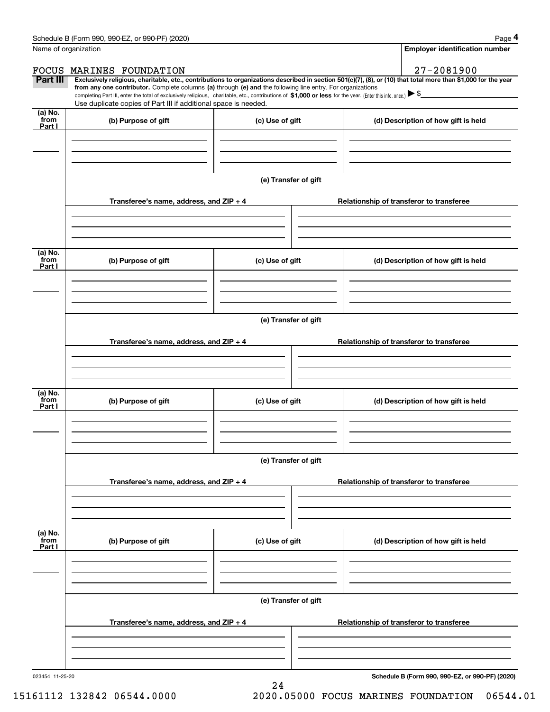|                           | Schedule B (Form 990, 990-EZ, or 990-PF) (2020)                                                                                                                                                                                                                                                                                                                                                                                                                   |                      |  |  | Page 4                                   |  |  |
|---------------------------|-------------------------------------------------------------------------------------------------------------------------------------------------------------------------------------------------------------------------------------------------------------------------------------------------------------------------------------------------------------------------------------------------------------------------------------------------------------------|----------------------|--|--|------------------------------------------|--|--|
|                           | Name of organization                                                                                                                                                                                                                                                                                                                                                                                                                                              |                      |  |  | <b>Employer identification number</b>    |  |  |
| FOCUS                     | MARINES FOUNDATION                                                                                                                                                                                                                                                                                                                                                                                                                                                |                      |  |  | $27 - 2081900$                           |  |  |
| Part III                  | Exclusively religious, charitable, etc., contributions to organizations described in section 501(c)(7), (8), or (10) that total more than \$1,000 for the year<br>from any one contributor. Complete columns (a) through (e) and the following line entry. For organizations<br>completing Part III, enter the total of exclusively religious, charitable, etc., contributions of \$1,000 or less for the year. (Enter this info. once.) $\blacktriangleright$ \$ |                      |  |  |                                          |  |  |
|                           | Use duplicate copies of Part III if additional space is needed.                                                                                                                                                                                                                                                                                                                                                                                                   |                      |  |  |                                          |  |  |
| (a) No.<br>from<br>Part I | (b) Purpose of gift                                                                                                                                                                                                                                                                                                                                                                                                                                               | (c) Use of gift      |  |  | (d) Description of how gift is held      |  |  |
|                           |                                                                                                                                                                                                                                                                                                                                                                                                                                                                   |                      |  |  |                                          |  |  |
|                           |                                                                                                                                                                                                                                                                                                                                                                                                                                                                   |                      |  |  |                                          |  |  |
|                           |                                                                                                                                                                                                                                                                                                                                                                                                                                                                   | (e) Transfer of gift |  |  |                                          |  |  |
|                           | Transferee's name, address, and ZIP + 4                                                                                                                                                                                                                                                                                                                                                                                                                           |                      |  |  | Relationship of transferor to transferee |  |  |
|                           |                                                                                                                                                                                                                                                                                                                                                                                                                                                                   |                      |  |  |                                          |  |  |
| (a) No.<br>from<br>Part I | (b) Purpose of gift                                                                                                                                                                                                                                                                                                                                                                                                                                               | (c) Use of gift      |  |  | (d) Description of how gift is held      |  |  |
|                           |                                                                                                                                                                                                                                                                                                                                                                                                                                                                   |                      |  |  |                                          |  |  |
|                           |                                                                                                                                                                                                                                                                                                                                                                                                                                                                   |                      |  |  |                                          |  |  |
|                           | (e) Transfer of gift                                                                                                                                                                                                                                                                                                                                                                                                                                              |                      |  |  |                                          |  |  |
|                           | Transferee's name, address, and ZIP + 4                                                                                                                                                                                                                                                                                                                                                                                                                           |                      |  |  | Relationship of transferor to transferee |  |  |
|                           |                                                                                                                                                                                                                                                                                                                                                                                                                                                                   |                      |  |  |                                          |  |  |
| (a) No.                   |                                                                                                                                                                                                                                                                                                                                                                                                                                                                   |                      |  |  |                                          |  |  |
| from<br>Part I            | (b) Purpose of gift                                                                                                                                                                                                                                                                                                                                                                                                                                               | (c) Use of gift      |  |  | (d) Description of how gift is held      |  |  |
|                           |                                                                                                                                                                                                                                                                                                                                                                                                                                                                   |                      |  |  |                                          |  |  |
|                           |                                                                                                                                                                                                                                                                                                                                                                                                                                                                   | (e) Transfer of gift |  |  |                                          |  |  |
|                           |                                                                                                                                                                                                                                                                                                                                                                                                                                                                   |                      |  |  |                                          |  |  |
|                           | Transferee's name, address, and ZIP + 4                                                                                                                                                                                                                                                                                                                                                                                                                           |                      |  |  | Relationship of transferor to transferee |  |  |
|                           |                                                                                                                                                                                                                                                                                                                                                                                                                                                                   |                      |  |  |                                          |  |  |
| (a) No.<br>from           | (b) Purpose of gift                                                                                                                                                                                                                                                                                                                                                                                                                                               | (c) Use of gift      |  |  | (d) Description of how gift is held      |  |  |
| Part I                    |                                                                                                                                                                                                                                                                                                                                                                                                                                                                   |                      |  |  |                                          |  |  |
|                           |                                                                                                                                                                                                                                                                                                                                                                                                                                                                   |                      |  |  |                                          |  |  |
|                           |                                                                                                                                                                                                                                                                                                                                                                                                                                                                   |                      |  |  |                                          |  |  |
|                           |                                                                                                                                                                                                                                                                                                                                                                                                                                                                   | (e) Transfer of gift |  |  |                                          |  |  |
|                           | Transferee's name, address, and ZIP + 4                                                                                                                                                                                                                                                                                                                                                                                                                           |                      |  |  | Relationship of transferor to transferee |  |  |
|                           |                                                                                                                                                                                                                                                                                                                                                                                                                                                                   |                      |  |  |                                          |  |  |
|                           |                                                                                                                                                                                                                                                                                                                                                                                                                                                                   |                      |  |  |                                          |  |  |

24

023454 11-25-20

**Schedule B (Form 990, 990-EZ, or 990-PF) (2020)**

15161112 132842 06544.0000 2020.05000 FOCUS MARINES FOUNDATION 06544.01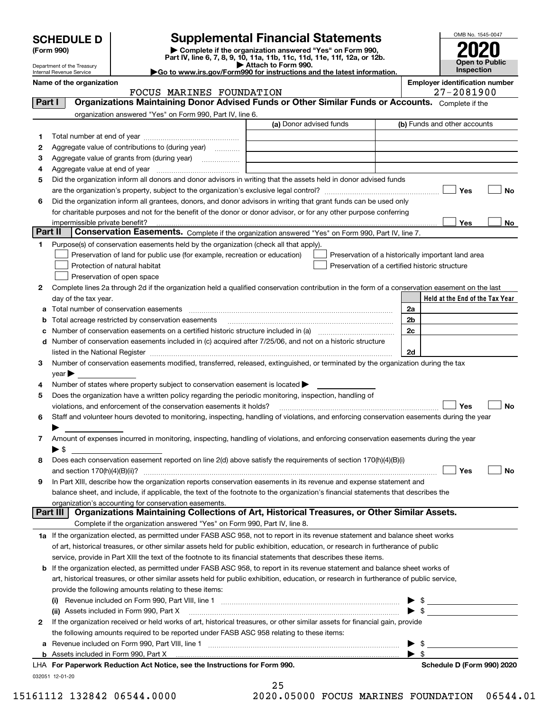| $\sf SCHEDULE$ $\sf D$ $\sf \mid$ |  |
|-----------------------------------|--|
|                                   |  |

| (Form 990) |
|------------|
|            |

# **SCHEDULE D Supplemental Financial Statements**

**(Form 990) | Complete if the organization answered "Yes" on Form 990, Part IV, line 6, 7, 8, 9, 10, 11a, 11b, 11c, 11d, 11e, 11f, 12a, or 12b.**



Department of the Treasury Internal Revenue Service

| Attach to Form 990.                                                  |  |
|----------------------------------------------------------------------|--|
|                                                                      |  |
| o to www irs gov/Form990 for instructions and the latest information |  |
|                                                                      |  |

**|Go to www.irs.gov/Form990 for instructions and the latest information.**

**Name of the organization Employer identification number** FOCUS MARINES FOUNDATION 27-2081900

| organization answered "Yes" on Form 990, Part IV, line 6.<br>(a) Donor advised funds<br>1<br>Aggregate value of contributions to (during year)<br>2<br>з<br>Aggregate value of grants from (during year)<br>4<br>Did the organization inform all donors and donor advisors in writing that the assets held in donor advised funds<br>5<br>Did the organization inform all grantees, donors, and donor advisors in writing that grant funds can be used only<br>6<br>for charitable purposes and not for the benefit of the donor or donor advisor, or for any other purpose conferring<br>impermissible private benefit? | (b) Funds and other accounts<br>Yes<br>No                                                                                                                                                                                                                                                                                                       |
|--------------------------------------------------------------------------------------------------------------------------------------------------------------------------------------------------------------------------------------------------------------------------------------------------------------------------------------------------------------------------------------------------------------------------------------------------------------------------------------------------------------------------------------------------------------------------------------------------------------------------|-------------------------------------------------------------------------------------------------------------------------------------------------------------------------------------------------------------------------------------------------------------------------------------------------------------------------------------------------|
|                                                                                                                                                                                                                                                                                                                                                                                                                                                                                                                                                                                                                          |                                                                                                                                                                                                                                                                                                                                                 |
|                                                                                                                                                                                                                                                                                                                                                                                                                                                                                                                                                                                                                          |                                                                                                                                                                                                                                                                                                                                                 |
|                                                                                                                                                                                                                                                                                                                                                                                                                                                                                                                                                                                                                          |                                                                                                                                                                                                                                                                                                                                                 |
|                                                                                                                                                                                                                                                                                                                                                                                                                                                                                                                                                                                                                          |                                                                                                                                                                                                                                                                                                                                                 |
|                                                                                                                                                                                                                                                                                                                                                                                                                                                                                                                                                                                                                          |                                                                                                                                                                                                                                                                                                                                                 |
|                                                                                                                                                                                                                                                                                                                                                                                                                                                                                                                                                                                                                          |                                                                                                                                                                                                                                                                                                                                                 |
|                                                                                                                                                                                                                                                                                                                                                                                                                                                                                                                                                                                                                          |                                                                                                                                                                                                                                                                                                                                                 |
|                                                                                                                                                                                                                                                                                                                                                                                                                                                                                                                                                                                                                          |                                                                                                                                                                                                                                                                                                                                                 |
|                                                                                                                                                                                                                                                                                                                                                                                                                                                                                                                                                                                                                          |                                                                                                                                                                                                                                                                                                                                                 |
|                                                                                                                                                                                                                                                                                                                                                                                                                                                                                                                                                                                                                          |                                                                                                                                                                                                                                                                                                                                                 |
|                                                                                                                                                                                                                                                                                                                                                                                                                                                                                                                                                                                                                          | Yes<br>No                                                                                                                                                                                                                                                                                                                                       |
| Part II<br>Conservation Easements. Complete if the organization answered "Yes" on Form 990, Part IV, line 7.                                                                                                                                                                                                                                                                                                                                                                                                                                                                                                             |                                                                                                                                                                                                                                                                                                                                                 |
| Purpose(s) of conservation easements held by the organization (check all that apply).<br>1                                                                                                                                                                                                                                                                                                                                                                                                                                                                                                                               |                                                                                                                                                                                                                                                                                                                                                 |
| Preservation of land for public use (for example, recreation or education)                                                                                                                                                                                                                                                                                                                                                                                                                                                                                                                                               | Preservation of a historically important land area                                                                                                                                                                                                                                                                                              |
| Protection of natural habitat<br>Preservation of a certified historic structure                                                                                                                                                                                                                                                                                                                                                                                                                                                                                                                                          |                                                                                                                                                                                                                                                                                                                                                 |
| Preservation of open space                                                                                                                                                                                                                                                                                                                                                                                                                                                                                                                                                                                               |                                                                                                                                                                                                                                                                                                                                                 |
| Complete lines 2a through 2d if the organization held a qualified conservation contribution in the form of a conservation easement on the last<br>2                                                                                                                                                                                                                                                                                                                                                                                                                                                                      |                                                                                                                                                                                                                                                                                                                                                 |
| day of the tax year.                                                                                                                                                                                                                                                                                                                                                                                                                                                                                                                                                                                                     | Held at the End of the Tax Year                                                                                                                                                                                                                                                                                                                 |
| а                                                                                                                                                                                                                                                                                                                                                                                                                                                                                                                                                                                                                        | 2a                                                                                                                                                                                                                                                                                                                                              |
| Total acreage restricted by conservation easements<br>b                                                                                                                                                                                                                                                                                                                                                                                                                                                                                                                                                                  | 2b                                                                                                                                                                                                                                                                                                                                              |
| Number of conservation easements on a certified historic structure included in (a) manufacture included in (a)<br>с                                                                                                                                                                                                                                                                                                                                                                                                                                                                                                      | 2c                                                                                                                                                                                                                                                                                                                                              |
| Number of conservation easements included in (c) acquired after 7/25/06, and not on a historic structure<br>d                                                                                                                                                                                                                                                                                                                                                                                                                                                                                                            |                                                                                                                                                                                                                                                                                                                                                 |
|                                                                                                                                                                                                                                                                                                                                                                                                                                                                                                                                                                                                                          | 2d                                                                                                                                                                                                                                                                                                                                              |
| Number of conservation easements modified, transferred, released, extinguished, or terminated by the organization during the tax<br>З                                                                                                                                                                                                                                                                                                                                                                                                                                                                                    |                                                                                                                                                                                                                                                                                                                                                 |
| $year \blacktriangleright$                                                                                                                                                                                                                                                                                                                                                                                                                                                                                                                                                                                               |                                                                                                                                                                                                                                                                                                                                                 |
| Number of states where property subject to conservation easement is located ><br>4                                                                                                                                                                                                                                                                                                                                                                                                                                                                                                                                       |                                                                                                                                                                                                                                                                                                                                                 |
| Does the organization have a written policy regarding the periodic monitoring, inspection, handling of<br>5                                                                                                                                                                                                                                                                                                                                                                                                                                                                                                              |                                                                                                                                                                                                                                                                                                                                                 |
| violations, and enforcement of the conservation easements it holds?                                                                                                                                                                                                                                                                                                                                                                                                                                                                                                                                                      | Yes<br>No                                                                                                                                                                                                                                                                                                                                       |
| Staff and volunteer hours devoted to monitoring, inspecting, handling of violations, and enforcing conservation easements during the year<br>6                                                                                                                                                                                                                                                                                                                                                                                                                                                                           |                                                                                                                                                                                                                                                                                                                                                 |
|                                                                                                                                                                                                                                                                                                                                                                                                                                                                                                                                                                                                                          |                                                                                                                                                                                                                                                                                                                                                 |
| Amount of expenses incurred in monitoring, inspecting, handling of violations, and enforcing conservation easements during the year<br>7                                                                                                                                                                                                                                                                                                                                                                                                                                                                                 |                                                                                                                                                                                                                                                                                                                                                 |
| $\blacktriangleright$ \$                                                                                                                                                                                                                                                                                                                                                                                                                                                                                                                                                                                                 |                                                                                                                                                                                                                                                                                                                                                 |
| Does each conservation easement reported on line 2(d) above satisfy the requirements of section 170(h)(4)(B)(i)<br>8                                                                                                                                                                                                                                                                                                                                                                                                                                                                                                     |                                                                                                                                                                                                                                                                                                                                                 |
|                                                                                                                                                                                                                                                                                                                                                                                                                                                                                                                                                                                                                          | Yes<br>No                                                                                                                                                                                                                                                                                                                                       |
| In Part XIII, describe how the organization reports conservation easements in its revenue and expense statement and<br>9                                                                                                                                                                                                                                                                                                                                                                                                                                                                                                 |                                                                                                                                                                                                                                                                                                                                                 |
| balance sheet, and include, if applicable, the text of the footnote to the organization's financial statements that describes the                                                                                                                                                                                                                                                                                                                                                                                                                                                                                        |                                                                                                                                                                                                                                                                                                                                                 |
| organization's accounting for conservation easements.<br>Organizations Maintaining Collections of Art, Historical Treasures, or Other Similar Assets.<br>Part III                                                                                                                                                                                                                                                                                                                                                                                                                                                        |                                                                                                                                                                                                                                                                                                                                                 |
| Complete if the organization answered "Yes" on Form 990, Part IV, line 8.                                                                                                                                                                                                                                                                                                                                                                                                                                                                                                                                                |                                                                                                                                                                                                                                                                                                                                                 |
| 1a If the organization elected, as permitted under FASB ASC 958, not to report in its revenue statement and balance sheet works                                                                                                                                                                                                                                                                                                                                                                                                                                                                                          |                                                                                                                                                                                                                                                                                                                                                 |
| of art, historical treasures, or other similar assets held for public exhibition, education, or research in furtherance of public                                                                                                                                                                                                                                                                                                                                                                                                                                                                                        |                                                                                                                                                                                                                                                                                                                                                 |
| service, provide in Part XIII the text of the footnote to its financial statements that describes these items.                                                                                                                                                                                                                                                                                                                                                                                                                                                                                                           |                                                                                                                                                                                                                                                                                                                                                 |
| <b>b</b> If the organization elected, as permitted under FASB ASC 958, to report in its revenue statement and balance sheet works of                                                                                                                                                                                                                                                                                                                                                                                                                                                                                     |                                                                                                                                                                                                                                                                                                                                                 |
| art, historical treasures, or other similar assets held for public exhibition, education, or research in furtherance of public service,                                                                                                                                                                                                                                                                                                                                                                                                                                                                                  |                                                                                                                                                                                                                                                                                                                                                 |
| provide the following amounts relating to these items:                                                                                                                                                                                                                                                                                                                                                                                                                                                                                                                                                                   |                                                                                                                                                                                                                                                                                                                                                 |
|                                                                                                                                                                                                                                                                                                                                                                                                                                                                                                                                                                                                                          | $\mathfrak s$ and $\mathfrak s$ and $\mathfrak s$ and $\mathfrak s$ and $\mathfrak s$ and $\mathfrak s$ and $\mathfrak s$ and $\mathfrak s$ and $\mathfrak s$ and $\mathfrak s$ and $\mathfrak s$ and $\mathfrak s$ and $\mathfrak s$ and $\mathfrak s$ and $\mathfrak s$ and $\mathfrak s$ and $\mathfrak s$ and $\mathfrak s$ and $\mathfrak$ |
| (ii) Assets included in Form 990, Part X                                                                                                                                                                                                                                                                                                                                                                                                                                                                                                                                                                                 | $\blacktriangleright$ \$                                                                                                                                                                                                                                                                                                                        |
| If the organization received or held works of art, historical treasures, or other similar assets for financial gain, provide<br>2                                                                                                                                                                                                                                                                                                                                                                                                                                                                                        |                                                                                                                                                                                                                                                                                                                                                 |
| the following amounts required to be reported under FASB ASC 958 relating to these items:                                                                                                                                                                                                                                                                                                                                                                                                                                                                                                                                |                                                                                                                                                                                                                                                                                                                                                 |
|                                                                                                                                                                                                                                                                                                                                                                                                                                                                                                                                                                                                                          |                                                                                                                                                                                                                                                                                                                                                 |
| а                                                                                                                                                                                                                                                                                                                                                                                                                                                                                                                                                                                                                        | \$<br>\$                                                                                                                                                                                                                                                                                                                                        |
| LHA For Paperwork Reduction Act Notice, see the Instructions for Form 990.                                                                                                                                                                                                                                                                                                                                                                                                                                                                                                                                               | Schedule D (Form 990) 2020                                                                                                                                                                                                                                                                                                                      |
| 032051 12-01-20                                                                                                                                                                                                                                                                                                                                                                                                                                                                                                                                                                                                          |                                                                                                                                                                                                                                                                                                                                                 |

|            | 25 |  |           |  |
|------------|----|--|-----------|--|
| <u>`ົດ</u> |    |  | 0 F O O O |  |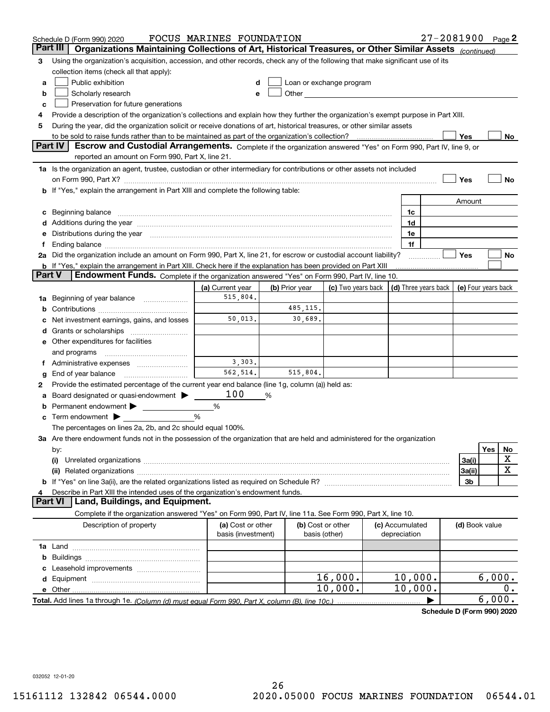|          | Schedule D (Form 990) 2020                                                                                                                                                                                                     | FOCUS MARINES FOUNDATION |                |                                                                                                                                                                                                                               |                 | 27-2081900 Page 2                    |                     |        |    |
|----------|--------------------------------------------------------------------------------------------------------------------------------------------------------------------------------------------------------------------------------|--------------------------|----------------|-------------------------------------------------------------------------------------------------------------------------------------------------------------------------------------------------------------------------------|-----------------|--------------------------------------|---------------------|--------|----|
| Part III | Organizations Maintaining Collections of Art, Historical Treasures, or Other Similar Assets (continued)                                                                                                                        |                          |                |                                                                                                                                                                                                                               |                 |                                      |                     |        |    |
| 3        | Using the organization's acquisition, accession, and other records, check any of the following that make significant use of its                                                                                                |                          |                |                                                                                                                                                                                                                               |                 |                                      |                     |        |    |
|          | collection items (check all that apply):                                                                                                                                                                                       |                          |                |                                                                                                                                                                                                                               |                 |                                      |                     |        |    |
| a        | Public exhibition                                                                                                                                                                                                              | d                        |                | Loan or exchange program                                                                                                                                                                                                      |                 |                                      |                     |        |    |
| b        | Scholarly research                                                                                                                                                                                                             | e                        |                | Other and the contract of the contract of the contract of the contract of the contract of the contract of the contract of the contract of the contract of the contract of the contract of the contract of the contract of the |                 |                                      |                     |        |    |
| c        | Preservation for future generations                                                                                                                                                                                            |                          |                |                                                                                                                                                                                                                               |                 |                                      |                     |        |    |
| 4        | Provide a description of the organization's collections and explain how they further the organization's exempt purpose in Part XIII.                                                                                           |                          |                |                                                                                                                                                                                                                               |                 |                                      |                     |        |    |
| 5        | During the year, did the organization solicit or receive donations of art, historical treasures, or other similar assets                                                                                                       |                          |                |                                                                                                                                                                                                                               |                 |                                      |                     |        |    |
|          | to be sold to raise funds rather than to be maintained as part of the organization's collection?                                                                                                                               |                          |                |                                                                                                                                                                                                                               |                 |                                      | Yes                 |        | No |
|          | <b>Part IV</b><br>Escrow and Custodial Arrangements. Complete if the organization answered "Yes" on Form 990, Part IV, line 9, or<br>reported an amount on Form 990, Part X, line 21.                                          |                          |                |                                                                                                                                                                                                                               |                 |                                      |                     |        |    |
|          | 1a Is the organization an agent, trustee, custodian or other intermediary for contributions or other assets not included                                                                                                       |                          |                |                                                                                                                                                                                                                               |                 |                                      |                     |        |    |
|          |                                                                                                                                                                                                                                |                          |                |                                                                                                                                                                                                                               |                 |                                      | Yes                 |        | No |
|          | If "Yes," explain the arrangement in Part XIII and complete the following table:                                                                                                                                               |                          |                |                                                                                                                                                                                                                               |                 |                                      |                     |        |    |
|          |                                                                                                                                                                                                                                |                          |                |                                                                                                                                                                                                                               |                 |                                      | Amount              |        |    |
| c        |                                                                                                                                                                                                                                |                          |                |                                                                                                                                                                                                                               | 1c              |                                      |                     |        |    |
|          | Additions during the year manufactured and an annual contract of the year manufactured and all the year manufactured and all the year manufactured and all the year manufactured and all the year manufactured and all the yea |                          |                |                                                                                                                                                                                                                               | 1d              |                                      |                     |        |    |
| е        | Distributions during the year manufactured and continuum and contained and the year manufactured and contained                                                                                                                 |                          |                |                                                                                                                                                                                                                               | 1e              |                                      |                     |        |    |
|          | Ending balance manufactured and the contract of the contract of the contract of the contract of the contract of the contract of the contract of the contract of the contract of the contract of the contract of the contract o |                          |                |                                                                                                                                                                                                                               | 1f              |                                      |                     |        |    |
|          | 2a Did the organization include an amount on Form 990, Part X, line 21, for escrow or custodial account liability?                                                                                                             |                          |                |                                                                                                                                                                                                                               |                 |                                      | Yes                 |        | No |
|          | <b>b</b> If "Yes," explain the arrangement in Part XIII. Check here if the explanation has been provided on Part XIII                                                                                                          |                          |                |                                                                                                                                                                                                                               |                 |                                      |                     |        |    |
| Part V   | Endowment Funds. Complete if the organization answered "Yes" on Form 990, Part IV, line 10.                                                                                                                                    |                          |                |                                                                                                                                                                                                                               |                 |                                      |                     |        |    |
|          |                                                                                                                                                                                                                                | (a) Current year         | (b) Prior year | (c) Two years back                                                                                                                                                                                                            |                 | $\vert$ (d) Three years back $\vert$ | (e) Four years back |        |    |
| 1a       | Beginning of year balance                                                                                                                                                                                                      | 515,804.                 |                |                                                                                                                                                                                                                               |                 |                                      |                     |        |    |
| b        |                                                                                                                                                                                                                                |                          | 485, 115.      |                                                                                                                                                                                                                               |                 |                                      |                     |        |    |
|          | Net investment earnings, gains, and losses                                                                                                                                                                                     | 50,013.                  | 30,689.        |                                                                                                                                                                                                                               |                 |                                      |                     |        |    |
| d        |                                                                                                                                                                                                                                |                          |                |                                                                                                                                                                                                                               |                 |                                      |                     |        |    |
|          | e Other expenditures for facilities                                                                                                                                                                                            |                          |                |                                                                                                                                                                                                                               |                 |                                      |                     |        |    |
|          | and programs                                                                                                                                                                                                                   |                          |                |                                                                                                                                                                                                                               |                 |                                      |                     |        |    |
|          |                                                                                                                                                                                                                                | 3,303.                   |                |                                                                                                                                                                                                                               |                 |                                      |                     |        |    |
| g        | End of year balance                                                                                                                                                                                                            | 562,514.                 | 515,804.       |                                                                                                                                                                                                                               |                 |                                      |                     |        |    |
| 2        | Provide the estimated percentage of the current year end balance (line 1g, column (a)) held as:                                                                                                                                |                          |                |                                                                                                                                                                                                                               |                 |                                      |                     |        |    |
|          | Board designated or quasi-endowment >                                                                                                                                                                                          | 100                      | %              |                                                                                                                                                                                                                               |                 |                                      |                     |        |    |
| b        | Permanent endowment > ______________                                                                                                                                                                                           | %                        |                |                                                                                                                                                                                                                               |                 |                                      |                     |        |    |
| c        | Term endowment $\blacktriangleright$                                                                                                                                                                                           | %                        |                |                                                                                                                                                                                                                               |                 |                                      |                     |        |    |
|          | The percentages on lines 2a, 2b, and 2c should equal 100%.<br>3a Are there endowment funds not in the possession of the organization that are held and administered for the organization                                       |                          |                |                                                                                                                                                                                                                               |                 |                                      |                     |        |    |
|          |                                                                                                                                                                                                                                |                          |                |                                                                                                                                                                                                                               |                 |                                      |                     | Yes    | No |
|          | by:<br>(i)                                                                                                                                                                                                                     |                          |                |                                                                                                                                                                                                                               |                 |                                      | 3a(i)               |        | х  |
|          |                                                                                                                                                                                                                                |                          |                |                                                                                                                                                                                                                               |                 |                                      | 3a(ii)              |        | х  |
|          |                                                                                                                                                                                                                                |                          |                |                                                                                                                                                                                                                               |                 |                                      | 3b                  |        |    |
|          | Describe in Part XIII the intended uses of the organization's endowment funds.                                                                                                                                                 |                          |                |                                                                                                                                                                                                                               |                 |                                      |                     |        |    |
|          | Land, Buildings, and Equipment.<br><b>Part VI</b>                                                                                                                                                                              |                          |                |                                                                                                                                                                                                                               |                 |                                      |                     |        |    |
|          | Complete if the organization answered "Yes" on Form 990, Part IV, line 11a. See Form 990, Part X, line 10.                                                                                                                     |                          |                |                                                                                                                                                                                                                               |                 |                                      |                     |        |    |
|          | Description of property                                                                                                                                                                                                        | (a) Cost or other        |                | (b) Cost or other                                                                                                                                                                                                             | (c) Accumulated |                                      | (d) Book value      |        |    |
|          |                                                                                                                                                                                                                                | basis (investment)       |                | basis (other)                                                                                                                                                                                                                 | depreciation    |                                      |                     |        |    |
|          |                                                                                                                                                                                                                                |                          |                |                                                                                                                                                                                                                               |                 |                                      |                     |        |    |
| b        |                                                                                                                                                                                                                                |                          |                |                                                                                                                                                                                                                               |                 |                                      |                     |        |    |
|          |                                                                                                                                                                                                                                |                          |                |                                                                                                                                                                                                                               |                 |                                      |                     |        |    |
| d        |                                                                                                                                                                                                                                |                          |                | 16,000.                                                                                                                                                                                                                       | 10,000.         |                                      |                     | 6,000. |    |
|          | e Other                                                                                                                                                                                                                        |                          |                | 10,000.                                                                                                                                                                                                                       | 10,000.         |                                      |                     |        | 0. |
|          |                                                                                                                                                                                                                                |                          |                |                                                                                                                                                                                                                               |                 |                                      |                     | 6,000. |    |

**Schedule D (Form 990) 2020**

032052 12-01-20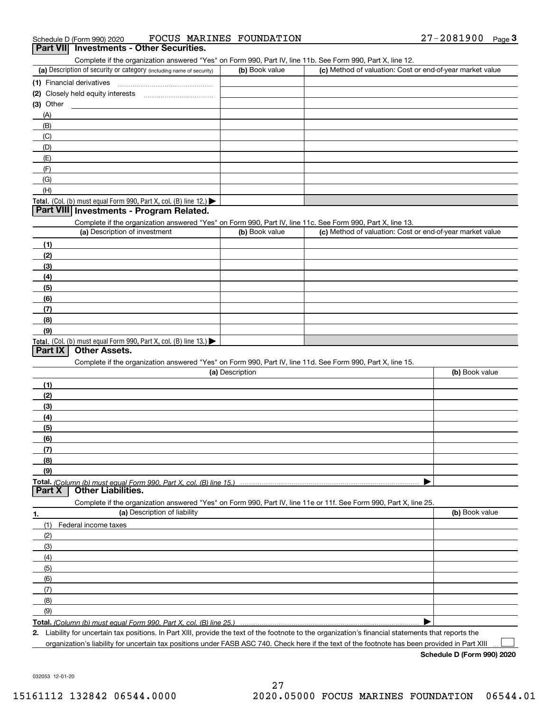Complete if the organization answered "Yes" on Form 990, Part IV, line 11b. See Form 990, Part X, line 12.

| (a) Description of security or category (including name of security)                          | (b) Book value | (c) Method of valuation: Cost or end-of-year market value |
|-----------------------------------------------------------------------------------------------|----------------|-----------------------------------------------------------|
| (1) Financial derivatives                                                                     |                |                                                           |
| (2) Closely held equity interests                                                             |                |                                                           |
| $(3)$ Other                                                                                   |                |                                                           |
| (A)                                                                                           |                |                                                           |
| (B)                                                                                           |                |                                                           |
| (C)                                                                                           |                |                                                           |
| (D)                                                                                           |                |                                                           |
| (E)                                                                                           |                |                                                           |
| (F)                                                                                           |                |                                                           |
| (G)                                                                                           |                |                                                           |
| (H)                                                                                           |                |                                                           |
| <b>Total.</b> (Col. (b) must equal Form 990, Part X, col. (B) line 12.) $\blacktriangleright$ |                |                                                           |

#### **Part VIII Investments - Program Related.**

Complete if the organization answered "Yes" on Form 990, Part IV, line 11c. See Form 990, Part X, line 13.

| (a) Description of investment                                                          | (b) Book value | (c) Method of valuation: Cost or end-of-year market value |
|----------------------------------------------------------------------------------------|----------------|-----------------------------------------------------------|
| (1)                                                                                    |                |                                                           |
| (2)                                                                                    |                |                                                           |
| $\frac{1}{2}$                                                                          |                |                                                           |
| (4)                                                                                    |                |                                                           |
| $\frac{1}{2}$                                                                          |                |                                                           |
| (6)                                                                                    |                |                                                           |
| $\sqrt{(7)}$                                                                           |                |                                                           |
| (8)                                                                                    |                |                                                           |
| (9)                                                                                    |                |                                                           |
| Total. (Col. (b) must equal Form 990, Part X, col. (B) line 13.) $\blacktriangleright$ |                |                                                           |

#### **Part IX Other Assets.**

Complete if the organization answered "Yes" on Form 990, Part IV, line 11d. See Form 990, Part X, line 15.

|                   | (a) Description                                                                                                   | (b) Book value |
|-------------------|-------------------------------------------------------------------------------------------------------------------|----------------|
| (1)               |                                                                                                                   |                |
| (2)               |                                                                                                                   |                |
| (3)               |                                                                                                                   |                |
| (4)               |                                                                                                                   |                |
| $\frac{1}{2}$ (5) |                                                                                                                   |                |
| (6)               |                                                                                                                   |                |
| (7)               |                                                                                                                   |                |
| (8)               |                                                                                                                   |                |
| (9)               |                                                                                                                   |                |
|                   |                                                                                                                   |                |
|                   | <b>Part X   Other Liabilities.</b>                                                                                |                |
|                   | Complete if the organization answered "Yes" on Form 990, Part IV, line 11e or 11f. See Form 990, Part X, line 25, |                |

| (a) Description of liability<br>1. | (b) Book value |
|------------------------------------|----------------|
| (1) Federal income taxes           |                |
| (2)                                |                |
| (3)                                |                |
| (4)                                |                |
| (5)                                |                |
| (6)                                |                |
| $\qquad$ (7)                       |                |
| (8)                                |                |
| (9)                                |                |
|                                    |                |

**2.**Liability for uncertain tax positions. In Part XIII, provide the text of the footnote to the organization's financial statements that reports the organization's liability for uncertain tax positions under FASB ASC 740. Check here if the text of the footnote has been provided in Part XIII

**Schedule D (Form 990) 2020**

 $\mathcal{L}^{\text{max}}$ 

032053 12-01-20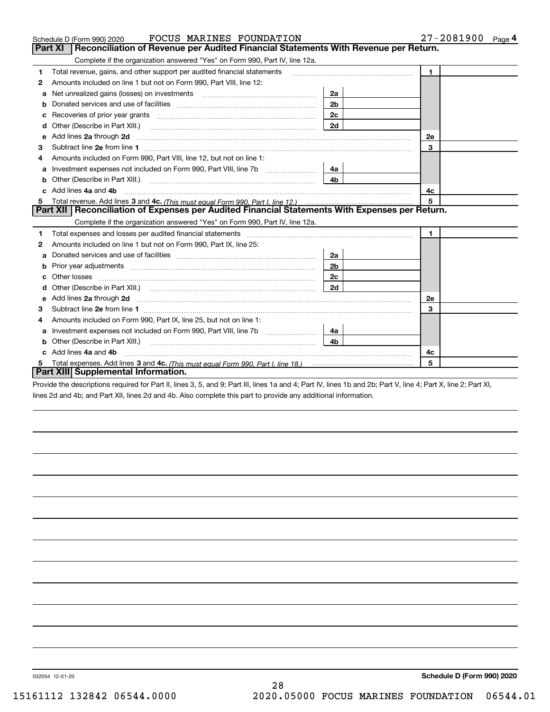|   | <b>FOCUS MARINES FOUNDATION</b><br>Schedule D (Form 990) 2020                                                                                                                                                                        |                | 27-2081900<br>Page $4$ |
|---|--------------------------------------------------------------------------------------------------------------------------------------------------------------------------------------------------------------------------------------|----------------|------------------------|
|   | <b>Part XI</b><br>Reconciliation of Revenue per Audited Financial Statements With Revenue per Return.                                                                                                                                |                |                        |
|   | Complete if the organization answered "Yes" on Form 990, Part IV, line 12a.                                                                                                                                                          |                |                        |
| 1 | Total revenue, gains, and other support per audited financial statements                                                                                                                                                             |                | $\mathbf{1}$           |
| 2 | Amounts included on line 1 but not on Form 990, Part VIII, line 12:                                                                                                                                                                  |                |                        |
| a |                                                                                                                                                                                                                                      | 2a             |                        |
|   |                                                                                                                                                                                                                                      | 2 <sub>b</sub> |                        |
|   |                                                                                                                                                                                                                                      | 2c             |                        |
| d | Other (Describe in Part XIII.) <b>Construction Contract Construction</b> Chern Construction Construction Construction                                                                                                                | 2d             |                        |
| е | Add lines 2a through 2d                                                                                                                                                                                                              |                | 2e                     |
| З |                                                                                                                                                                                                                                      |                | 3                      |
| 4 | Amounts included on Form 990, Part VIII, line 12, but not on line 1:                                                                                                                                                                 |                |                        |
|   |                                                                                                                                                                                                                                      | 4a             |                        |
| b |                                                                                                                                                                                                                                      | 4 <sub>b</sub> |                        |
|   | Add lines 4a and 4b                                                                                                                                                                                                                  |                | 4c                     |
| 5 |                                                                                                                                                                                                                                      |                | 5                      |
|   | Part XII   Reconciliation of Expenses per Audited Financial Statements With Expenses per Return.                                                                                                                                     |                |                        |
|   | Complete if the organization answered "Yes" on Form 990, Part IV, line 12a.                                                                                                                                                          |                |                        |
| 1 | Total expenses and losses per audited financial statements [111] [12] contain an interview and losses per audited financial statements [11] [12] contained an interview and the statements of the statements of the statements       |                | $\blacksquare$         |
| 2 | Amounts included on line 1 but not on Form 990, Part IX, line 25:                                                                                                                                                                    |                |                        |
| a |                                                                                                                                                                                                                                      | 2a             |                        |
|   | Prior year adjustments www.communication.com/www.communication.com/www.com/                                                                                                                                                          | 2 <sub>b</sub> |                        |
|   |                                                                                                                                                                                                                                      | 2c             |                        |
| d |                                                                                                                                                                                                                                      | 2d             |                        |
|   | Add lines 2a through 2d <b>contained a contained a contained a contained a contained a contained a contained a contained a contact a contact a contact a contact a contact a contact a contact a contact a contact a contact a c</b> |                | 2e                     |
| 3 |                                                                                                                                                                                                                                      |                | 3                      |
| 4 | Amounts included on Form 990, Part IX, line 25, but not on line 1:                                                                                                                                                                   |                |                        |
| а | Investment expenses not included on Form 990, Part VIII, line 7b [111] [11] Investment expenses not included on Form 990, Part VIII, line 7b                                                                                         | 4a l           |                        |
| b |                                                                                                                                                                                                                                      | 4b             |                        |
|   | Add lines 4a and 4b                                                                                                                                                                                                                  |                | 4c                     |
|   |                                                                                                                                                                                                                                      |                | 5                      |
|   | Part XIII Supplemental Information.                                                                                                                                                                                                  |                |                        |

Provide the descriptions required for Part II, lines 3, 5, and 9; Part III, lines 1a and 4; Part IV, lines 1b and 2b; Part V, line 4; Part X, line 2; Part XI, lines 2d and 4b; and Part XII, lines 2d and 4b. Also complete this part to provide any additional information.

032054 12-01-20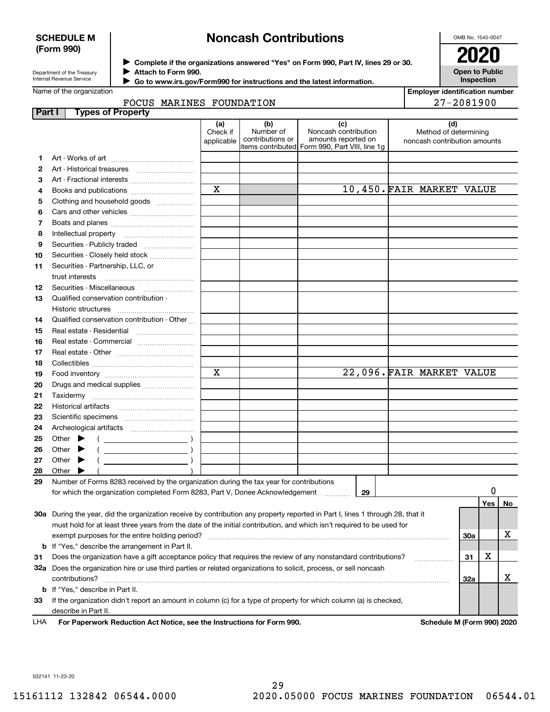#### **SCHEDULE M (Form 990)**

# **Noncash Contributions**

OMB No. 1545-0047

| Department of the Treasury |
|----------------------------|
| Internal Revenue Service   |

**31**

**Complete if the organizations answered "Yes" on Form 990, Part IV, lines 29 or 30.** <sup>J</sup>**2020 Attach to Form 990.**  $\blacktriangleright$ 

**Open to Public Inspection**

|        | Internal Hevenue Service                                                                                                       |                               |                                      | Go to www.irs.gov/Form990 for instructions and the latest information.                               | <b>Inspection</b>                                            |     |    |
|--------|--------------------------------------------------------------------------------------------------------------------------------|-------------------------------|--------------------------------------|------------------------------------------------------------------------------------------------------|--------------------------------------------------------------|-----|----|
|        | Name of the organization                                                                                                       |                               |                                      |                                                                                                      | <b>Employer identification number</b>                        |     |    |
|        | FOCUS MARINES FOUNDATION                                                                                                       |                               |                                      |                                                                                                      | 27-2081900                                                   |     |    |
| Part I | <b>Types of Property</b>                                                                                                       |                               |                                      |                                                                                                      |                                                              |     |    |
|        |                                                                                                                                | (a)<br>Check if<br>applicable | (b)<br>Number of<br>contributions or | (c)<br>Noncash contribution<br>amounts reported on<br>items contributed Form 990, Part VIII, line 1g | (d)<br>Method of determining<br>noncash contribution amounts |     |    |
| 1.     |                                                                                                                                |                               |                                      |                                                                                                      |                                                              |     |    |
| 2      |                                                                                                                                |                               |                                      |                                                                                                      |                                                              |     |    |
| З      | Art - Fractional interests                                                                                                     |                               |                                      |                                                                                                      |                                                              |     |    |
| 4      | Books and publications                                                                                                         | $\mathbf X$                   |                                      |                                                                                                      | 10,450. FAIR MARKET VALUE                                    |     |    |
| 5      | Clothing and household goods                                                                                                   |                               |                                      |                                                                                                      |                                                              |     |    |
| 6      |                                                                                                                                |                               |                                      |                                                                                                      |                                                              |     |    |
| 7      |                                                                                                                                |                               |                                      |                                                                                                      |                                                              |     |    |
| 8      | Intellectual property                                                                                                          |                               |                                      |                                                                                                      |                                                              |     |    |
| 9      | Securities - Publicly traded                                                                                                   |                               |                                      |                                                                                                      |                                                              |     |    |
| 10     | Securities - Closely held stock                                                                                                |                               |                                      |                                                                                                      |                                                              |     |    |
| 11     | Securities - Partnership, LLC, or                                                                                              |                               |                                      |                                                                                                      |                                                              |     |    |
|        | trust interests                                                                                                                |                               |                                      |                                                                                                      |                                                              |     |    |
| 12     | Securities - Miscellaneous                                                                                                     |                               |                                      |                                                                                                      |                                                              |     |    |
| 13     | Qualified conservation contribution -                                                                                          |                               |                                      |                                                                                                      |                                                              |     |    |
|        | Historic structures                                                                                                            |                               |                                      |                                                                                                      |                                                              |     |    |
| 14     | Qualified conservation contribution - Other                                                                                    |                               |                                      |                                                                                                      |                                                              |     |    |
| 15     | Real estate - Residential                                                                                                      |                               |                                      |                                                                                                      |                                                              |     |    |
| 16     | Real estate - Commercial                                                                                                       |                               |                                      |                                                                                                      |                                                              |     |    |
| 17     |                                                                                                                                |                               |                                      |                                                                                                      |                                                              |     |    |
| 18     |                                                                                                                                |                               |                                      |                                                                                                      |                                                              |     |    |
| 19     |                                                                                                                                | X                             |                                      |                                                                                                      | 22,096. FAIR MARKET VALUE                                    |     |    |
| 20     | Drugs and medical supplies                                                                                                     |                               |                                      |                                                                                                      |                                                              |     |    |
| 21     |                                                                                                                                |                               |                                      |                                                                                                      |                                                              |     |    |
| 22     |                                                                                                                                |                               |                                      |                                                                                                      |                                                              |     |    |
| 23     |                                                                                                                                |                               |                                      |                                                                                                      |                                                              |     |    |
| 24     |                                                                                                                                |                               |                                      |                                                                                                      |                                                              |     |    |
| 25     | Other $\blacktriangleright$                                                                                                    |                               |                                      |                                                                                                      |                                                              |     |    |
| 26     | Other $\blacktriangleright$                                                                                                    |                               |                                      |                                                                                                      |                                                              |     |    |
| 27     | Other $\blacktriangleright$                                                                                                    |                               |                                      |                                                                                                      |                                                              |     |    |
| 28     | Other $\blacktriangleright$                                                                                                    |                               |                                      |                                                                                                      |                                                              |     |    |
| 29     | Number of Forms 8283 received by the organization during the tax year for contributions                                        |                               |                                      |                                                                                                      |                                                              |     |    |
|        | for which the organization completed Form 8283, Part V, Donee Acknowledgement                                                  |                               |                                      | 29                                                                                                   |                                                              | 0   |    |
|        |                                                                                                                                |                               |                                      |                                                                                                      |                                                              | Yes | No |
|        | 30a During the year, did the organization receive by contribution any property reported in Part I, lines 1 through 28, that it |                               |                                      |                                                                                                      |                                                              |     |    |
|        | must hold for at least three years from the date of the initial contribution, and which isn't required to be used for          |                               |                                      |                                                                                                      |                                                              |     |    |
|        |                                                                                                                                |                               |                                      |                                                                                                      | 30a                                                          |     | х  |
|        | <b>b</b> If "Yes," describe the arrangement in Part II.                                                                        |                               |                                      |                                                                                                      |                                                              |     |    |
| 31     | Does the organization have a gift acceptance policy that requires the review of any nonstandard contributions?                 |                               |                                      |                                                                                                      | 31                                                           | х   |    |
|        | 32a Does the organization hire or use third parties or related organizations to solicit, process, or sell noncash              |                               |                                      |                                                                                                      |                                                              |     |    |

**33b** If "Yes," describe in Part II. If the organization didn't report an amount in column (c) for a type of property for which column (a) is checked, describe in Part II.

contributions? ~~~~~~~~~~~~~~~~~~~~~~~~~~~~~~~~~~~~~~~~~~~~~~~~~~~~~~

**For Paperwork Reduction Act Notice, see the Instructions for Form 990. Schedule M (Form 990) 2020** LHA

**32a**

X

032141 11-23-20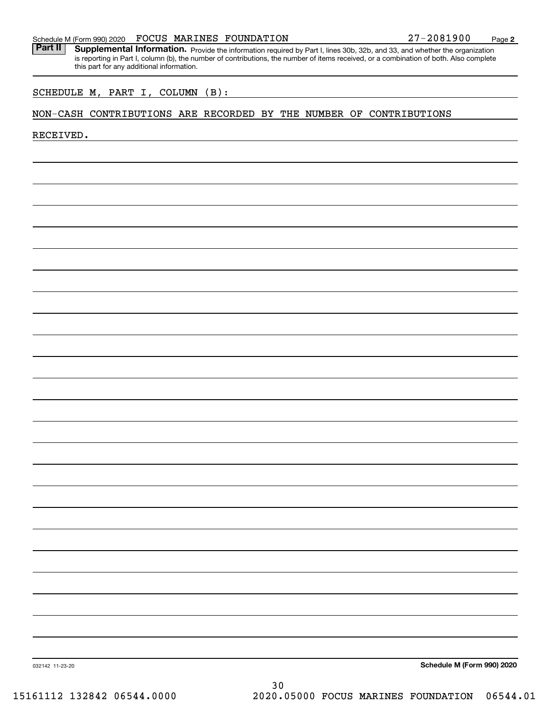Part II | Supplemental Information. Provide the information required by Part I, lines 30b, 32b, and 33, and whether the organization is reporting in Part I, column (b), the number of contributions, the number of items received, or a combination of both. Also complete this part for any additional information.

### SCHEDULE M, PART I, COLUMN (B):

#### NON-CASH CONTRIBUTIONS ARE RECORDED BY THE NUMBER OF CONTRIBUTIONS

RECEIVED.

**Schedule M (Form 990) 2020**

**2**

032142 11-23-20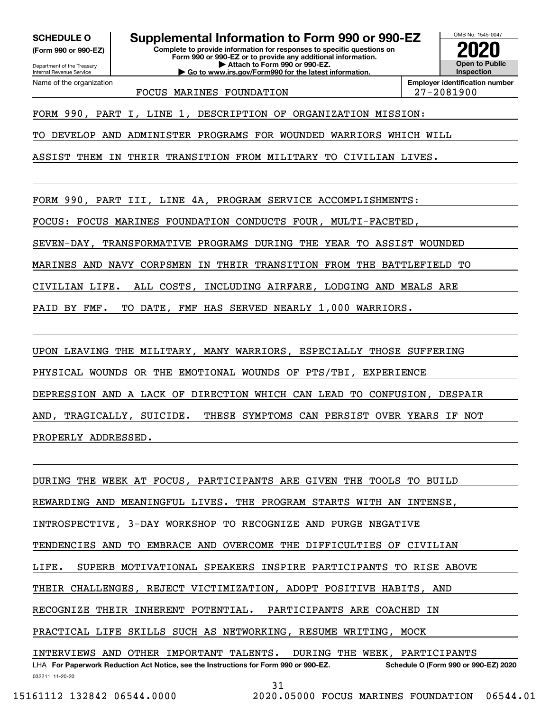**(Form 990 or 990-EZ)**

Department of the Treasury Internal Revenue Service Name of the organization

**SCHEDULE O Supplemental Information to Form 990 or 990-EZ**

**Complete to provide information for responses to specific questions on Form 990 or 990-EZ or to provide any additional information. | Attach to Form 990 or 990-EZ. | Go to www.irs.gov/Form990 for the latest information.**



FOCUS MARINES FOUNDATION 27-2081900

**Employer identification number**

FORM 990, PART I, LINE 1, DESCRIPTION OF ORGANIZATION MISSION:

TO DEVELOP AND ADMINISTER PROGRAMS FOR WOUNDED WARRIORS WHICH WILL

ASSIST THEM IN THEIR TRANSITION FROM MILITARY TO CIVILIAN LIVES.

FORM 990, PART III, LINE 4A, PROGRAM SERVICE ACCOMPLISHMENTS:

FOCUS: FOCUS MARINES FOUNDATION CONDUCTS FOUR, MULTI-FACETED,

SEVEN-DAY, TRANSFORMATIVE PROGRAMS DURING THE YEAR TO ASSIST WOUNDED

MARINES AND NAVY CORPSMEN IN THEIR TRANSITION FROM THE BATTLEFIELD TO

CIVILIAN LIFE. ALL COSTS, INCLUDING AIRFARE, LODGING AND MEALS ARE

PAID BY FMF. TO DATE, FMF HAS SERVED NEARLY 1,000 WARRIORS.

UPON LEAVING THE MILITARY, MANY WARRIORS, ESPECIALLY THOSE SUFFERING

PHYSICAL WOUNDS OR THE EMOTIONAL WOUNDS OF PTS/TBI, EXPERIENCE

DEPRESSION AND A LACK OF DIRECTION WHICH CAN LEAD TO CONFUSION, DESPAIR

AND, TRAGICALLY, SUICIDE. THESE SYMPTOMS CAN PERSIST OVER YEARS IF NOT

PROPERLY ADDRESSED.

032211 11-20-20 LHA For Paperwork Reduction Act Notice, see the Instructions for Form 990 or 990-EZ. Schedule O (Form 990 or 990-EZ) 2020 DURING THE WEEK AT FOCUS, PARTICIPANTS ARE GIVEN THE TOOLS TO BUILD REWARDING AND MEANINGFUL LIVES. THE PROGRAM STARTS WITH AN INTENSE, INTROSPECTIVE, 3-DAY WORKSHOP TO RECOGNIZE AND PURGE NEGATIVE TENDENCIES AND TO EMBRACE AND OVERCOME THE DIFFICULTIES OF CIVILIAN LIFE. SUPERB MOTIVATIONAL SPEAKERS INSPIRE PARTICIPANTS TO RISE ABOVE THEIR CHALLENGES, REJECT VICTIMIZATION, ADOPT POSITIVE HABITS, AND RECOGNIZE THEIR INHERENT POTENTIAL. PARTICIPANTS ARE COACHED IN PRACTICAL LIFE SKILLS SUCH AS NETWORKING, RESUME WRITING, MOCK INTERVIEWS AND OTHER IMPORTANT TALENTS. DURING THE WEEK, PARTICIPANTS

31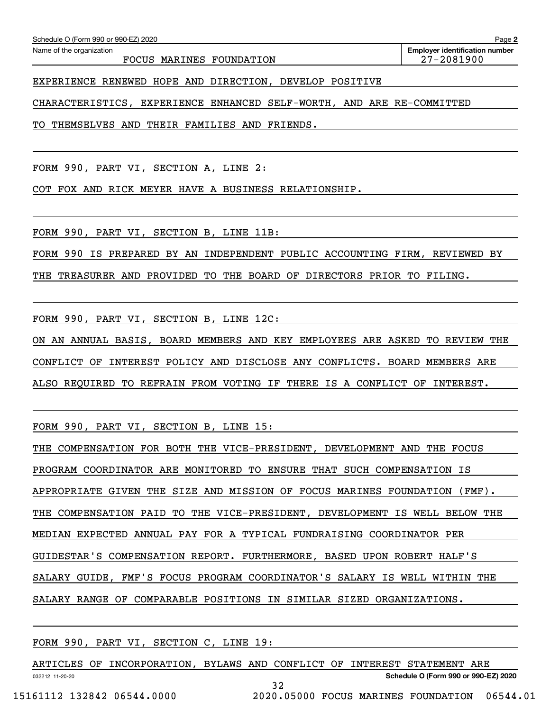FOCUS MARINES FOUNDATION 27-2081900

EXPERIENCE RENEWED HOPE AND DIRECTION, DEVELOP POSITIVE

CHARACTERISTICS, EXPERIENCE ENHANCED SELF-WORTH, AND ARE RE-COMMITTED

TO THEMSELVES AND THEIR FAMILIES AND FRIENDS.

FORM 990, PART VI, SECTION A, LINE 2:

COT FOX AND RICK MEYER HAVE A BUSINESS RELATIONSHIP.

FORM 990, PART VI, SECTION B, LINE 11B:

FORM 990 IS PREPARED BY AN INDEPENDENT PUBLIC ACCOUNTING FIRM, REVIEWED BY

THE TREASURER AND PROVIDED TO THE BOARD OF DIRECTORS PRIOR TO FILING.

FORM 990, PART VI, SECTION B, LINE 12C:

ON AN ANNUAL BASIS, BOARD MEMBERS AND KEY EMPLOYEES ARE ASKED TO REVIEW THE CONFLICT OF INTEREST POLICY AND DISCLOSE ANY CONFLICTS. BOARD MEMBERS ARE ALSO REQUIRED TO REFRAIN FROM VOTING IF THERE IS A CONFLICT OF INTEREST.

FORM 990, PART VI, SECTION B, LINE 15:

THE COMPENSATION FOR BOTH THE VICE-PRESIDENT, DEVELOPMENT AND THE FOCUS PROGRAM COORDINATOR ARE MONITORED TO ENSURE THAT SUCH COMPENSATION IS APPROPRIATE GIVEN THE SIZE AND MISSION OF FOCUS MARINES FOUNDATION (FMF). THE COMPENSATION PAID TO THE VICE-PRESIDENT, DEVELOPMENT IS WELL BELOW THE MEDIAN EXPECTED ANNUAL PAY FOR A TYPICAL FUNDRAISING COORDINATOR PER GUIDESTAR'S COMPENSATION REPORT. FURTHERMORE, BASED UPON ROBERT HALF'S SALARY GUIDE, FMF'S FOCUS PROGRAM COORDINATOR'S SALARY IS WELL WITHIN THE SALARY RANGE OF COMPARABLE POSITIONS IN SIMILAR SIZED ORGANIZATIONS.

FORM 990, PART VI, SECTION C, LINE 19:

032212 11-20-20 **Schedule O (Form 990 or 990-EZ) 2020** ARTICLES OF INCORPORATION, BYLAWS AND CONFLICT OF INTEREST STATEMENT ARE 32

15161112 132842 06544.0000 2020.05000 FOCUS MARINES FOUNDATION 06544.01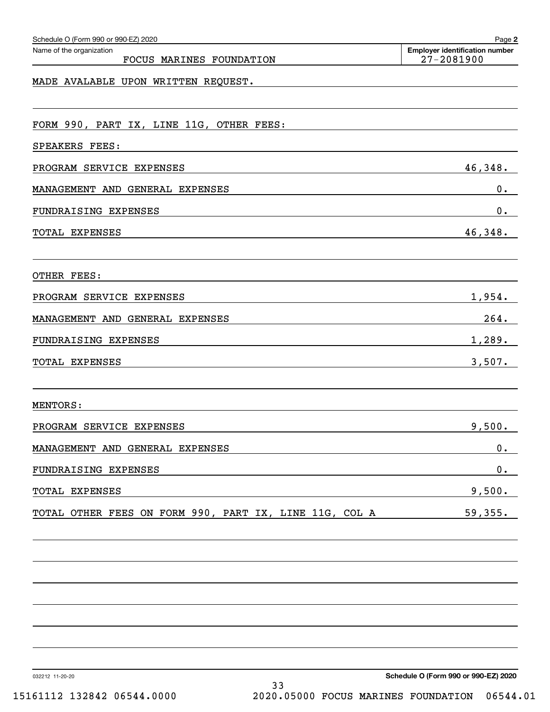| Schedule O (Form 990 or 990-EZ) 2020                   | Page 2                                              |
|--------------------------------------------------------|-----------------------------------------------------|
| Name of the organization<br>FOCUS MARINES FOUNDATION   | <b>Employer identification number</b><br>27-2081900 |
| MADE AVALABLE UPON WRITTEN REQUEST.                    |                                                     |
| FORM 990, PART IX, LINE 11G, OTHER FEES:               |                                                     |
| SPEAKERS FEES:                                         |                                                     |
| PROGRAM SERVICE EXPENSES                               | 46,348.                                             |
| MANAGEMENT AND GENERAL EXPENSES                        | 0.                                                  |
| FUNDRAISING EXPENSES                                   | 0.                                                  |
| TOTAL EXPENSES                                         | 46,348.                                             |
| OTHER FEES:                                            |                                                     |
| PROGRAM SERVICE EXPENSES                               | 1,954.                                              |
| MANAGEMENT AND GENERAL EXPENSES                        | 264.                                                |
| FUNDRAISING EXPENSES                                   | 1,289.                                              |
| TOTAL EXPENSES                                         | 3,507.                                              |
| MENTORS:                                               |                                                     |
| PROGRAM SERVICE EXPENSES                               | 9,500.                                              |
| MANAGEMENT AND GENERAL EXPENSES                        | 0.                                                  |
| FUNDRAISING EXPENSES                                   | 0.                                                  |
| TOTAL EXPENSES                                         | 9,500.                                              |
| TOTAL OTHER FEES ON FORM 990, PART IX, LINE 11G, COL A | 59,355.                                             |
|                                                        |                                                     |
|                                                        |                                                     |
|                                                        |                                                     |
|                                                        |                                                     |
| 032212 11-20-20                                        | Schedule O (Form 990 or 990-EZ) 2020                |